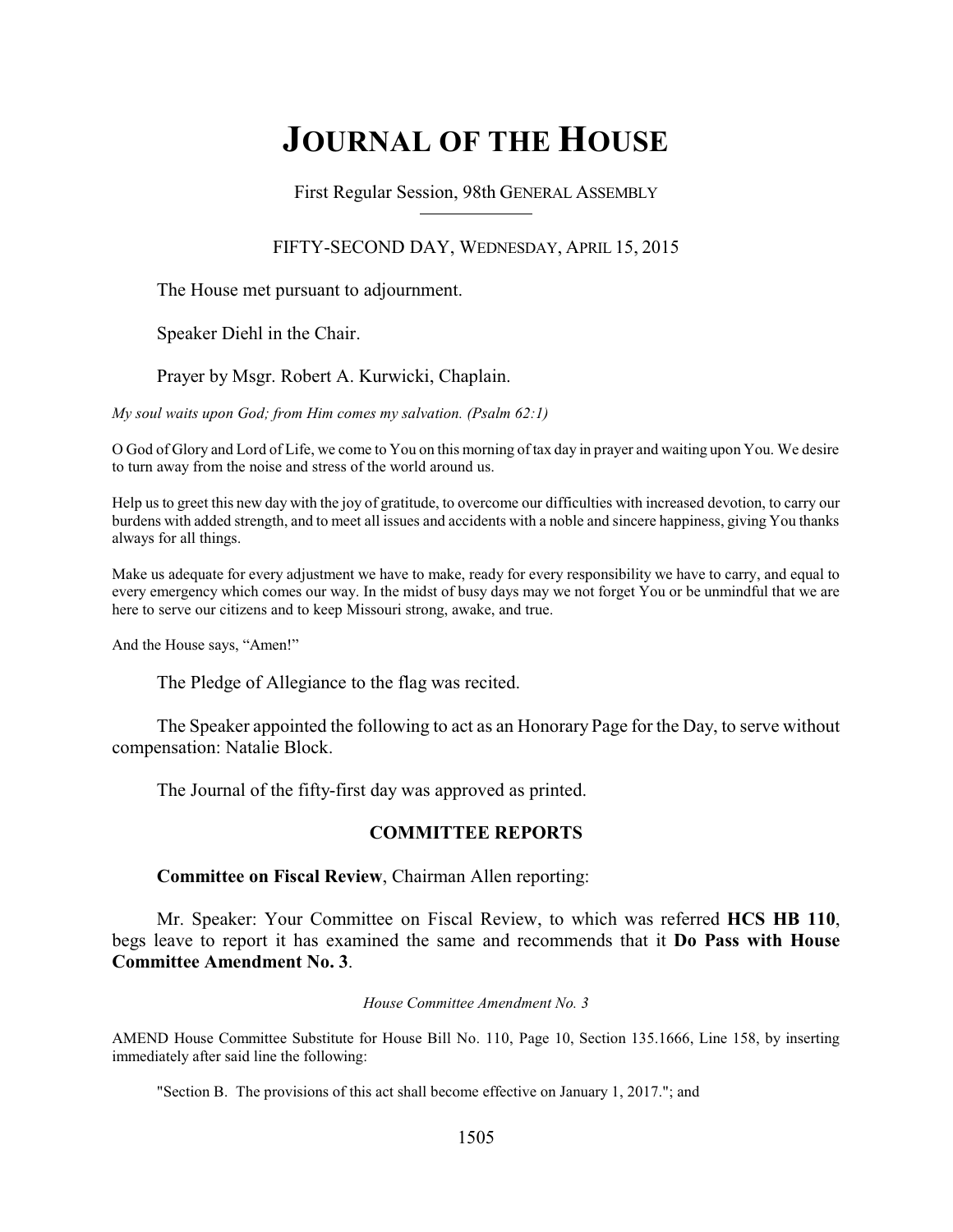# **JOURNAL OF THE HOUSE**

First Regular Session, 98th GENERAL ASSEMBLY

# FIFTY-SECOND DAY, WEDNESDAY, APRIL 15, 2015

The House met pursuant to adjournment.

Speaker Diehl in the Chair.

Prayer by Msgr. Robert A. Kurwicki, Chaplain.

*My soul waits upon God; from Him comes my salvation. (Psalm 62:1)*

O God of Glory and Lord of Life, we come to You on this morning of tax day in prayer and waiting upon You. We desire to turn away from the noise and stress of the world around us.

Help us to greet this new day with the joy of gratitude, to overcome our difficulties with increased devotion, to carry our burdens with added strength, and to meet all issues and accidents with a noble and sincere happiness, giving You thanks always for all things.

Make us adequate for every adjustment we have to make, ready for every responsibility we have to carry, and equal to every emergency which comes our way. In the midst of busy days may we not forget You or be unmindful that we are here to serve our citizens and to keep Missouri strong, awake, and true.

And the House says, "Amen!"

The Pledge of Allegiance to the flag was recited.

The Speaker appointed the following to act as an Honorary Page for the Day, to serve without compensation: Natalie Block.

The Journal of the fifty-first day was approved as printed.

# **COMMITTEE REPORTS**

**Committee on Fiscal Review**, Chairman Allen reporting:

Mr. Speaker: Your Committee on Fiscal Review, to which was referred **HCS HB 110**, begs leave to report it has examined the same and recommends that it **Do Pass with House Committee Amendment No. 3**.

#### *House Committee Amendment No. 3*

AMEND House Committee Substitute for House Bill No. 110, Page 10, Section 135.1666, Line 158, by inserting immediately after said line the following:

"Section B. The provisions of this act shall become effective on January 1, 2017."; and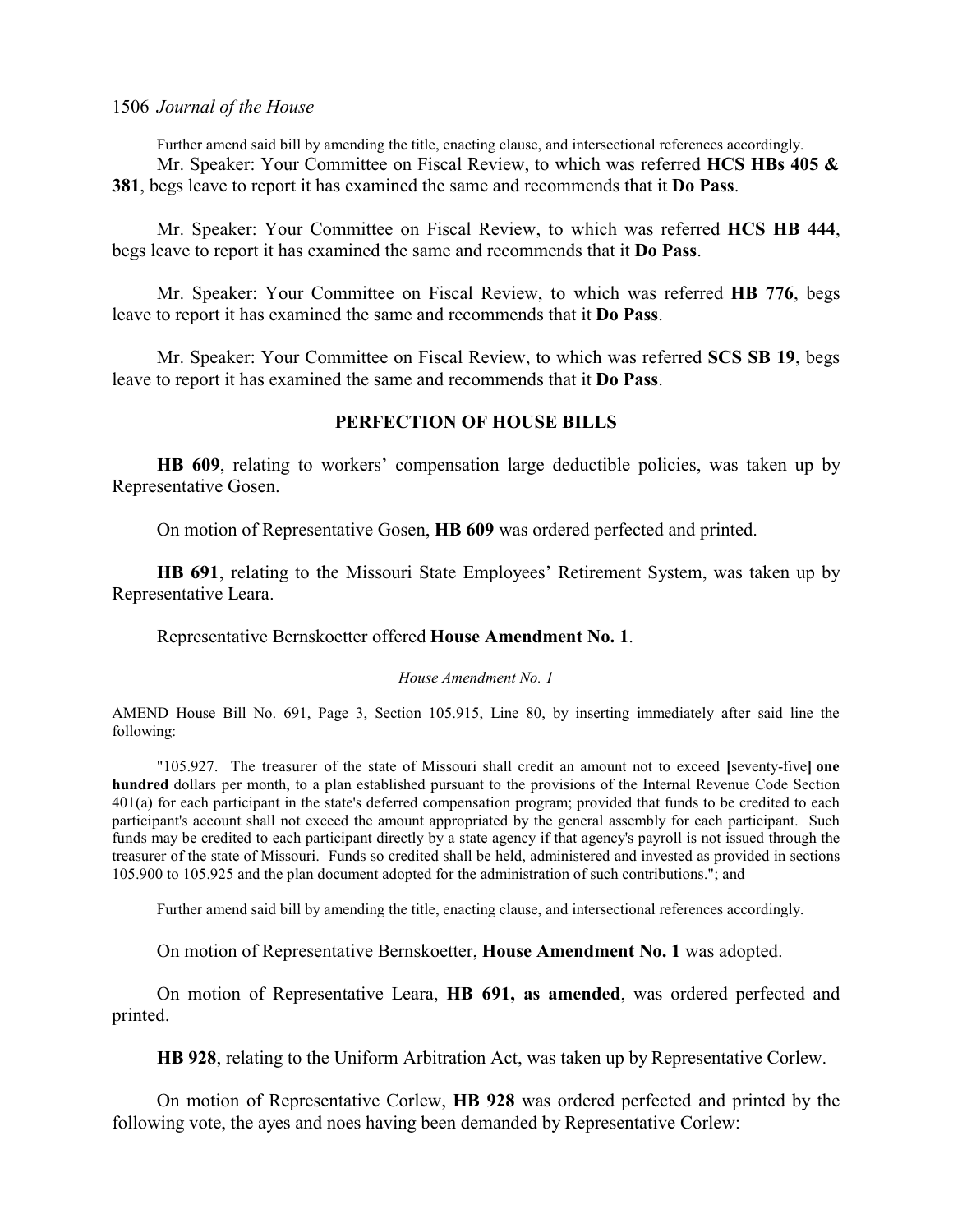Further amend said bill by amending the title, enacting clause, and intersectional references accordingly. Mr. Speaker: Your Committee on Fiscal Review, to which was referred **HCS HBs 405 & 381**, begs leave to report it has examined the same and recommends that it **Do Pass**.

Mr. Speaker: Your Committee on Fiscal Review, to which was referred **HCS HB 444**, begs leave to report it has examined the same and recommends that it **Do Pass**.

Mr. Speaker: Your Committee on Fiscal Review, to which was referred **HB 776**, begs leave to report it has examined the same and recommends that it **Do Pass**.

Mr. Speaker: Your Committee on Fiscal Review, to which was referred **SCS SB 19**, begs leave to report it has examined the same and recommends that it **Do Pass**.

# **PERFECTION OF HOUSE BILLS**

**HB 609**, relating to workers' compensation large deductible policies, was taken up by Representative Gosen.

On motion of Representative Gosen, **HB 609** was ordered perfected and printed.

**HB 691**, relating to the Missouri State Employees' Retirement System, was taken up by Representative Leara.

Representative Bernskoetter offered **House Amendment No. 1**.

#### *House Amendment No. 1*

AMEND House Bill No. 691, Page 3, Section 105.915, Line 80, by inserting immediately after said line the following:

"105.927. The treasurer of the state of Missouri shall credit an amount not to exceed **[**seventy-five**] one hundred** dollars per month, to a plan established pursuant to the provisions of the Internal Revenue Code Section 401(a) for each participant in the state's deferred compensation program; provided that funds to be credited to each participant's account shall not exceed the amount appropriated by the general assembly for each participant. Such funds may be credited to each participant directly by a state agency if that agency's payroll is not issued through the treasurer of the state of Missouri. Funds so credited shall be held, administered and invested as provided in sections 105.900 to 105.925 and the plan document adopted for the administration of such contributions."; and

Further amend said bill by amending the title, enacting clause, and intersectional references accordingly.

On motion of Representative Bernskoetter, **House Amendment No. 1** was adopted.

On motion of Representative Leara, **HB 691, as amended**, was ordered perfected and printed.

**HB 928**, relating to the Uniform Arbitration Act, was taken up by Representative Corlew.

On motion of Representative Corlew, **HB 928** was ordered perfected and printed by the following vote, the ayes and noes having been demanded by Representative Corlew: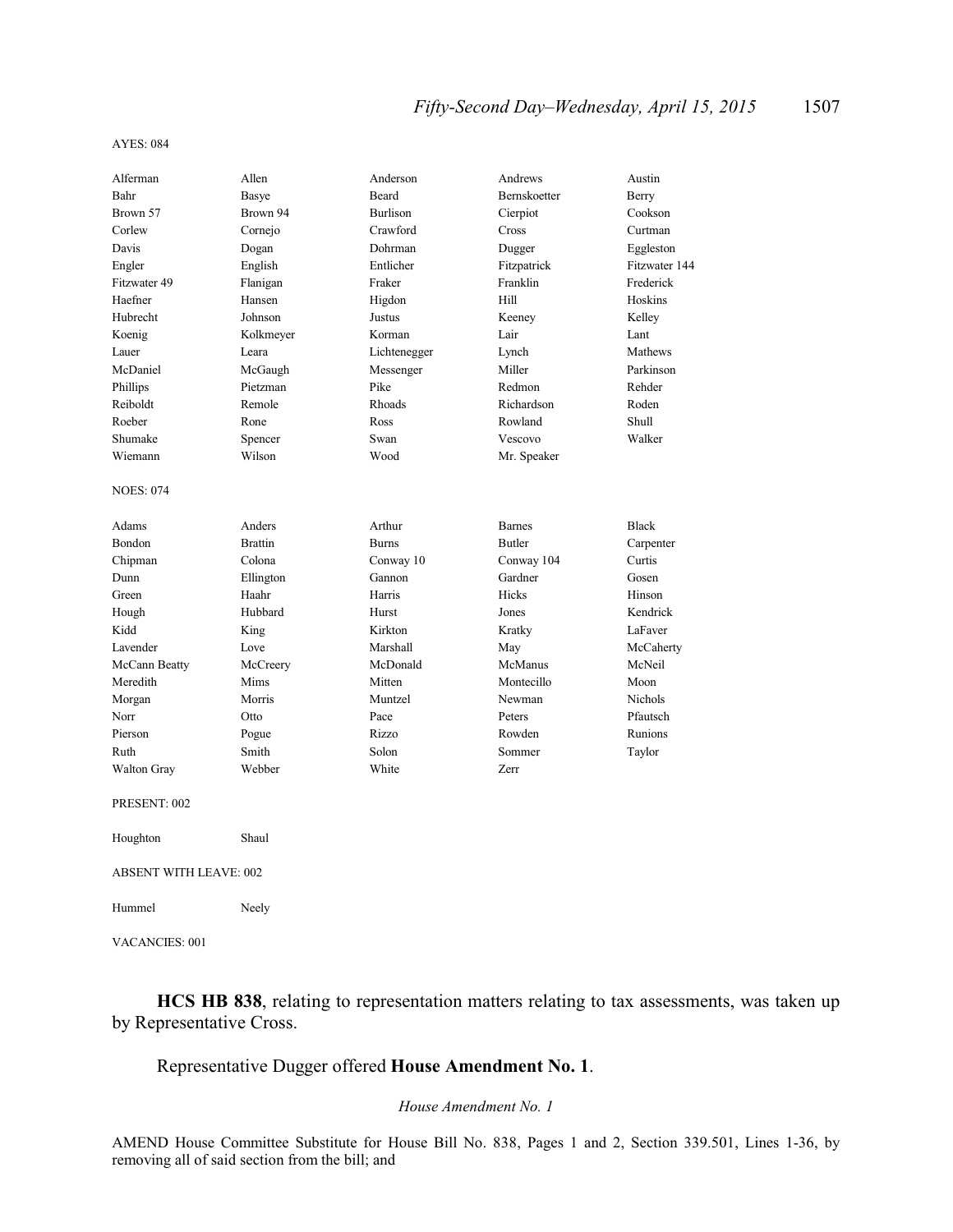#### AYES: 084

| Alferman                      | Allen          | Anderson        | Andrews       | Austin         |  |
|-------------------------------|----------------|-----------------|---------------|----------------|--|
| Bahr                          | Basye          | Beard           | Bernskoetter  | Berry          |  |
| Brown 57                      | Brown 94       | <b>Burlison</b> | Cierpiot      | Cookson        |  |
| Corlew                        | Cornejo        | Crawford        | Cross         | Curtman        |  |
| Davis                         | Dogan          | Dohrman         | Dugger        | Eggleston      |  |
| Engler                        | English        | Entlicher       | Fitzpatrick   | Fitzwater 144  |  |
| Fitzwater 49                  | Flanigan       | Fraker          | Franklin      | Frederick      |  |
| Haefner                       | Hansen         | Higdon          | Hill          | Hoskins        |  |
| Hubrecht                      | Johnson        | Justus          | Keeney        | Kelley         |  |
| Koenig                        | Kolkmeyer      | Korman          | Lair          | Lant           |  |
| Lauer                         | Leara          | Lichtenegger    | Lynch         | Mathews        |  |
| McDaniel                      | McGaugh        | Messenger       | Miller        | Parkinson      |  |
| Phillips                      | Pietzman       | Pike            | Redmon        | Rehder         |  |
| Reiboldt                      | Remole         | Rhoads          | Richardson    | Roden          |  |
| Roeber                        | Rone           | Ross            | Rowland       | Shull          |  |
| Shumake                       | Spencer        | Swan            | Vescovo       | Walker         |  |
| Wiemann                       | Wilson         | Wood            | Mr. Speaker   |                |  |
|                               |                |                 |               |                |  |
| <b>NOES: 074</b>              |                |                 |               |                |  |
| Adams                         | Anders         | Arthur          | <b>Barnes</b> | <b>Black</b>   |  |
| Bondon                        | <b>Brattin</b> | <b>Burns</b>    | <b>Butler</b> | Carpenter      |  |
| Chipman                       | Colona         | Conway 10       | Conway 104    | Curtis         |  |
| Dunn                          | Ellington      | Gannon          | Gardner       | Gosen          |  |
| Green                         | Haahr          | Harris          | Hicks         | Hinson         |  |
| Hough                         | Hubbard        | Hurst           | Jones         | Kendrick       |  |
| Kidd                          | King           | Kirkton         | Kratky        | LaFaver        |  |
| Lavender                      | Love           | Marshall        | May           | McCaherty      |  |
| McCann Beatty                 | McCreery       | McDonald        | McManus       | McNeil         |  |
| Meredith                      | Mims           | Mitten          | Montecillo    | Moon           |  |
| Morgan                        | Morris         | Muntzel         | Newman        | <b>Nichols</b> |  |
| Norr                          | Otto           | Pace            | Peters        | Pfautsch       |  |
| Pierson                       | Pogue          | Rizzo           | Rowden        | Runions        |  |
| Ruth                          | Smith          | Solon           | Sommer        | Taylor         |  |
| Walton Gray                   | Webber         | White           | Zerr          |                |  |
| PRESENT: 002                  |                |                 |               |                |  |
| Houghton                      | Shaul          |                 |               |                |  |
| <b>ABSENT WITH LEAVE: 002</b> |                |                 |               |                |  |
| Hummel                        | Neely          |                 |               |                |  |
| VACANCIES: 001                |                |                 |               |                |  |

**HCS HB 838**, relating to representation matters relating to tax assessments, was taken up by Representative Cross.

# Representative Dugger offered **House Amendment No. 1**.

# *House Amendment No. 1*

AMEND House Committee Substitute for House Bill No. 838, Pages 1 and 2, Section 339.501, Lines 1-36, by removing all of said section from the bill; and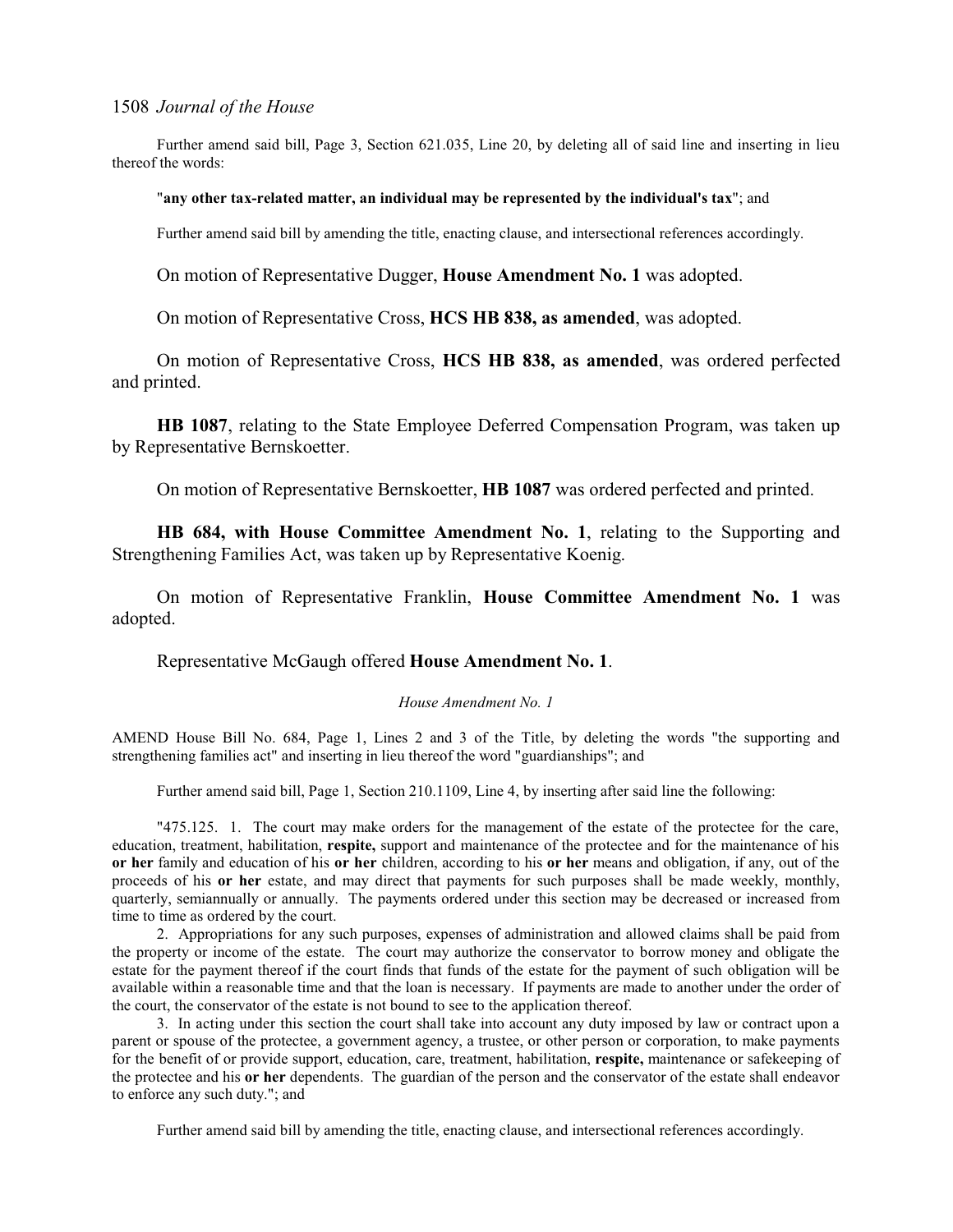Further amend said bill, Page 3, Section 621.035, Line 20, by deleting all of said line and inserting in lieu thereof the words:

#### "**any other tax-related matter, an individual may be represented by the individual's tax**"; and

Further amend said bill by amending the title, enacting clause, and intersectional references accordingly.

On motion of Representative Dugger, **House Amendment No. 1** was adopted.

On motion of Representative Cross, **HCS HB 838, as amended**, was adopted.

On motion of Representative Cross, **HCS HB 838, as amended**, was ordered perfected and printed.

**HB 1087**, relating to the State Employee Deferred Compensation Program, was taken up by Representative Bernskoetter.

On motion of Representative Bernskoetter, **HB 1087** was ordered perfected and printed.

**HB 684, with House Committee Amendment No. 1**, relating to the Supporting and Strengthening Families Act, was taken up by Representative Koenig.

On motion of Representative Franklin, **House Committee Amendment No. 1** was adopted.

Representative McGaugh offered **House Amendment No. 1**.

#### *House Amendment No. 1*

AMEND House Bill No. 684, Page 1, Lines 2 and 3 of the Title, by deleting the words "the supporting and strengthening families act" and inserting in lieu thereof the word "guardianships"; and

Further amend said bill, Page 1, Section 210.1109, Line 4, by inserting after said line the following:

"475.125. 1. The court may make orders for the management of the estate of the protectee for the care, education, treatment, habilitation, **respite,** support and maintenance of the protectee and for the maintenance of his **or her** family and education of his **or her** children, according to his **or her** means and obligation, if any, out of the proceeds of his **or her** estate, and may direct that payments for such purposes shall be made weekly, monthly, quarterly, semiannually or annually. The payments ordered under this section may be decreased or increased from time to time as ordered by the court.

2. Appropriations for any such purposes, expenses of administration and allowed claims shall be paid from the property or income of the estate. The court may authorize the conservator to borrow money and obligate the estate for the payment thereof if the court finds that funds of the estate for the payment of such obligation will be available within a reasonable time and that the loan is necessary. If payments are made to another under the order of the court, the conservator of the estate is not bound to see to the application thereof.

3. In acting under this section the court shall take into account any duty imposed by law or contract upon a parent or spouse of the protectee, a government agency, a trustee, or other person or corporation, to make payments for the benefit of or provide support, education, care, treatment, habilitation, **respite,** maintenance or safekeeping of the protectee and his **or her** dependents. The guardian of the person and the conservator of the estate shall endeavor to enforce any such duty."; and

Further amend said bill by amending the title, enacting clause, and intersectional references accordingly.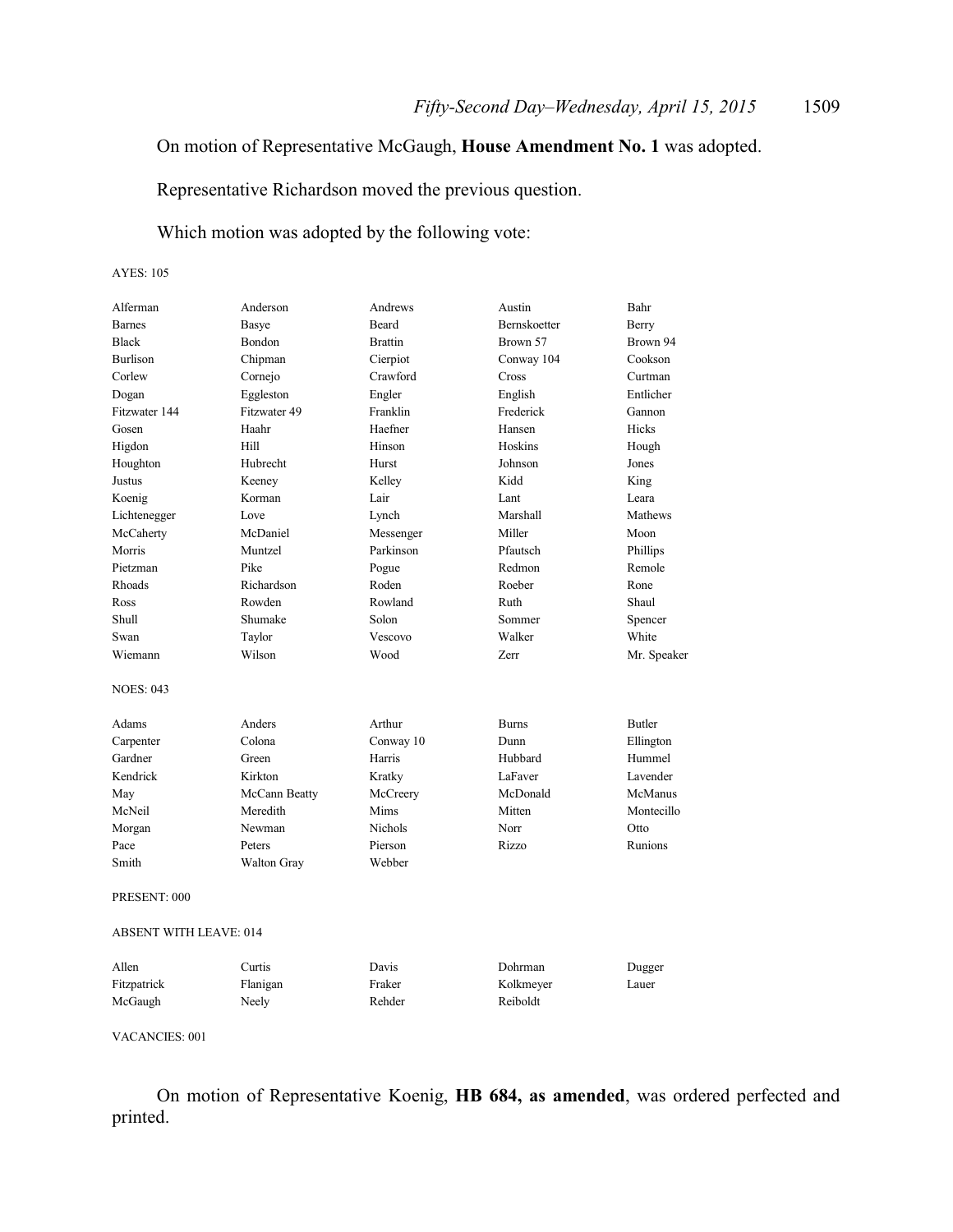# On motion of Representative McGaugh, **House Amendment No. 1** was adopted.

Representative Richardson moved the previous question.

# Which motion was adopted by the following vote:

#### AYES: 105

| Alferman                      | Anderson      | Andrews        | Austin       | Bahr          |
|-------------------------------|---------------|----------------|--------------|---------------|
| <b>Barnes</b>                 | Basye         | <b>Beard</b>   | Bernskoetter | Berry         |
| <b>Black</b>                  | Bondon        | <b>Brattin</b> | Brown 57     | Brown 94      |
| <b>Burlison</b>               | Chipman       | Cierpiot       | Conway 104   | Cookson       |
| Corlew                        | Cornejo       | Crawford       | Cross        | Curtman       |
| Dogan                         | Eggleston     | Engler         | English      | Entlicher     |
| Fitzwater 144                 | Fitzwater 49  | Franklin       | Frederick    | Gannon        |
| Gosen                         | Haahr         | Haefner        | Hansen       | Hicks         |
| Higdon                        | Hill          | Hinson         | Hoskins      | Hough         |
| Houghton                      | Hubrecht      | Hurst          | Johnson      | Jones         |
| Justus                        | Keeney        | Kelley         | Kidd         | King          |
| Koenig                        | Korman        | Lair           | Lant         | Leara         |
| Lichtenegger                  | Love          | Lynch          | Marshall     | Mathews       |
| McCaherty                     | McDaniel      | Messenger      | Miller       | Moon          |
| Morris                        | Muntzel       | Parkinson      | Pfautsch     | Phillips      |
| Pietzman                      | Pike          | Pogue          | Redmon       | Remole        |
| Rhoads                        | Richardson    | Roden          | Roeber       | Rone          |
| Ross                          | Rowden        | Rowland        | Ruth         | Shaul         |
| Shull                         | Shumake       | Solon          | Sommer       | Spencer       |
| Swan                          | Taylor        | Vescovo        | Walker       | White         |
| Wiemann                       | Wilson        | Wood           | Zerr         | Mr. Speaker   |
| <b>NOES: 043</b>              |               |                |              |               |
| Adams                         | Anders        | Arthur         | <b>Burns</b> | <b>Butler</b> |
| Carpenter                     | Colona        | Conway 10      | Dunn         | Ellington     |
| Gardner                       | Green         | Harris         | Hubbard      | Hummel        |
| Kendrick                      | Kirkton       | Kratky         | LaFaver      | Lavender      |
| May                           | McCann Beatty | McCreery       | McDonald     | McManus       |
| McNeil                        | Meredith      | Mims           | Mitten       | Montecillo    |
| Morgan                        | Newman        | <b>Nichols</b> | Norr         | Otto          |
| Pace                          | Peters        | Pierson        | Rizzo        | Runions       |
| Smith                         | Walton Gray   | Webber         |              |               |
| PRESENT: 000                  |               |                |              |               |
| <b>ABSENT WITH LEAVE: 014</b> |               |                |              |               |
| Allen                         | Curtis        | Davis          | Dohrman      | Dugger        |
| Fitzpatrick                   | Flanigan      | Fraker         | Kolkmeyer    | Lauer         |

| T Itzpatīt k | 1 iaillgail | TTANGI. | <b>KOIMIICY</b> |
|--------------|-------------|---------|-----------------|
| McGaugh      | Neely       | Rehder  | Reiboldt        |
|              |             |         |                 |

### VACANCIES: 001

On motion of Representative Koenig, **HB 684, as amended**, was ordered perfected and printed.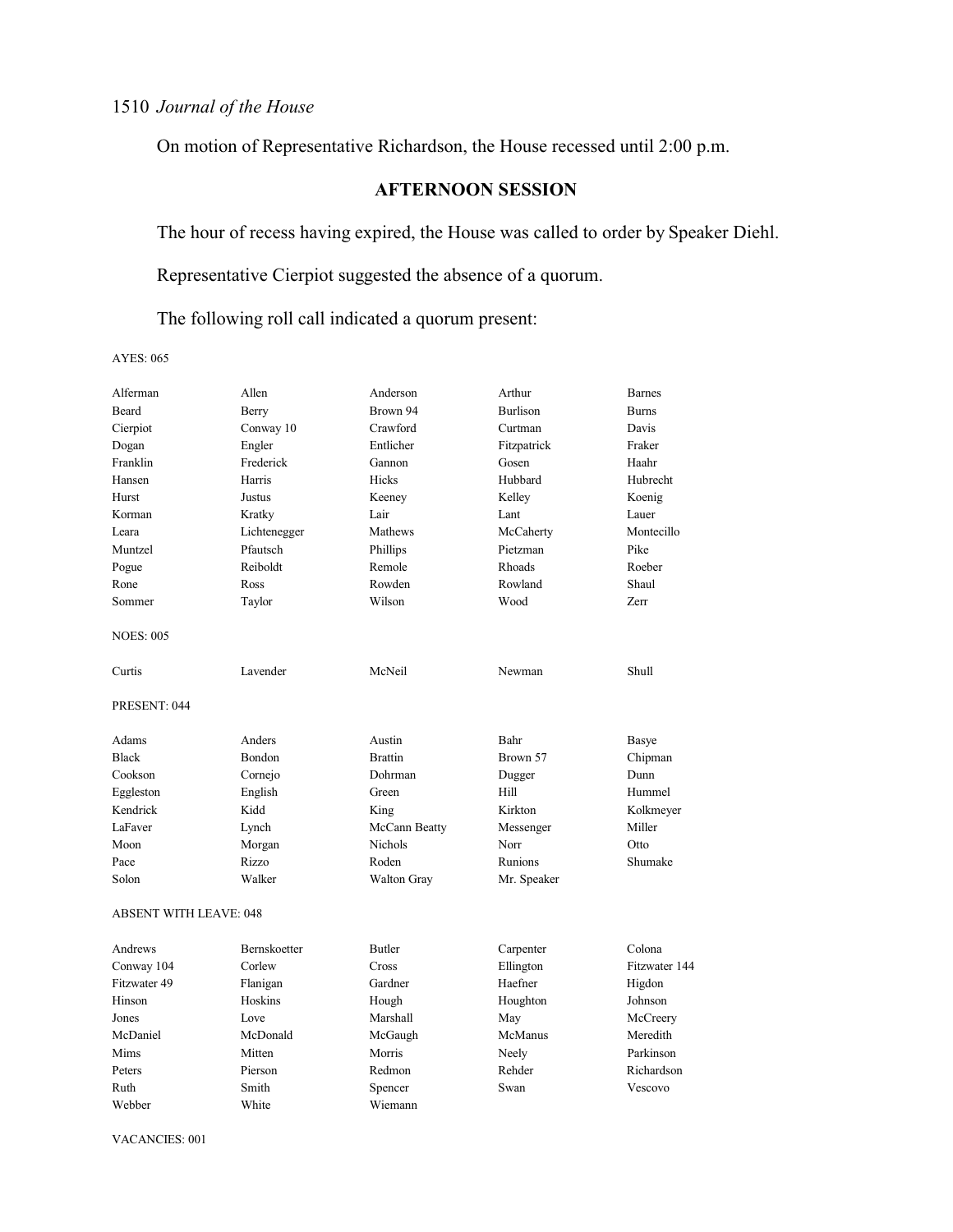On motion of Representative Richardson, the House recessed until 2:00 p.m.

# **AFTERNOON SESSION**

The hour of recess having expired, the House was called to order by Speaker Diehl.

Representative Cierpiot suggested the absence of a quorum.

The following roll call indicated a quorum present:

AYES: 065

| Alferman                      | Allen        | Anderson           | Arthur          | <b>Barnes</b> |
|-------------------------------|--------------|--------------------|-----------------|---------------|
| <b>Beard</b>                  | Berry        | Brown 94           | <b>Burlison</b> | <b>Burns</b>  |
| Cierpiot                      | Conway 10    | Crawford           | Curtman         | Davis         |
| Dogan                         | Engler       | Entlicher          | Fitzpatrick     | Fraker        |
| Franklin                      | Frederick    | Gannon             | Gosen           | Haahr         |
| Hansen                        | Harris       | Hicks              | Hubbard         | Hubrecht      |
| Hurst                         | Justus       | Keeney             | Kelley          | Koenig        |
| Korman                        | Kratky       | Lair               | Lant            | Lauer         |
| Leara                         | Lichtenegger | Mathews            | McCaherty       | Montecillo    |
| Muntzel                       | Pfautsch     | Phillips           | Pietzman        | Pike          |
| Pogue                         | Reiboldt     | Remole             | Rhoads          | Roeber        |
| Rone                          | Ross         | Rowden             | Rowland         | Shaul         |
| Sommer                        | Taylor       | Wilson             | Wood            | Zerr          |
| <b>NOES: 005</b>              |              |                    |                 |               |
| Curtis                        | Lavender     | McNeil             | Newman          | Shull         |
| PRESENT: 044                  |              |                    |                 |               |
| Adams                         | Anders       | Austin             | Bahr            | Basye         |
| <b>Black</b>                  | Bondon       | <b>Brattin</b>     | Brown 57        | Chipman       |
| Cookson                       | Cornejo      | Dohrman            | Dugger          | Dunn          |
| Eggleston                     | English      | Green              | Hill            | Hummel        |
| Kendrick                      | Kidd         | King               | Kirkton         | Kolkmeyer     |
| LaFaver                       | Lynch        | McCann Beatty      | Messenger       | Miller        |
| Moon                          | Morgan       | <b>Nichols</b>     | Norr            | Otto          |
| Pace                          | Rizzo        | Roden              | Runions         | Shumake       |
| Solon                         | Walker       | <b>Walton Gray</b> | Mr. Speaker     |               |
| <b>ABSENT WITH LEAVE: 048</b> |              |                    |                 |               |
| Andrews                       | Bernskoetter | <b>Butler</b>      | Carpenter       | Colona        |
| Conway 104                    | Corlew       | Cross              | Ellington       | Fitzwater 144 |
| Fitzwater 49                  | Flanigan     | Gardner            | Haefner         | Higdon        |
| Hinson                        | Hoskins      | Hough              | Houghton        | Johnson       |
| Jones                         | Love         | Marshall           | May             | McCreery      |
| McDaniel                      | McDonald     | McGaugh            | McManus         | Meredith      |
| Mims                          | Mitten       | Morris             | Neely           | Parkinson     |
| Peters                        | Pierson      | Redmon             | Rehder          | Richardson    |
| Ruth                          | Smith        | Spencer            | Swan            | Vescovo       |
| Webber                        | White        | Wiemann            |                 |               |
|                               |              |                    |                 |               |

VACANCIES: 001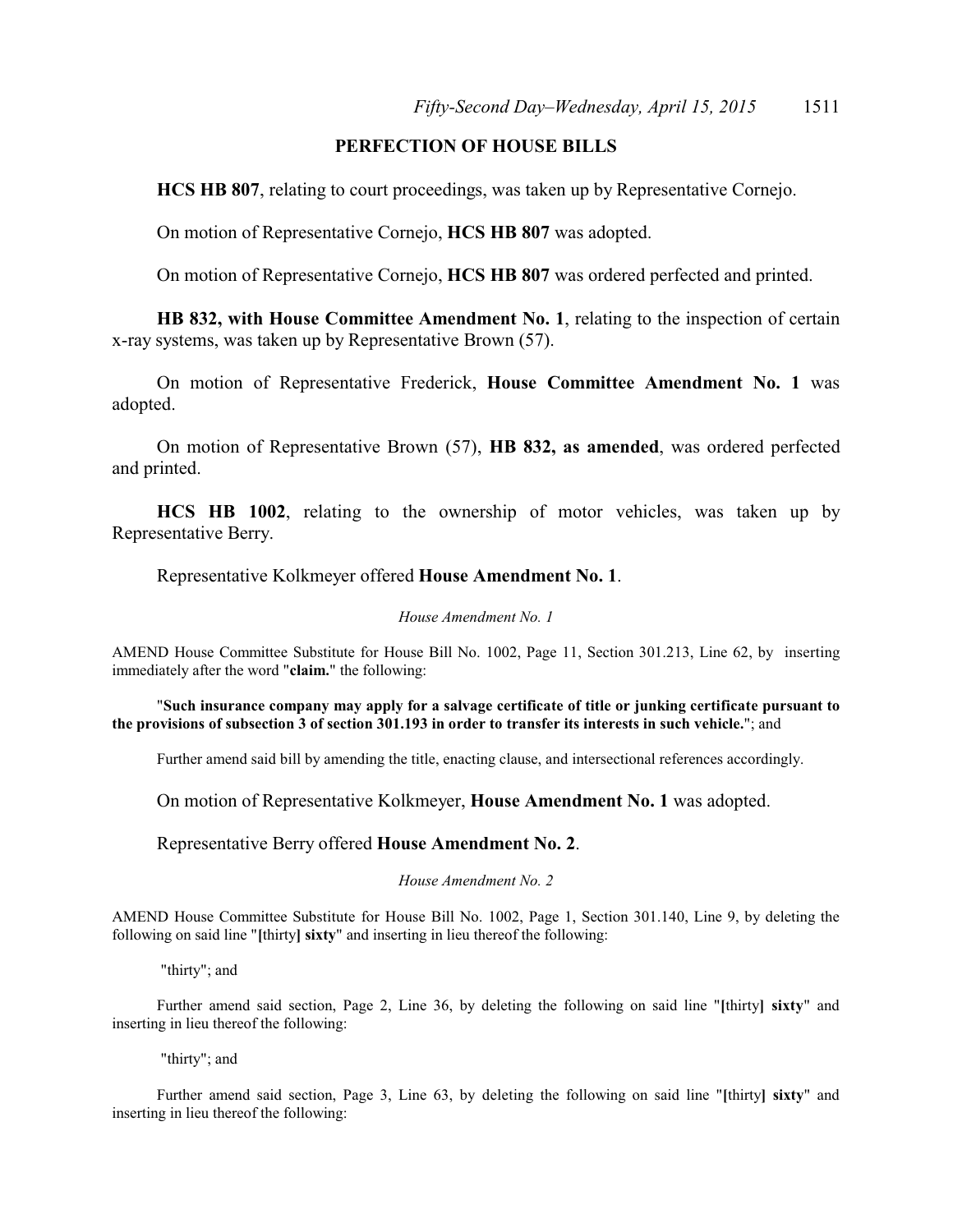# **PERFECTION OF HOUSE BILLS**

**HCS HB 807**, relating to court proceedings, was taken up by Representative Cornejo.

On motion of Representative Cornejo, **HCS HB 807** was adopted.

On motion of Representative Cornejo, **HCS HB 807** was ordered perfected and printed.

**HB 832, with House Committee Amendment No. 1**, relating to the inspection of certain x-ray systems, was taken up by Representative Brown (57).

On motion of Representative Frederick, **House Committee Amendment No. 1** was adopted.

On motion of Representative Brown (57), **HB 832, as amended**, was ordered perfected and printed.

**HCS HB 1002**, relating to the ownership of motor vehicles, was taken up by Representative Berry.

Representative Kolkmeyer offered **House Amendment No. 1**.

#### *House Amendment No. 1*

AMEND House Committee Substitute for House Bill No. 1002, Page 11, Section 301.213, Line 62, by inserting immediately after the word "**claim.**" the following:

"**Such insurance company may apply for a salvage certificate of title or junking certificate pursuant to the provisions of subsection 3 of section 301.193 in order to transfer its interests in such vehicle.**"; and

Further amend said bill by amending the title, enacting clause, and intersectional references accordingly.

On motion of Representative Kolkmeyer, **House Amendment No. 1** was adopted.

Representative Berry offered **House Amendment No. 2**.

#### *House Amendment No. 2*

AMEND House Committee Substitute for House Bill No. 1002, Page 1, Section 301.140, Line 9, by deleting the following on said line "**[**thirty**] sixty**" and inserting in lieu thereof the following:

"thirty"; and

Further amend said section, Page 2, Line 36, by deleting the following on said line "**[**thirty**] sixty**" and inserting in lieu thereof the following:

"thirty"; and

Further amend said section, Page 3, Line 63, by deleting the following on said line "**[**thirty**] sixty**" and inserting in lieu thereof the following: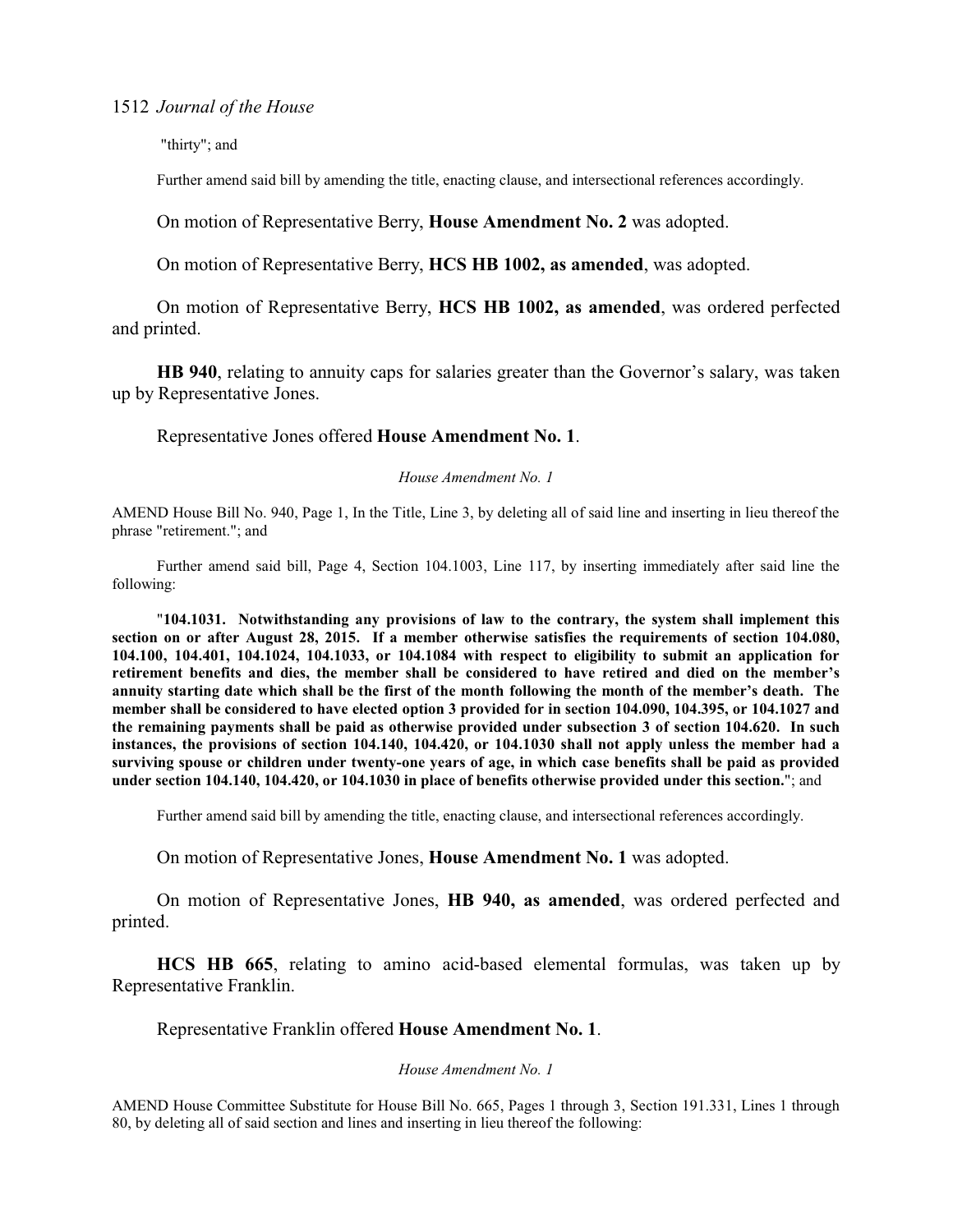"thirty"; and

Further amend said bill by amending the title, enacting clause, and intersectional references accordingly.

On motion of Representative Berry, **House Amendment No. 2** was adopted.

On motion of Representative Berry, **HCS HB 1002, as amended**, was adopted.

On motion of Representative Berry, **HCS HB 1002, as amended**, was ordered perfected and printed.

**HB 940**, relating to annuity caps for salaries greater than the Governor's salary, was taken up by Representative Jones.

Representative Jones offered **House Amendment No. 1**.

*House Amendment No. 1*

AMEND House Bill No. 940, Page 1, In the Title, Line 3, by deleting all of said line and inserting in lieu thereof the phrase "retirement."; and

Further amend said bill, Page 4, Section 104.1003, Line 117, by inserting immediately after said line the following:

"**104.1031. Notwithstanding any provisions of law to the contrary, the system shall implement this section on or after August 28, 2015. If a member otherwise satisfies the requirements of section 104.080, 104.100, 104.401, 104.1024, 104.1033, or 104.1084 with respect to eligibility to submit an application for retirement benefits and dies, the member shall be considered to have retired and died on the member's annuity starting date which shall be the first of the month following the month of the member's death. The member shall be considered to have elected option 3 provided for in section 104.090, 104.395, or 104.1027 and the remaining payments shall be paid as otherwise provided under subsection 3 of section 104.620. In such instances, the provisions of section 104.140, 104.420, or 104.1030 shall not apply unless the member had a surviving spouse or children under twenty-one years of age, in which case benefits shall be paid as provided under section 104.140, 104.420, or 104.1030 in place of benefits otherwise provided under this section.**"; and

Further amend said bill by amending the title, enacting clause, and intersectional references accordingly.

On motion of Representative Jones, **House Amendment No. 1** was adopted.

On motion of Representative Jones, **HB 940, as amended**, was ordered perfected and printed.

**HCS HB 665**, relating to amino acid-based elemental formulas, was taken up by Representative Franklin.

Representative Franklin offered **House Amendment No. 1**.

### *House Amendment No. 1*

AMEND House Committee Substitute for House Bill No. 665, Pages 1 through 3, Section 191.331, Lines 1 through 80, by deleting all of said section and lines and inserting in lieu thereof the following: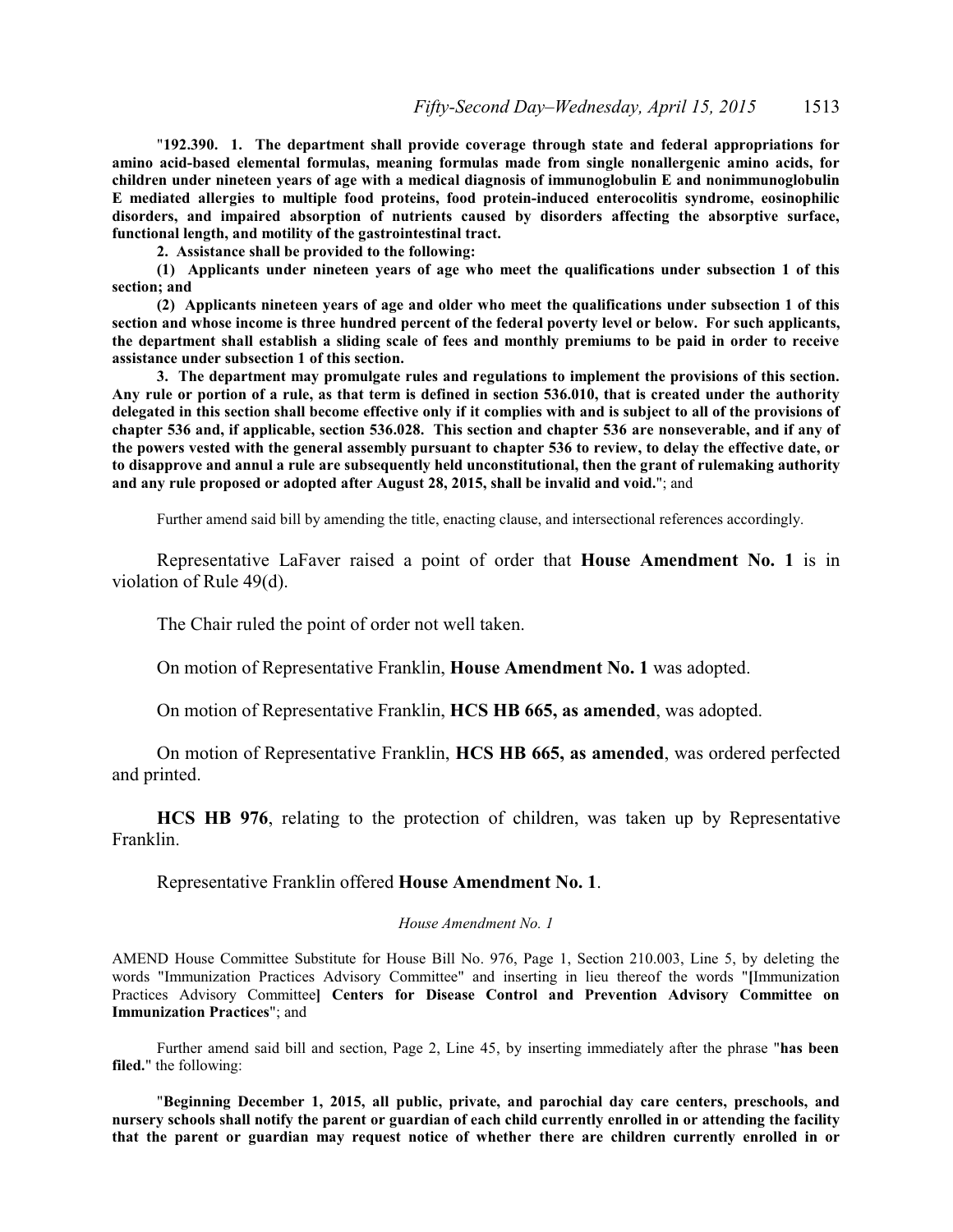"**192.390. 1. The department shall provide coverage through state and federal appropriations for amino acid-based elemental formulas, meaning formulas made from single nonallergenic amino acids, for children under nineteen years of age with a medical diagnosis of immunoglobulin E and nonimmunoglobulin E mediated allergies to multiple food proteins, food protein-induced enterocolitis syndrome, eosinophilic disorders, and impaired absorption of nutrients caused by disorders affecting the absorptive surface, functional length, and motility of the gastrointestinal tract.**

**2. Assistance shall be provided to the following:**

**(1) Applicants under nineteen years of age who meet the qualifications under subsection 1 of this section; and**

**(2) Applicants nineteen years of age and older who meet the qualifications under subsection 1 of this section and whose income is three hundred percent of the federal poverty level or below. For such applicants, the department shall establish a sliding scale of fees and monthly premiums to be paid in order to receive assistance under subsection 1 of this section.**

**3. The department may promulgate rules and regulations to implement the provisions of this section. Any rule or portion of a rule, as that term is defined in section 536.010, that is created under the authority delegated in this section shall become effective only if it complies with and is subject to all of the provisions of chapter 536 and, if applicable, section 536.028. This section and chapter 536 are nonseverable, and if any of the powers vested with the general assembly pursuant to chapter 536 to review, to delay the effective date, or to disapprove and annul a rule are subsequently held unconstitutional, then the grant of rulemaking authority and any rule proposed or adopted after August 28, 2015, shall be invalid and void.**"; and

Further amend said bill by amending the title, enacting clause, and intersectional references accordingly.

Representative LaFaver raised a point of order that **House Amendment No. 1** is in violation of Rule 49(d).

The Chair ruled the point of order not well taken.

On motion of Representative Franklin, **House Amendment No. 1** was adopted.

On motion of Representative Franklin, **HCS HB 665, as amended**, was adopted.

On motion of Representative Franklin, **HCS HB 665, as amended**, was ordered perfected and printed.

**HCS HB 976**, relating to the protection of children, was taken up by Representative Franklin.

Representative Franklin offered **House Amendment No. 1**.

#### *House Amendment No. 1*

AMEND House Committee Substitute for House Bill No. 976, Page 1, Section 210.003, Line 5, by deleting the words "Immunization Practices Advisory Committee" and inserting in lieu thereof the words "**[**Immunization Practices Advisory Committee**] Centers for Disease Control and Prevention Advisory Committee on Immunization Practices**"; and

Further amend said bill and section, Page 2, Line 45, by inserting immediately after the phrase "**has been filed.**" the following:

"**Beginning December 1, 2015, all public, private, and parochial day care centers, preschools, and nursery schools shall notify the parent or guardian of each child currently enrolled in or attending the facility that the parent or guardian may request notice of whether there are children currently enrolled in or**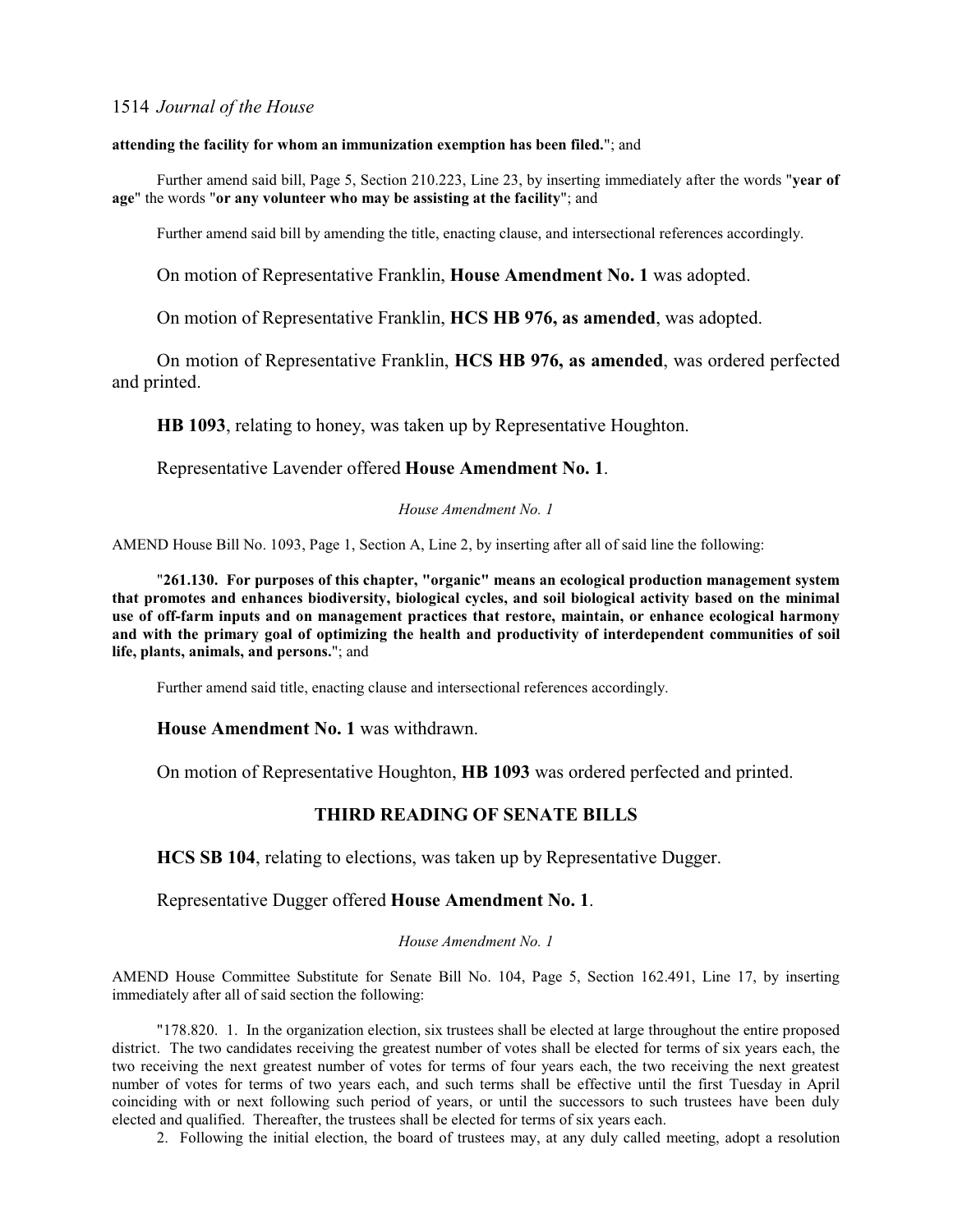#### **attending the facility for whom an immunization exemption has been filed.**"; and

Further amend said bill, Page 5, Section 210.223, Line 23, by inserting immediately after the words "**year of age**" the words "**or any volunteer who may be assisting at the facility**"; and

Further amend said bill by amending the title, enacting clause, and intersectional references accordingly.

On motion of Representative Franklin, **House Amendment No. 1** was adopted.

On motion of Representative Franklin, **HCS HB 976, as amended**, was adopted.

On motion of Representative Franklin, **HCS HB 976, as amended**, was ordered perfected and printed.

**HB 1093**, relating to honey, was taken up by Representative Houghton.

Representative Lavender offered **House Amendment No. 1**.

#### *House Amendment No. 1*

AMEND House Bill No. 1093, Page 1, Section A, Line 2, by inserting after all of said line the following:

"**261.130. For purposes of this chapter, "organic" means an ecological production management system that promotes and enhances biodiversity, biological cycles, and soil biological activity based on the minimal use of off-farm inputs and on management practices that restore, maintain, or enhance ecological harmony and with the primary goal of optimizing the health and productivity of interdependent communities of soil life, plants, animals, and persons.**"; and

Further amend said title, enacting clause and intersectional references accordingly.

### **House Amendment No. 1** was withdrawn.

On motion of Representative Houghton, **HB 1093** was ordered perfected and printed.

# **THIRD READING OF SENATE BILLS**

**HCS SB 104**, relating to elections, was taken up by Representative Dugger.

### Representative Dugger offered **House Amendment No. 1**.

#### *House Amendment No. 1*

AMEND House Committee Substitute for Senate Bill No. 104, Page 5, Section 162.491, Line 17, by inserting immediately after all of said section the following:

"178.820. 1. In the organization election, six trustees shall be elected at large throughout the entire proposed district. The two candidates receiving the greatest number of votes shall be elected for terms of six years each, the two receiving the next greatest number of votes for terms of four years each, the two receiving the next greatest number of votes for terms of two years each, and such terms shall be effective until the first Tuesday in April coinciding with or next following such period of years, or until the successors to such trustees have been duly elected and qualified. Thereafter, the trustees shall be elected for terms of six years each.

2. Following the initial election, the board of trustees may, at any duly called meeting, adopt a resolution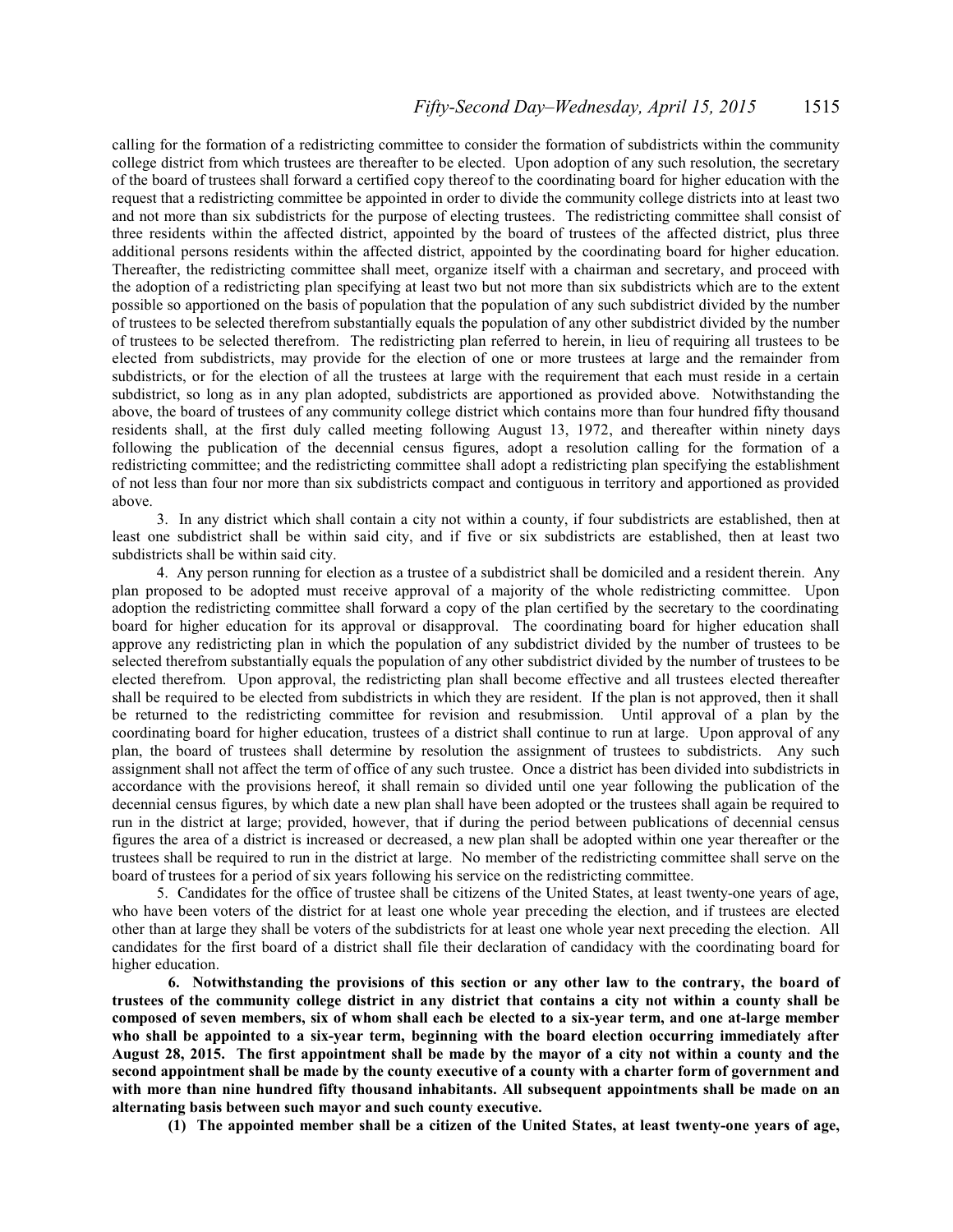#### *Fifty-Second Day–Wednesday, April 15, 2015* 1515

calling for the formation of a redistricting committee to consider the formation of subdistricts within the community college district from which trustees are thereafter to be elected. Upon adoption of any such resolution, the secretary of the board of trustees shall forward a certified copy thereof to the coordinating board for higher education with the request that a redistricting committee be appointed in order to divide the community college districts into at least two and not more than six subdistricts for the purpose of electing trustees. The redistricting committee shall consist of three residents within the affected district, appointed by the board of trustees of the affected district, plus three additional persons residents within the affected district, appointed by the coordinating board for higher education. Thereafter, the redistricting committee shall meet, organize itself with a chairman and secretary, and proceed with the adoption of a redistricting plan specifying at least two but not more than six subdistricts which are to the extent possible so apportioned on the basis of population that the population of any such subdistrict divided by the number of trustees to be selected therefrom substantially equals the population of any other subdistrict divided by the number of trustees to be selected therefrom. The redistricting plan referred to herein, in lieu of requiring all trustees to be elected from subdistricts, may provide for the election of one or more trustees at large and the remainder from subdistricts, or for the election of all the trustees at large with the requirement that each must reside in a certain subdistrict, so long as in any plan adopted, subdistricts are apportioned as provided above. Notwithstanding the above, the board of trustees of any community college district which contains more than four hundred fifty thousand residents shall, at the first duly called meeting following August 13, 1972, and thereafter within ninety days following the publication of the decennial census figures, adopt a resolution calling for the formation of a redistricting committee; and the redistricting committee shall adopt a redistricting plan specifying the establishment of not less than four nor more than six subdistricts compact and contiguous in territory and apportioned as provided above.

3. In any district which shall contain a city not within a county, if four subdistricts are established, then at least one subdistrict shall be within said city, and if five or six subdistricts are established, then at least two subdistricts shall be within said city.

4. Any person running for election as a trustee of a subdistrict shall be domiciled and a resident therein. Any plan proposed to be adopted must receive approval of a majority of the whole redistricting committee. Upon adoption the redistricting committee shall forward a copy of the plan certified by the secretary to the coordinating board for higher education for its approval or disapproval. The coordinating board for higher education shall approve any redistricting plan in which the population of any subdistrict divided by the number of trustees to be selected therefrom substantially equals the population of any other subdistrict divided by the number of trustees to be elected therefrom. Upon approval, the redistricting plan shall become effective and all trustees elected thereafter shall be required to be elected from subdistricts in which they are resident. If the plan is not approved, then it shall be returned to the redistricting committee for revision and resubmission. Until approval of a plan by the coordinating board for higher education, trustees of a district shall continue to run at large. Upon approval of any plan, the board of trustees shall determine by resolution the assignment of trustees to subdistricts. Any such assignment shall not affect the term of office of any such trustee. Once a district has been divided into subdistricts in accordance with the provisions hereof, it shall remain so divided until one year following the publication of the decennial census figures, by which date a new plan shall have been adopted or the trustees shall again be required to run in the district at large; provided, however, that if during the period between publications of decennial census figures the area of a district is increased or decreased, a new plan shall be adopted within one year thereafter or the trustees shall be required to run in the district at large. No member of the redistricting committee shall serve on the board of trustees for a period of six years following his service on the redistricting committee.

5. Candidates for the office of trustee shall be citizens of the United States, at least twenty-one years of age, who have been voters of the district for at least one whole year preceding the election, and if trustees are elected other than at large they shall be voters of the subdistricts for at least one whole year next preceding the election. All candidates for the first board of a district shall file their declaration of candidacy with the coordinating board for higher education.

**6. Notwithstanding the provisions of this section or any other law to the contrary, the board of trustees of the community college district in any district that contains a city not within a county shall be composed of seven members, six of whom shall each be elected to a six-year term, and one at-large member who shall be appointed to a six-year term, beginning with the board election occurring immediately after August 28, 2015. The first appointment shall be made by the mayor of a city not within a county and the second appointment shall be made by the county executive of a county with a charter form of government and with more than nine hundred fifty thousand inhabitants. All subsequent appointments shall be made on an alternating basis between such mayor and such county executive.** 

**(1) The appointed member shall be a citizen of the United States, at least twenty-one years of age,**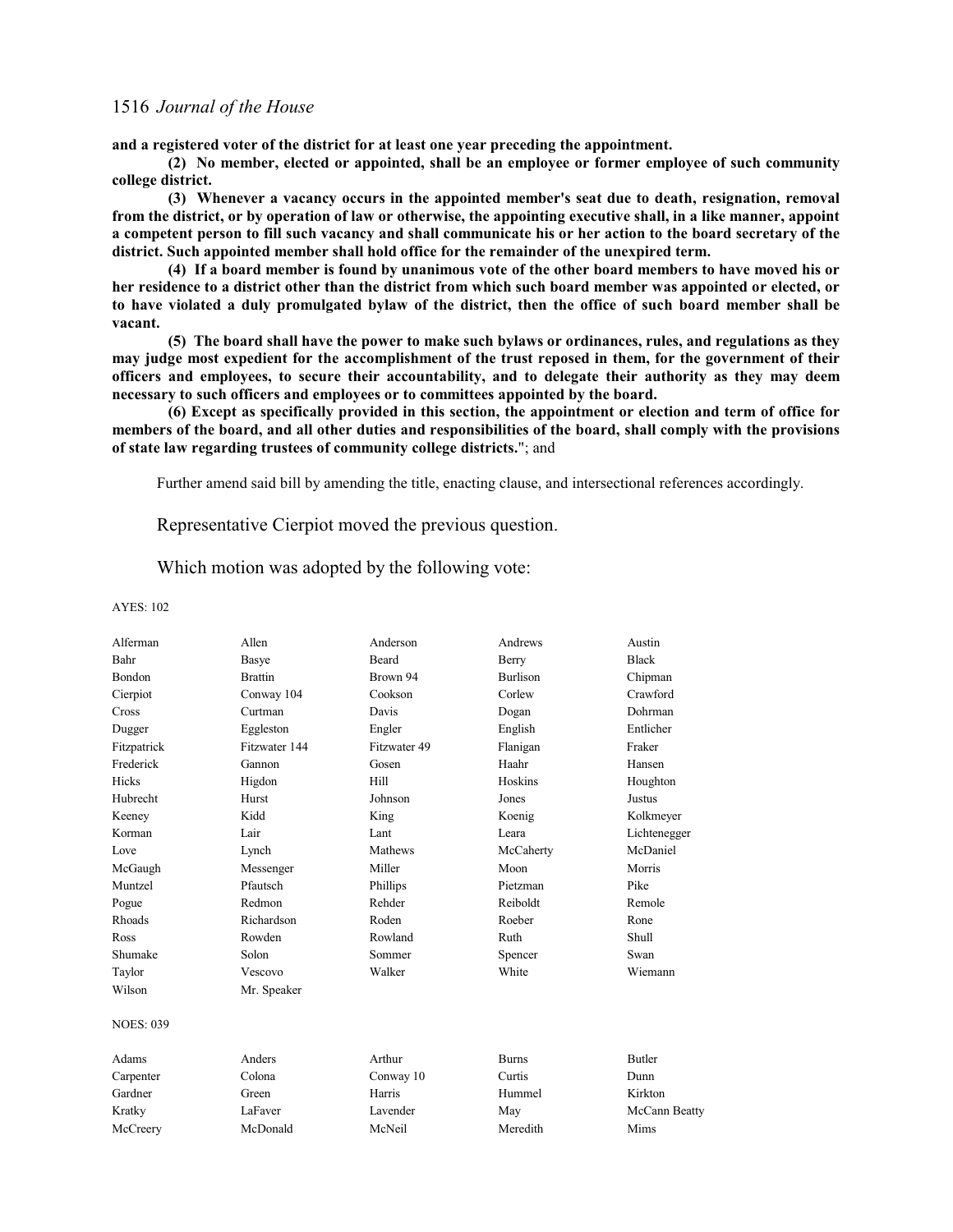**and a registered voter of the district for at least one year preceding the appointment.**

**(2) No member, elected or appointed, shall be an employee or former employee of such community college district.** 

**(3) Whenever a vacancy occurs in the appointed member's seat due to death, resignation, removal from the district, or by operation of law or otherwise, the appointing executive shall, in a like manner, appoint a competent person to fill such vacancy and shall communicate his or her action to the board secretary of the district. Such appointed member shall hold office for the remainder of the unexpired term.**

**(4) If a board member is found by unanimous vote of the other board members to have moved his or her residence to a district other than the district from which such board member was appointed or elected, or to have violated a duly promulgated bylaw of the district, then the office of such board member shall be vacant.**

**(5) The board shall have the power to make such bylaws or ordinances, rules, and regulations as they may judge most expedient for the accomplishment of the trust reposed in them, for the government of their officers and employees, to secure their accountability, and to delegate their authority as they may deem necessary to such officers and employees or to committees appointed by the board.**

**(6) Except as specifically provided in this section, the appointment or election and term of office for members of the board, and all other duties and responsibilities of the board, shall comply with the provisions of state law regarding trustees of community college districts.**"; and

Further amend said bill by amending the title, enacting clause, and intersectional references accordingly.

Representative Cierpiot moved the previous question.

Which motion was adopted by the following vote:

| Alferman         | Allen          | Anderson     | Andrews         | Austin        |
|------------------|----------------|--------------|-----------------|---------------|
| Bahr             | Basye          | <b>Beard</b> | Berry           | <b>Black</b>  |
| <b>Bondon</b>    | <b>Brattin</b> | Brown 94     | <b>Burlison</b> | Chipman       |
| Cierpiot         | Conway 104     | Cookson      | Corlew          | Crawford      |
| Cross            | Curtman        | Davis        | Dogan           | Dohrman       |
| Dugger           | Eggleston      | Engler       | English         | Entlicher     |
| Fitzpatrick      | Fitzwater 144  | Fitzwater 49 | Flanigan        | Fraker        |
| Frederick        | Gannon         | Gosen        | Haahr           | Hansen        |
| Hicks            | Higdon         | Hill         | Hoskins         | Houghton      |
| Hubrecht         | Hurst          | Johnson      | Jones           | Justus        |
| Keeney           | Kidd           | King         | Koenig          | Kolkmeyer     |
| Korman           | Lair           | Lant         | Leara           | Lichtenegger  |
| Love             | Lynch          | Mathews      | McCaherty       | McDaniel      |
| McGaugh          | Messenger      | Miller       | Moon            | Morris        |
| Muntzel          | Pfautsch       | Phillips     | Pietzman        | Pike          |
| Pogue            | Redmon         | Rehder       | Reiboldt        | Remole        |
| Rhoads           | Richardson     | Roden        | Roeber          | Rone          |
| Ross             | Rowden         | Rowland      | Ruth            | Shull         |
| Shumake          | Solon          | Sommer       | Spencer         | Swan          |
| Taylor           | Vescovo        | Walker       | White           | Wiemann       |
| Wilson           | Mr. Speaker    |              |                 |               |
| <b>NOES: 039</b> |                |              |                 |               |
| Adams            | Anders         | Arthur       | <b>Burns</b>    | <b>Butler</b> |
| Carpenter        | Colona         | Conway 10    | Curtis          | Dunn          |
| Gardner          | Green          | Harris       | Hummel          | Kirkton       |
| Kratky           | LaFaver        | Lavender     | May             | McCann Beatty |
| McCreery         | McDonald       | McNeil       | Meredith        | Mims          |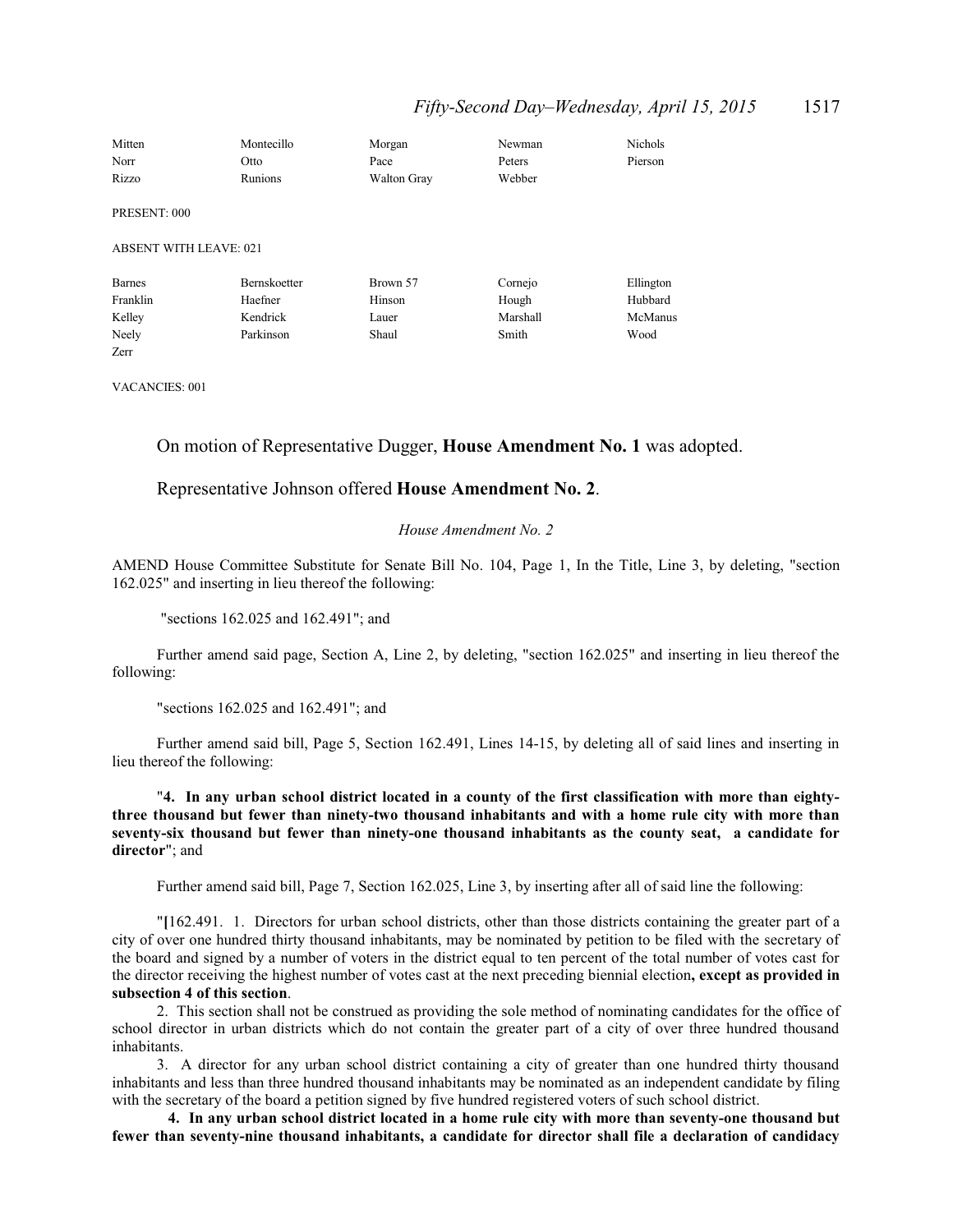| Mitten                        | Montecillo   | Morgan             | Newman   | <b>Nichols</b> |
|-------------------------------|--------------|--------------------|----------|----------------|
| Norr                          | Otto         | Pace               | Peters   | Pierson        |
| Rizzo                         | Runions      | <b>Walton Gray</b> | Webber   |                |
| PRESENT: 000                  |              |                    |          |                |
| <b>ABSENT WITH LEAVE: 021</b> |              |                    |          |                |
| <b>Barnes</b>                 | Bernskoetter | Brown 57           | Cornejo  | Ellington      |
| Franklin                      | Haefner      | Hinson             | Hough    | Hubbard        |
| Kelley                        | Kendrick     | Lauer              | Marshall | McManus        |
| Neely                         | Parkinson    | Shaul              | Smith    | Wood           |
| Zerr                          |              |                    |          |                |

VACANCIES: 001

### On motion of Representative Dugger, **House Amendment No. 1** was adopted.

### Representative Johnson offered **House Amendment No. 2**.

#### *House Amendment No. 2*

AMEND House Committee Substitute for Senate Bill No. 104, Page 1, In the Title, Line 3, by deleting, "section 162.025" and inserting in lieu thereof the following:

"sections 162.025 and 162.491"; and

Further amend said page, Section A, Line 2, by deleting, "section 162.025" and inserting in lieu thereof the following:

"sections 162.025 and 162.491"; and

Further amend said bill, Page 5, Section 162.491, Lines 14-15, by deleting all of said lines and inserting in lieu thereof the following:

"**4. In any urban school district located in a county of the first classification with more than eightythree thousand but fewer than ninety-two thousand inhabitants and with a home rule city with more than seventy-six thousand but fewer than ninety-one thousand inhabitants as the county seat, a candidate for director**"; and

Further amend said bill, Page 7, Section 162.025, Line 3, by inserting after all of said line the following:

"**[**162.491. 1. Directors for urban school districts, other than those districts containing the greater part of a city of over one hundred thirty thousand inhabitants, may be nominated by petition to be filed with the secretary of the board and signed by a number of voters in the district equal to ten percent of the total number of votes cast for the director receiving the highest number of votes cast at the next preceding biennial election**, except as provided in subsection 4 of this section**.

2. This section shall not be construed as providing the sole method of nominating candidates for the office of school director in urban districts which do not contain the greater part of a city of over three hundred thousand inhabitants.

3. A director for any urban school district containing a city of greater than one hundred thirty thousand inhabitants and less than three hundred thousand inhabitants may be nominated as an independent candidate by filing with the secretary of the board a petition signed by five hundred registered voters of such school district.

**4. In any urban school district located in a home rule city with more than seventy-one thousand but fewer than seventy-nine thousand inhabitants, a candidate for director shall file a declaration of candidacy**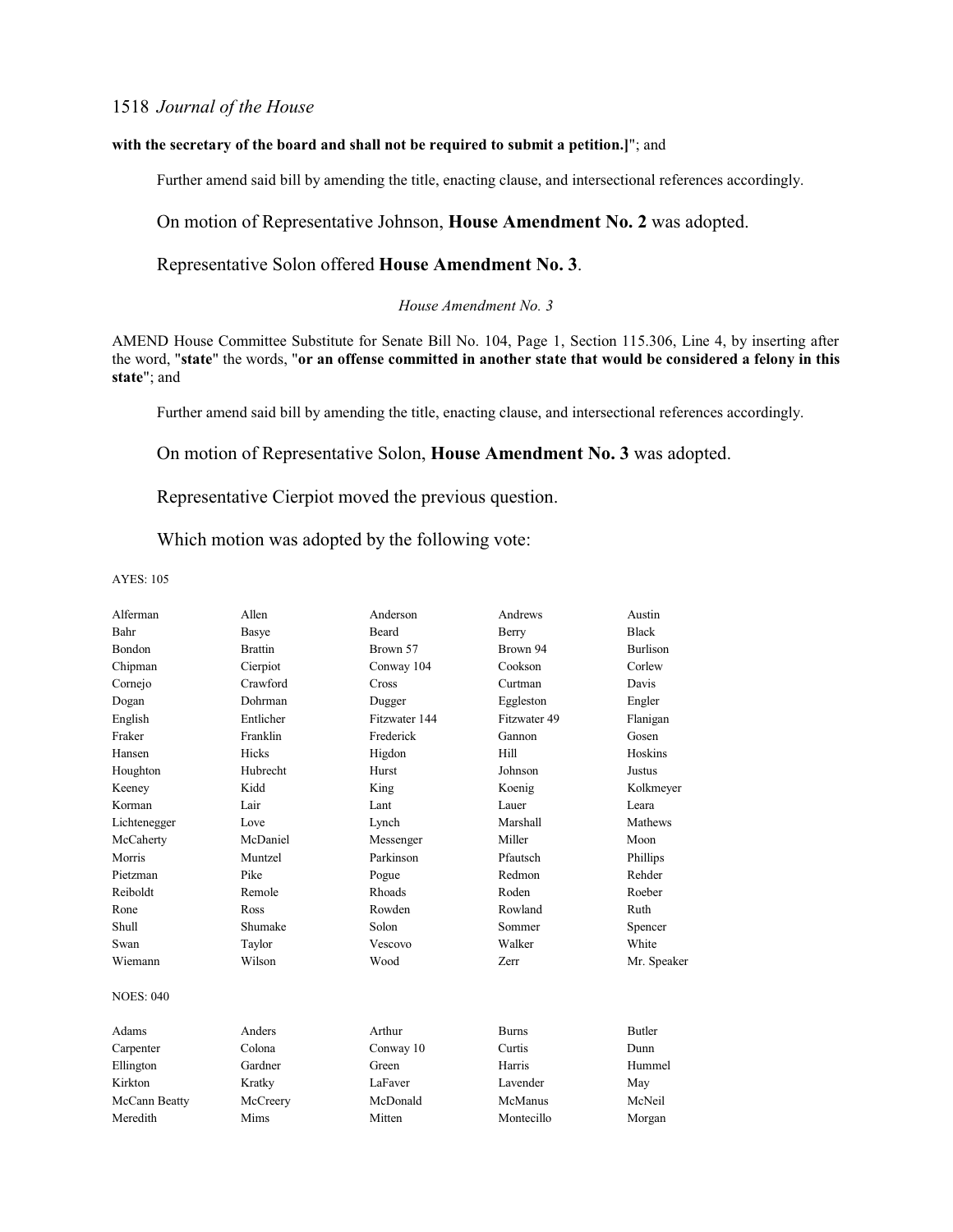#### **with the secretary of the board and shall not be required to submit a petition.]**"; and

Further amend said bill by amending the title, enacting clause, and intersectional references accordingly.

On motion of Representative Johnson, **House Amendment No. 2** was adopted.

### Representative Solon offered **House Amendment No. 3**.

#### *House Amendment No. 3*

AMEND House Committee Substitute for Senate Bill No. 104, Page 1, Section 115.306, Line 4, by inserting after the word, "**state**" the words, "**or an offense committed in another state that would be considered a felony in this state**"; and

Further amend said bill by amending the title, enacting clause, and intersectional references accordingly.

On motion of Representative Solon, **House Amendment No. 3** was adopted.

Representative Cierpiot moved the previous question.

Which motion was adopted by the following vote:

| Alferman         | Allen          | Anderson      | Andrews      | Austin          |
|------------------|----------------|---------------|--------------|-----------------|
| Bahr             | Basye          | Beard         | Berry        | <b>Black</b>    |
| Bondon           | <b>Brattin</b> | Brown 57      | Brown 94     | <b>Burlison</b> |
| Chipman          | Cierpiot       | Conway 104    | Cookson      | Corlew          |
| Cornejo          | Crawford       | Cross         | Curtman      | Davis           |
| Dogan            | Dohrman        | Dugger        | Eggleston    | Engler          |
| English          | Entlicher      | Fitzwater 144 | Fitzwater 49 | Flanigan        |
| Fraker           | Franklin       | Frederick     | Gannon       | Gosen           |
| Hansen           | Hicks          | Higdon        | Hill         | Hoskins         |
| Houghton         | Hubrecht       | Hurst         | Johnson      | Justus          |
| Keeney           | Kidd           | King          | Koenig       | Kolkmeyer       |
| Korman           | Lair           | Lant          | <b>Lauer</b> | Leara           |
| Lichtenegger     | Love           | Lynch         | Marshall     | <b>Mathews</b>  |
| McCaherty        | McDaniel       | Messenger     | Miller       | Moon            |
| Morris           | Muntzel        | Parkinson     | Pfautsch     | Phillips        |
| Pietzman         | Pike           | Pogue         | Redmon       | Rehder          |
| Reiboldt         | Remole         | Rhoads        | Roden        | Roeber          |
| Rone             | Ross           | Rowden        | Rowland      | Ruth            |
| <b>Shull</b>     | Shumake        | Solon         | Sommer       | Spencer         |
| Swan             | Taylor         | Vescovo       | Walker       | White           |
| Wiemann          | Wilson         | Wood          | Zerr         | Mr. Speaker     |
| <b>NOES: 040</b> |                |               |              |                 |
| Adams            | Anders         | Arthur        | <b>Burns</b> | <b>Butler</b>   |
| Carpenter        | Colona         | Conway 10     | Curtis       | Dunn            |
| Ellington        | Gardner        | Green         | Harris       | Hummel          |
| Kirkton          | Kratky         | LaFaver       | Lavender     | May             |
| McCann Beatty    | McCreery       | McDonald      | McManus      | McNeil          |
| Meredith         | Mims           | Mitten        | Montecillo   | Morgan          |
|                  |                |               |              |                 |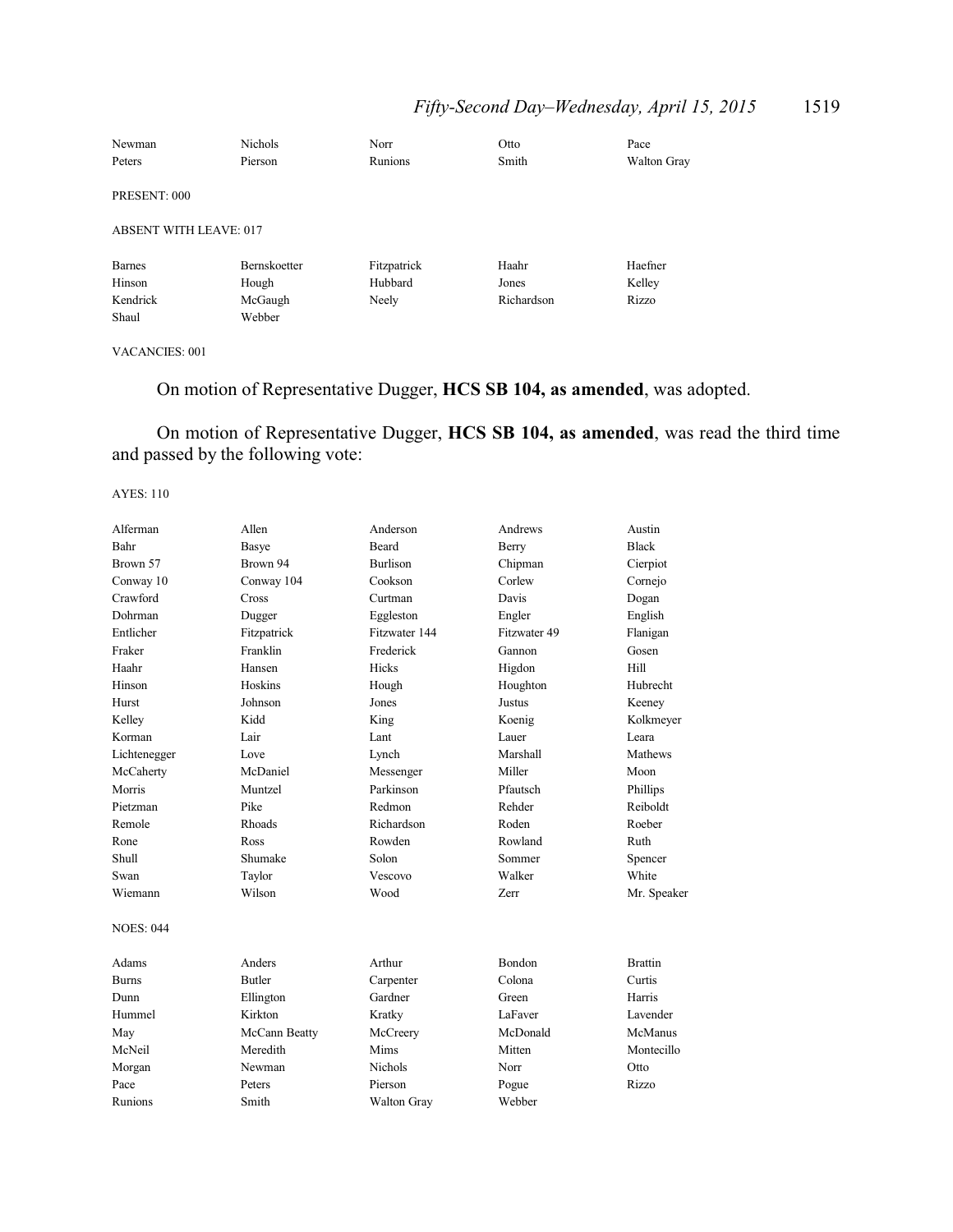# *Fifty-Second Day–Wednesday, April 15, 2015* 1519

| Newman                        | <b>Nichols</b> | Norr        | Otto       | Pace        |
|-------------------------------|----------------|-------------|------------|-------------|
| Peters                        | Pierson        | Runions     | Smith      | Walton Gray |
| PRESENT: 000                  |                |             |            |             |
|                               |                |             |            |             |
| <b>ABSENT WITH LEAVE: 017</b> |                |             |            |             |
| Barnes                        | Bernskoetter   | Fitzpatrick | Haahr      | Haefner     |
| Hinson                        | Hough          | Hubbard     | Jones      | Kelley      |
| Kendrick                      | McGaugh        | Neely       | Richardson | Rizzo       |
| Shaul                         | Webber         |             |            |             |

### VACANCIES: 001

# On motion of Representative Dugger, **HCS SB 104, as amended**, was adopted.

On motion of Representative Dugger, **HCS SB 104, as amended**, was read the third time and passed by the following vote:

| Alferman         | Allen         | Anderson        | Andrews      | Austin         |
|------------------|---------------|-----------------|--------------|----------------|
| Bahr             | <b>Basye</b>  | Beard           | Berry        | <b>Black</b>   |
| Brown 57         | Brown 94      | <b>Burlison</b> | Chipman      | Cierpiot       |
| Conway 10        | Conway 104    | Cookson         | Corlew       | Cornejo        |
| Crawford         | Cross         | Curtman         | Davis        | Dogan          |
| Dohrman          | Dugger        | Eggleston       | Engler       | English        |
| Entlicher        | Fitzpatrick   | Fitzwater 144   | Fitzwater 49 | Flanigan       |
| Fraker           | Franklin      | Frederick       | Gannon       | Gosen          |
| Haahr            | Hansen        | Hicks           | Higdon       | Hill           |
| Hinson           | Hoskins       | Hough           | Houghton     | Hubrecht       |
| Hurst            | Johnson       | Jones           | Justus       | Keeney         |
| Kelley           | Kidd          | King            | Koenig       | Kolkmeyer      |
| Korman           | Lair          | Lant            | Lauer        | Leara          |
| Lichtenegger     | Love          | Lynch           | Marshall     | Mathews        |
| McCaherty        | McDaniel      | Messenger       | Miller       | Moon           |
| Morris           | Muntzel       | Parkinson       | Pfautsch     | Phillips       |
| Pietzman         | Pike          | Redmon          | Rehder       | Reiboldt       |
| Remole           | Rhoads        | Richardson      | Roden        | Roeber         |
| Rone             | Ross          | Rowden          | Rowland      | Ruth           |
| Shull            | Shumake       | Solon           | Sommer       | Spencer        |
| Swan             | Taylor        | Vescovo         | Walker       | White          |
| Wiemann          | Wilson        | Wood            | <b>Zerr</b>  | Mr. Speaker    |
| <b>NOES: 044</b> |               |                 |              |                |
| Adams            | Anders        | Arthur          | Bondon       | <b>Brattin</b> |
| <b>Burns</b>     | <b>Butler</b> | Carpenter       | Colona       | Curtis         |
| Dunn             | Ellington     | Gardner         | Green        | Harris         |
| Hummel           | Kirkton       | Kratky          | LaFaver      | Lavender       |
| May              | McCann Beatty | McCreery        | McDonald     | McManus        |
| McNeil           | Meredith      | Mims            | Mitten       | Montecillo     |
| Morgan           | Newman        | <b>Nichols</b>  | Norr         | Otto           |
| Pace             | Peters        | Pierson         | Pogue        | Rizzo          |
| Runions          | Smith         | Walton Gray     | Webber       |                |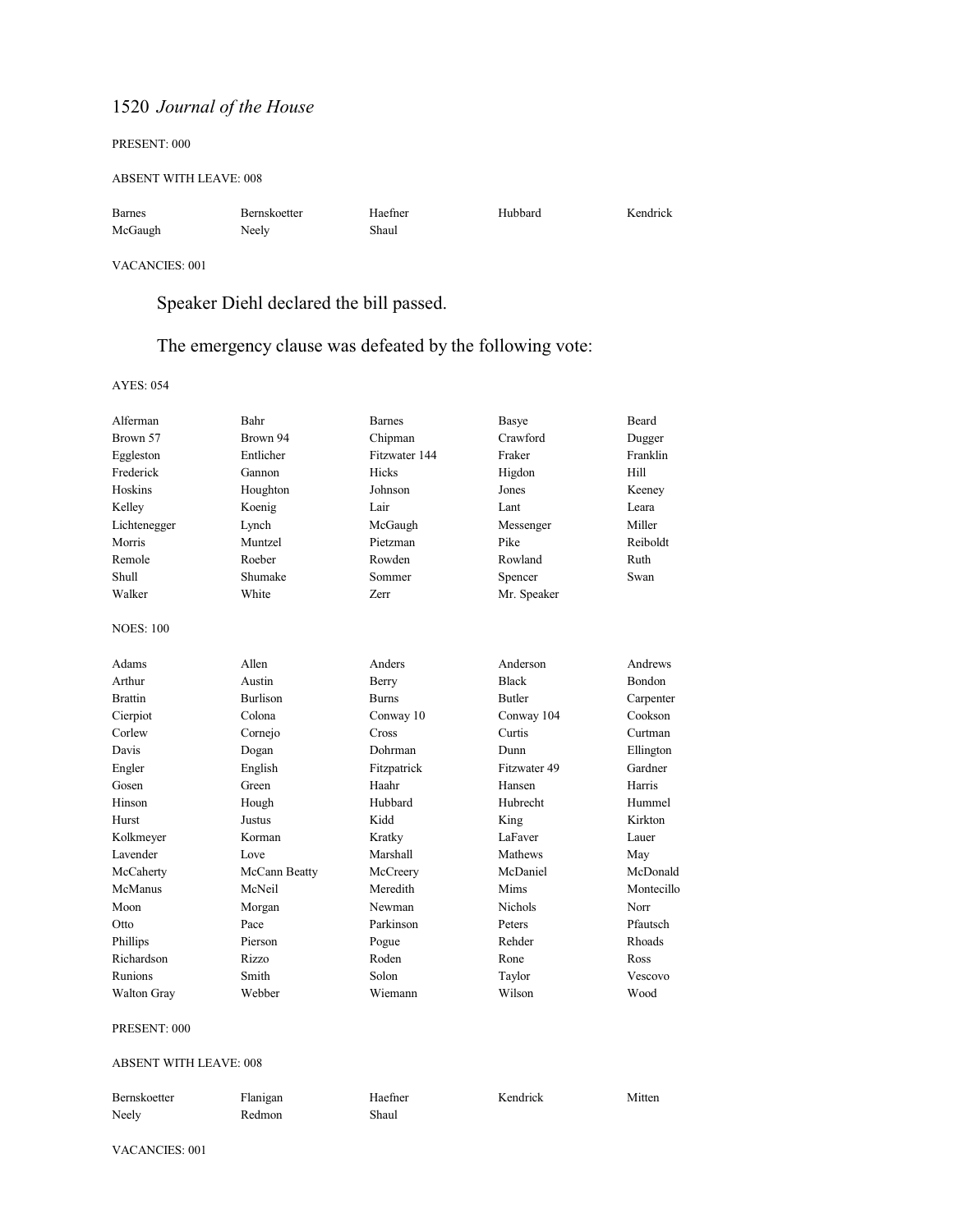#### PRESENT: 000

#### ABSENT WITH LEAVE: 008

| <b>Barnes</b> | Bernskoetter | Haefner | Hubbard | Kendrick |
|---------------|--------------|---------|---------|----------|
| McGaugh       | Neely        | Shaul   |         |          |

#### VACANCIES: 001

# Speaker Diehl declared the bill passed.

# The emergency clause was defeated by the following vote:

AYES: 054

| Alferman           | Bahr            | <b>Barnes</b> | Basye          | <b>Beard</b> |
|--------------------|-----------------|---------------|----------------|--------------|
| Brown 57           | Brown 94        | Chipman       | Crawford       | Dugger       |
| Eggleston          | Entlicher       | Fitzwater 144 | Fraker         | Franklin     |
| Frederick          | Gannon          | Hicks         | Higdon         | Hill         |
| Hoskins            | Houghton        | Johnson       | Jones          | Keeney       |
| Kelley             | Koenig          | Lair          | Lant           | Leara        |
| Lichtenegger       | Lynch           | McGaugh       | Messenger      | Miller       |
| Morris             | Muntzel         | Pietzman      | Pike           | Reiboldt     |
| Remole             | Roeber          | Rowden        | Rowland        | Ruth         |
| Shull              | Shumake         | Sommer        | Spencer        | Swan         |
| Walker             | White           | Zerr          | Mr. Speaker    |              |
| <b>NOES: 100</b>   |                 |               |                |              |
| Adams              | Allen           | Anders        | Anderson       | Andrews      |
| Arthur             | Austin          | Berry         | <b>Black</b>   | Bondon       |
| <b>Brattin</b>     | <b>Burlison</b> | <b>Burns</b>  | <b>Butler</b>  | Carpenter    |
| Cierpiot           | Colona          | Conway 10     | Conway 104     | Cookson      |
| Corlew             | Cornejo         | Cross         | Curtis         | Curtman      |
| Davis              | Dogan           | Dohrman       | Dunn           | Ellington    |
| Engler             | English         | Fitzpatrick   | Fitzwater 49   | Gardner      |
| Gosen              | Green           | Haahr         | Hansen         | Harris       |
| Hinson             | Hough           | Hubbard       | Hubrecht       | Hummel       |
| Hurst              | Justus          | Kidd          | King           | Kirkton      |
| Kolkmeyer          | Korman          | Kratky        | LaFaver        | Lauer        |
| Lavender           | Love            | Marshall      | Mathews        | May          |
| McCaherty          | McCann Beatty   | McCreery      | McDaniel       | McDonald     |
| McManus            | McNeil          | Meredith      | Mims           | Montecillo   |
| Moon               | Morgan          | Newman        | <b>Nichols</b> | Norr         |
| Otto               | Pace            | Parkinson     | Peters         | Pfautsch     |
| Phillips           | Pierson         | Pogue         | Rehder         | Rhoads       |
| Richardson         | Rizzo           | Roden         | Rone           | Ross         |
| Runions            | Smith           | Solon         | Taylor         | Vescovo      |
| <b>Walton Gray</b> | Webber          | Wiemann       | Wilson         | Wood         |

#### PRESENT: 000

#### ABSENT WITH LEAVE: 008

| Bernskoetter | Flanigan | Haefner | Kendrick | Mitten |
|--------------|----------|---------|----------|--------|
| Neely        | Redmon   | Shaul   |          |        |

VACANCIES: 001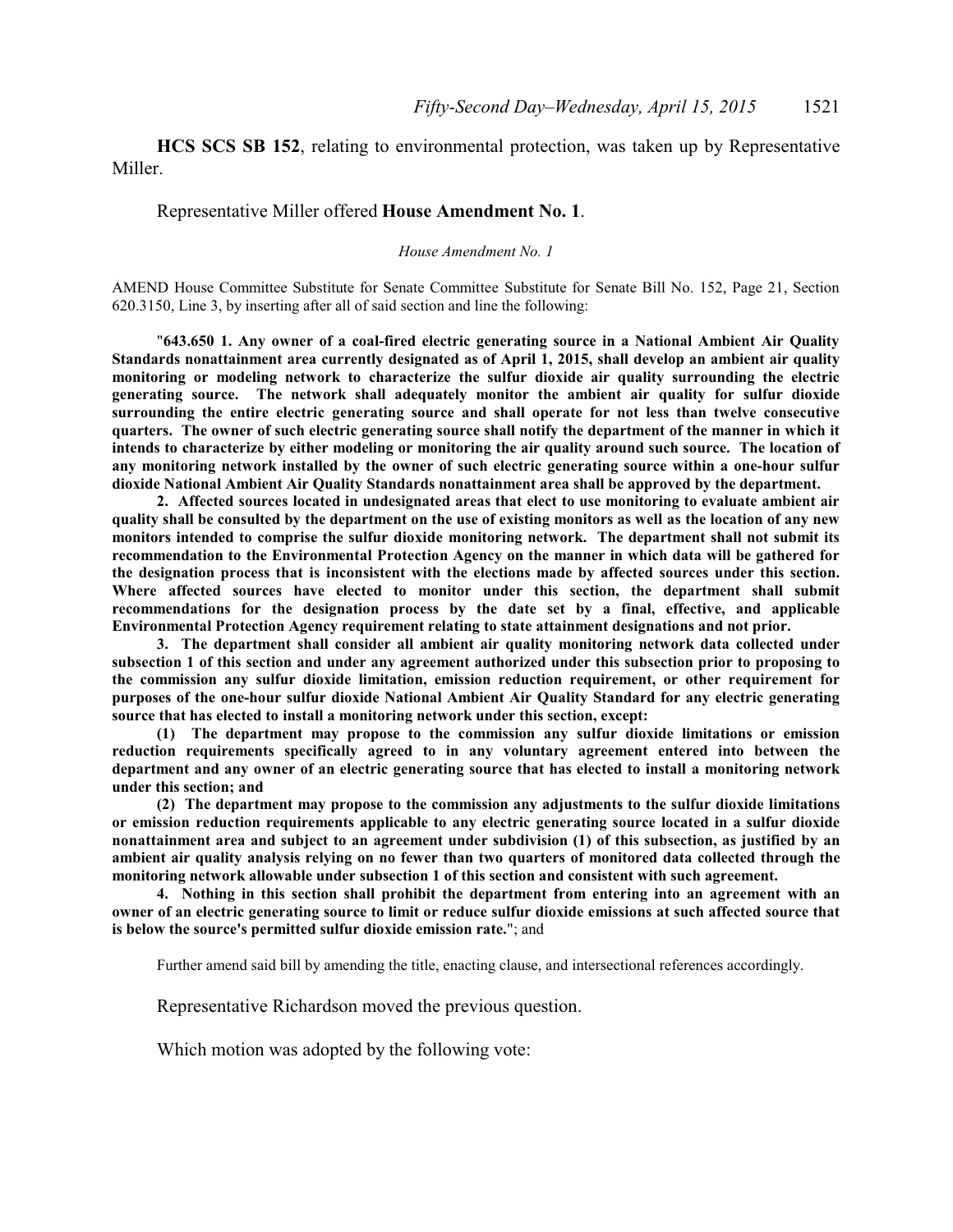**HCS SCS SB 152**, relating to environmental protection, was taken up by Representative Miller.

#### Representative Miller offered **House Amendment No. 1**.

#### *House Amendment No. 1*

AMEND House Committee Substitute for Senate Committee Substitute for Senate Bill No. 152, Page 21, Section 620.3150, Line 3, by inserting after all of said section and line the following:

"**643.650 1. Any owner of a coal-fired electric generating source in a National Ambient Air Quality Standards nonattainment area currently designated as of April 1, 2015, shall develop an ambient air quality monitoring or modeling network to characterize the sulfur dioxide air quality surrounding the electric generating source. The network shall adequately monitor the ambient air quality for sulfur dioxide surrounding the entire electric generating source and shall operate for not less than twelve consecutive quarters. The owner of such electric generating source shall notify the department of the manner in which it intends to characterize by either modeling or monitoring the air quality around such source. The location of any monitoring network installed by the owner of such electric generating source within a one-hour sulfur dioxide National Ambient Air Quality Standards nonattainment area shall be approved by the department.**

**2. Affected sources located in undesignated areas that elect to use monitoring to evaluate ambient air quality shall be consulted by the department on the use of existing monitors as well as the location of any new monitors intended to comprise the sulfur dioxide monitoring network. The department shall not submit its recommendation to the Environmental Protection Agency on the manner in which data will be gathered for the designation process that is inconsistent with the elections made by affected sources under this section. Where affected sources have elected to monitor under this section, the department shall submit recommendations for the designation process by the date set by a final, effective, and applicable Environmental Protection Agency requirement relating to state attainment designations and not prior.**

**3. The department shall consider all ambient air quality monitoring network data collected under subsection 1 of this section and under any agreement authorized under this subsection prior to proposing to the commission any sulfur dioxide limitation, emission reduction requirement, or other requirement for purposes of the one-hour sulfur dioxide National Ambient Air Quality Standard for any electric generating source that has elected to install a monitoring network under this section, except:**

**(1) The department may propose to the commission any sulfur dioxide limitations or emission reduction requirements specifically agreed to in any voluntary agreement entered into between the department and any owner of an electric generating source that has elected to install a monitoring network under this section; and**

**(2) The department may propose to the commission any adjustments to the sulfur dioxide limitations or emission reduction requirements applicable to any electric generating source located in a sulfur dioxide nonattainment area and subject to an agreement under subdivision (1) of this subsection, as justified by an ambient air quality analysis relying on no fewer than two quarters of monitored data collected through the monitoring network allowable under subsection 1 of this section and consistent with such agreement.**

**4. Nothing in this section shall prohibit the department from entering into an agreement with an owner of an electric generating source to limit or reduce sulfur dioxide emissions at such affected source that is below the source's permitted sulfur dioxide emission rate.**"; and

Further amend said bill by amending the title, enacting clause, and intersectional references accordingly.

Representative Richardson moved the previous question.

Which motion was adopted by the following vote: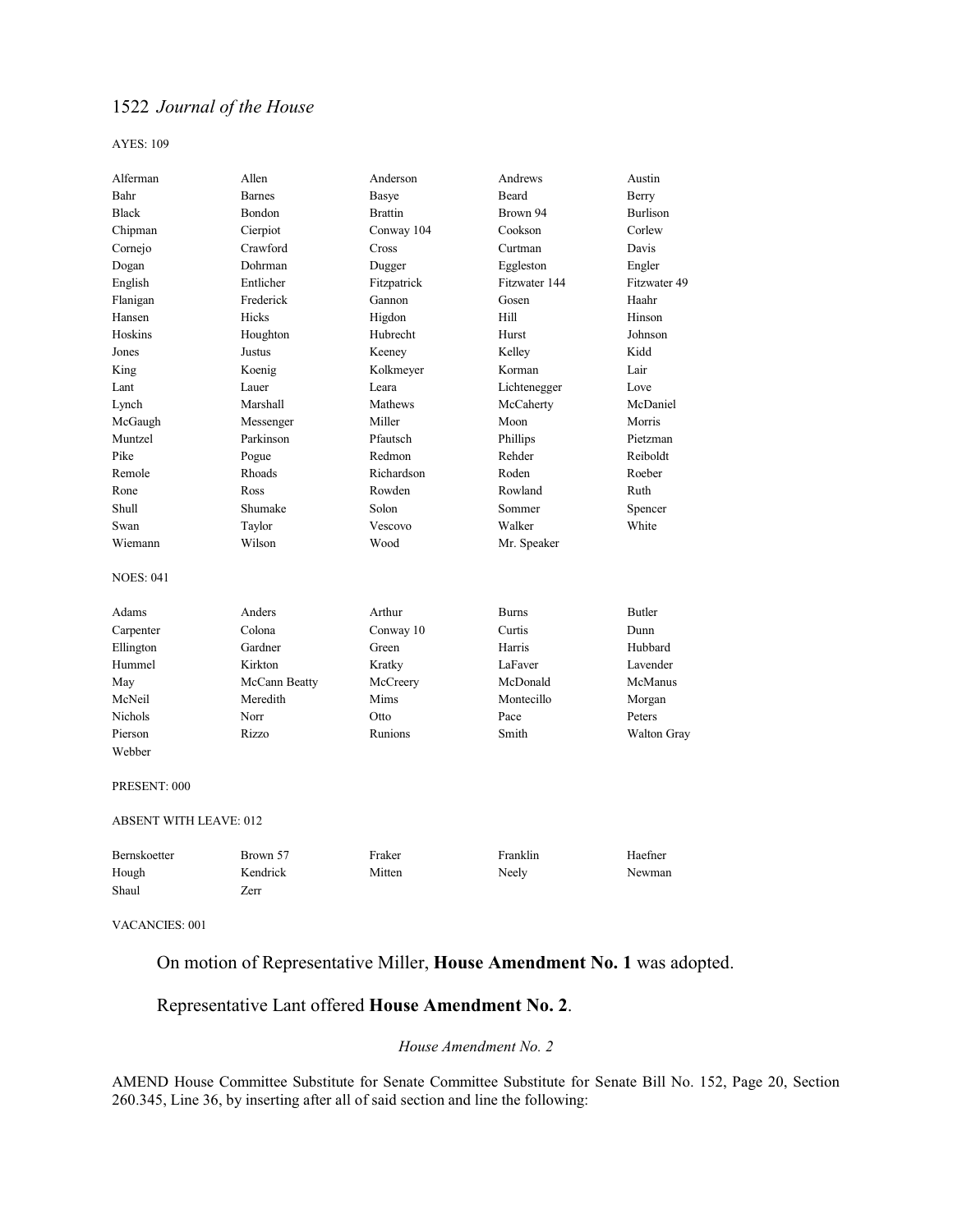AYES: 109

| Alferman                      | Allen          | Anderson       | Andrews       | Austin          |
|-------------------------------|----------------|----------------|---------------|-----------------|
| Bahr                          | <b>Barnes</b>  | Basye          | <b>Beard</b>  | Berry           |
| <b>Black</b>                  | Bondon         | <b>Brattin</b> | Brown 94      | <b>Burlison</b> |
| Chipman                       | Cierpiot       | Conway 104     | Cookson       | Corlew          |
| Cornejo                       | Crawford       | Cross          | Curtman       | Davis           |
| Dogan                         | <b>Dohrman</b> | Dugger         | Eggleston     | Engler          |
| English                       | Entlicher      | Fitzpatrick    | Fitzwater 144 | Fitzwater 49    |
| Flanigan                      | Frederick      | Gannon         | Gosen         | Haahr           |
| Hansen                        | Hicks          | Higdon         | Hill          | Hinson          |
| Hoskins                       | Houghton       | Hubrecht       | Hurst         | Johnson         |
| Jones                         | Justus         | Keeney         | Kelley        | Kidd            |
| King                          | Koenig         | Kolkmeyer      | Korman        | Lair            |
| Lant                          | Lauer          | Leara          | Lichtenegger  | Love            |
| Lynch                         | Marshall       | Mathews        | McCaherty     | McDaniel        |
| McGaugh                       | Messenger      | Miller         | Moon          | Morris          |
| Muntzel                       | Parkinson      | Pfautsch       | Phillips      | Pietzman        |
| Pike                          | Pogue          | Redmon         | Rehder        | Reiboldt        |
| Remole                        | Rhoads         | Richardson     | Roden         | Roeber          |
| Rone                          | Ross           | Rowden         | Rowland       | Ruth            |
| Shull                         | Shumake        | Solon          | Sommer        | Spencer         |
| Swan                          | Taylor         | Vescovo        | Walker        | White           |
| Wiemann                       | Wilson         | Wood           | Mr. Speaker   |                 |
|                               |                |                |               |                 |
| <b>NOES: 041</b>              |                |                |               |                 |
| Adams                         | Anders         | Arthur         | <b>Burns</b>  | Butler          |
| Carpenter                     | Colona         | Conway 10      | Curtis        | Dunn            |
| Ellington                     | Gardner        | Green          | Harris        | Hubbard         |
| Hummel                        | Kirkton        | Kratky         | LaFaver       | Lavender        |
| May                           | McCann Beatty  | McCreery       | McDonald      | McManus         |
| McNeil                        | Meredith       | Mims           | Montecillo    | Morgan          |
| <b>Nichols</b>                | Norr           | Otto           | Pace          | Peters          |
| Pierson                       | Rizzo          | Runions        | Smith         | Walton Gray     |
| Webber                        |                |                |               |                 |
| PRESENT: 000                  |                |                |               |                 |
| <b>ABSENT WITH LEAVE: 012</b> |                |                |               |                 |
| Bernskoetter                  | Brown 57       | Fraker         | Franklin      | Haefner         |
| Hough                         | Kendrick       | Mitten         | Neely         | Newman          |
| Shaul                         | Zerr           |                |               |                 |
|                               |                |                |               |                 |

VACANCIES: 001

On motion of Representative Miller, **House Amendment No. 1** was adopted.

# Representative Lant offered **House Amendment No. 2**.

### *House Amendment No. 2*

AMEND House Committee Substitute for Senate Committee Substitute for Senate Bill No. 152, Page 20, Section 260.345, Line 36, by inserting after all of said section and line the following: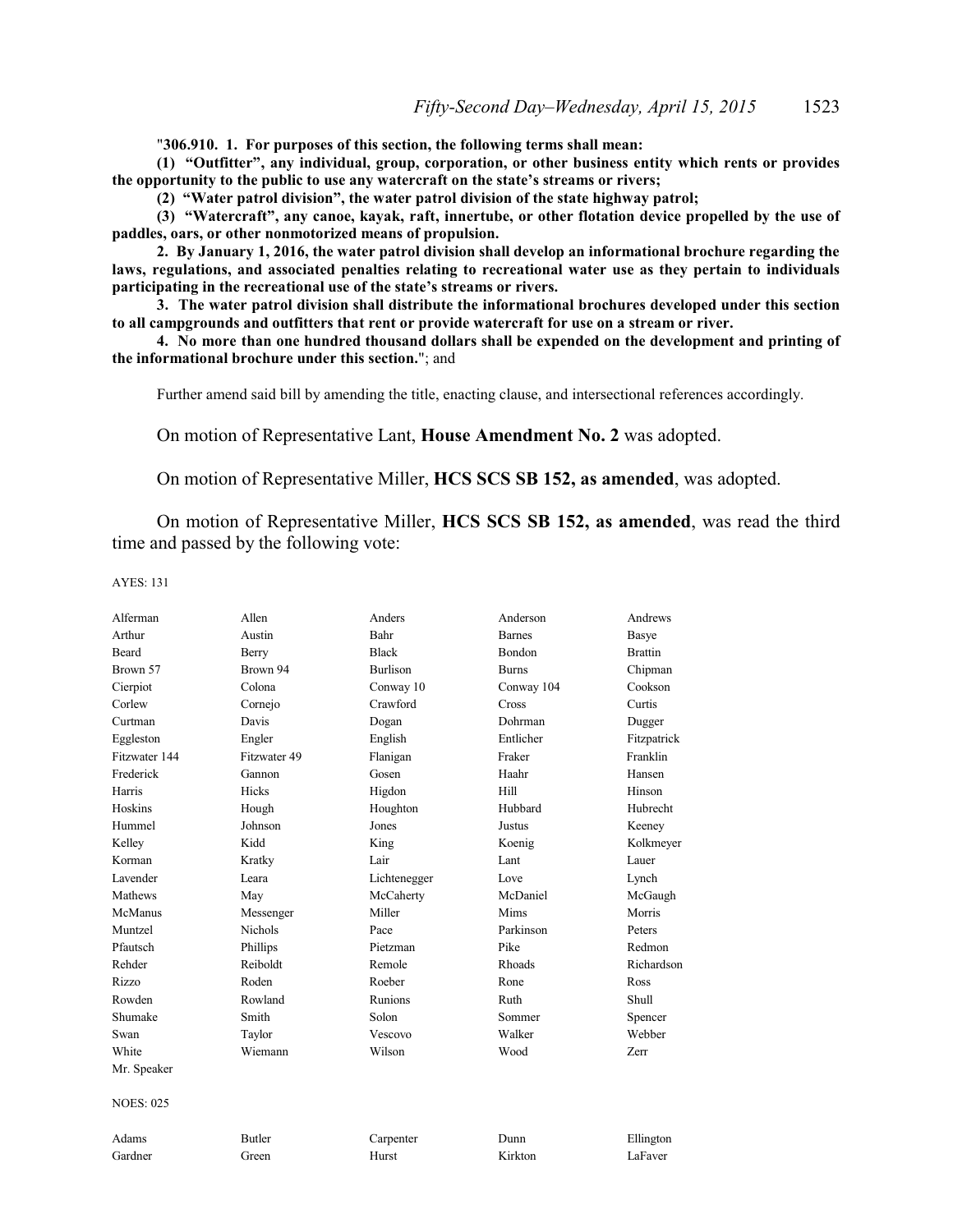"**306.910. 1. For purposes of this section, the following terms shall mean:**

**(1) "Outfitter", any individual, group, corporation, or other business entity which rents or provides the opportunity to the public to use any watercraft on the state's streams or rivers;**

**(2) "Water patrol division", the water patrol division of the state highway patrol;**

**(3) "Watercraft", any canoe, kayak, raft, innertube, or other flotation device propelled by the use of paddles, oars, or other nonmotorized means of propulsion.**

**2. By January 1, 2016, the water patrol division shall develop an informational brochure regarding the laws, regulations, and associated penalties relating to recreational water use as they pertain to individuals participating in the recreational use of the state's streams or rivers.**

**3. The water patrol division shall distribute the informational brochures developed under this section to all campgrounds and outfitters that rent or provide watercraft for use on a stream or river.**

**4. No more than one hundred thousand dollars shall be expended on the development and printing of the informational brochure under this section.**"; and

Further amend said bill by amending the title, enacting clause, and intersectional references accordingly.

On motion of Representative Lant, **House Amendment No. 2** was adopted.

On motion of Representative Miller, **HCS SCS SB 152, as amended**, was adopted.

On motion of Representative Miller, **HCS SCS SB 152, as amended**, was read the third time and passed by the following vote:

| Alferman         | Allen          | Anders          | Anderson      | Andrews        |
|------------------|----------------|-----------------|---------------|----------------|
| Arthur           | Austin         | Bahr            | <b>Barnes</b> | Basye          |
| <b>Beard</b>     | Berry          | <b>Black</b>    | <b>Bondon</b> | <b>Brattin</b> |
| Brown 57         | Brown 94       | <b>Burlison</b> | <b>Burns</b>  | Chipman        |
| Cierpiot         | Colona         | Conway 10       | Conway 104    | Cookson        |
| Corlew           | Cornejo        | Crawford        | Cross         | Curtis         |
| Curtman          | Davis          | Dogan           | Dohrman       | Dugger         |
| Eggleston        | Engler         | English         | Entlicher     | Fitzpatrick    |
| Fitzwater 144    | Fitzwater 49   | Flanigan        | Fraker        | Franklin       |
| Frederick        | Gannon         | Gosen           | Haahr         | Hansen         |
| Harris           | Hicks          | Higdon          | Hill          | Hinson         |
| Hoskins          | Hough          | Houghton        | Hubbard       | Hubrecht       |
| Hummel           | Johnson        | Jones           | Justus        | Keeney         |
| Kelley           | Kidd           | King            | Koenig        | Kolkmeyer      |
| Korman           | Kratky         | Lair            | Lant          | Lauer          |
| Lavender         | Leara          | Lichtenegger    | Love          | Lynch          |
| Mathews          | May            | McCaherty       | McDaniel      | McGaugh        |
| McManus          | Messenger      | Miller          | Mims          | Morris         |
| Muntzel          | <b>Nichols</b> | Pace            | Parkinson     | Peters         |
| Pfautsch         | Phillips       | Pietzman        | Pike          | Redmon         |
| Rehder           | Reiboldt       | Remole          | Rhoads        | Richardson     |
| Rizzo            | Roden          | Roeber          | Rone          | Ross           |
| Rowden           | Rowland        | Runions         | Ruth          | Shull          |
| Shumake          | Smith          | Solon           | Sommer        | Spencer        |
| Swan             | Taylor         | Vescovo         | Walker        | Webber         |
| White            | Wiemann        | Wilson          | Wood          | Zerr           |
| Mr. Speaker      |                |                 |               |                |
| <b>NOES: 025</b> |                |                 |               |                |
| Adams            | <b>Butler</b>  | Carpenter       | Dunn          | Ellington      |
| Gardner          | Green          | Hurst           | Kirkton       | LaFaver        |
|                  |                |                 |               |                |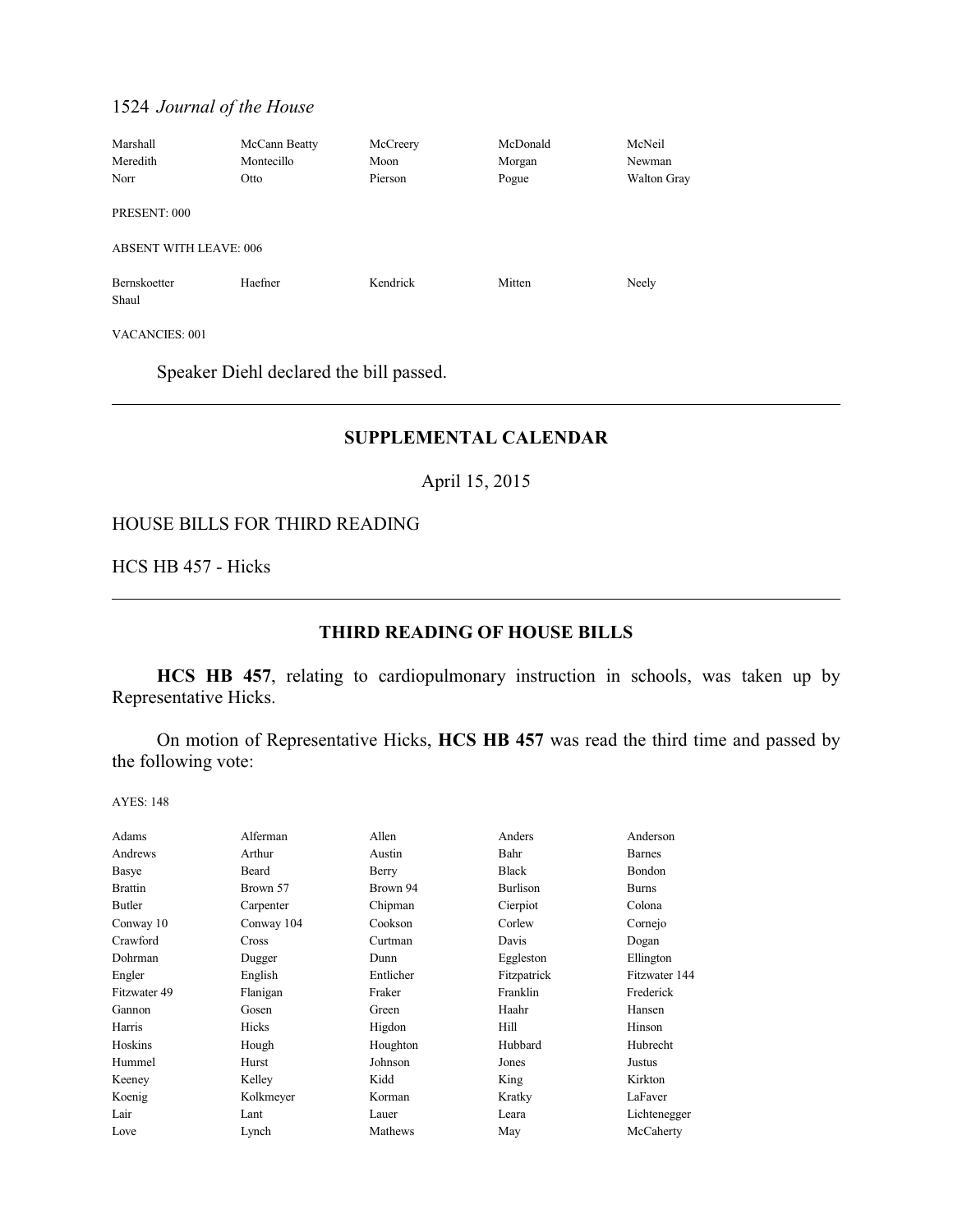| Marshall                      | McCann Beatty | McCreery | McDonald | McNeil      |
|-------------------------------|---------------|----------|----------|-------------|
| Meredith                      | Montecillo    | Moon     | Morgan   | Newman      |
| Norr                          | Otto          | Pierson  | Pogue    | Walton Gray |
| PRESENT: 000                  |               |          |          |             |
| <b>ABSENT WITH LEAVE: 006</b> |               |          |          |             |
| Bernskoetter<br>Shaul         | Haefner       | Kendrick | Mitten   | Neely       |

VACANCIES: 001

Speaker Diehl declared the bill passed.

# **SUPPLEMENTAL CALENDAR**

April 15, 2015

### HOUSE BILLS FOR THIRD READING

HCS HB 457 - Hicks

# **THIRD READING OF HOUSE BILLS**

**HCS HB 457**, relating to cardiopulmonary instruction in schools, was taken up by Representative Hicks.

On motion of Representative Hicks, **HCS HB 457** was read the third time and passed by the following vote:

| Adams          | Alferman   | Allen     | Anders       | Anderson      |
|----------------|------------|-----------|--------------|---------------|
| Andrews        | Arthur     | Austin    | Bahr         | <b>Barnes</b> |
| Basye          | Beard      | Berry     | <b>Black</b> | Bondon        |
| <b>Brattin</b> | Brown 57   | Brown 94  | Burlison     | <b>Burns</b>  |
| Butler         | Carpenter  | Chipman   | Cierpiot     | Colona        |
| Conway 10      | Conway 104 | Cookson   | Corlew       | Cornejo       |
| Crawford       | Cross      | Curtman   | Davis        | Dogan         |
| Dohrman        | Dugger     | Dunn      | Eggleston    | Ellington     |
| Engler         | English    | Entlicher | Fitzpatrick  | Fitzwater 144 |
| Fitzwater 49   | Flanigan   | Fraker    | Franklin     | Frederick     |
| Gannon         | Gosen      | Green     | Haahr        | Hansen        |
| Harris         | Hicks      | Higdon    | Hill         | Hinson        |
| Hoskins        | Hough      | Houghton  | Hubbard      | Hubrecht      |
| Hummel         | Hurst      | Johnson   | Jones        | Justus        |
| Keeney         | Kelley     | Kidd      | King         | Kirkton       |
| Koenig         | Kolkmeyer  | Korman    | Kratky       | LaFaver       |
| Lair           | Lant       | Lauer     | Leara        | Lichtenegger  |
| Love           | Lynch      | Mathews   | May          | McCaherty     |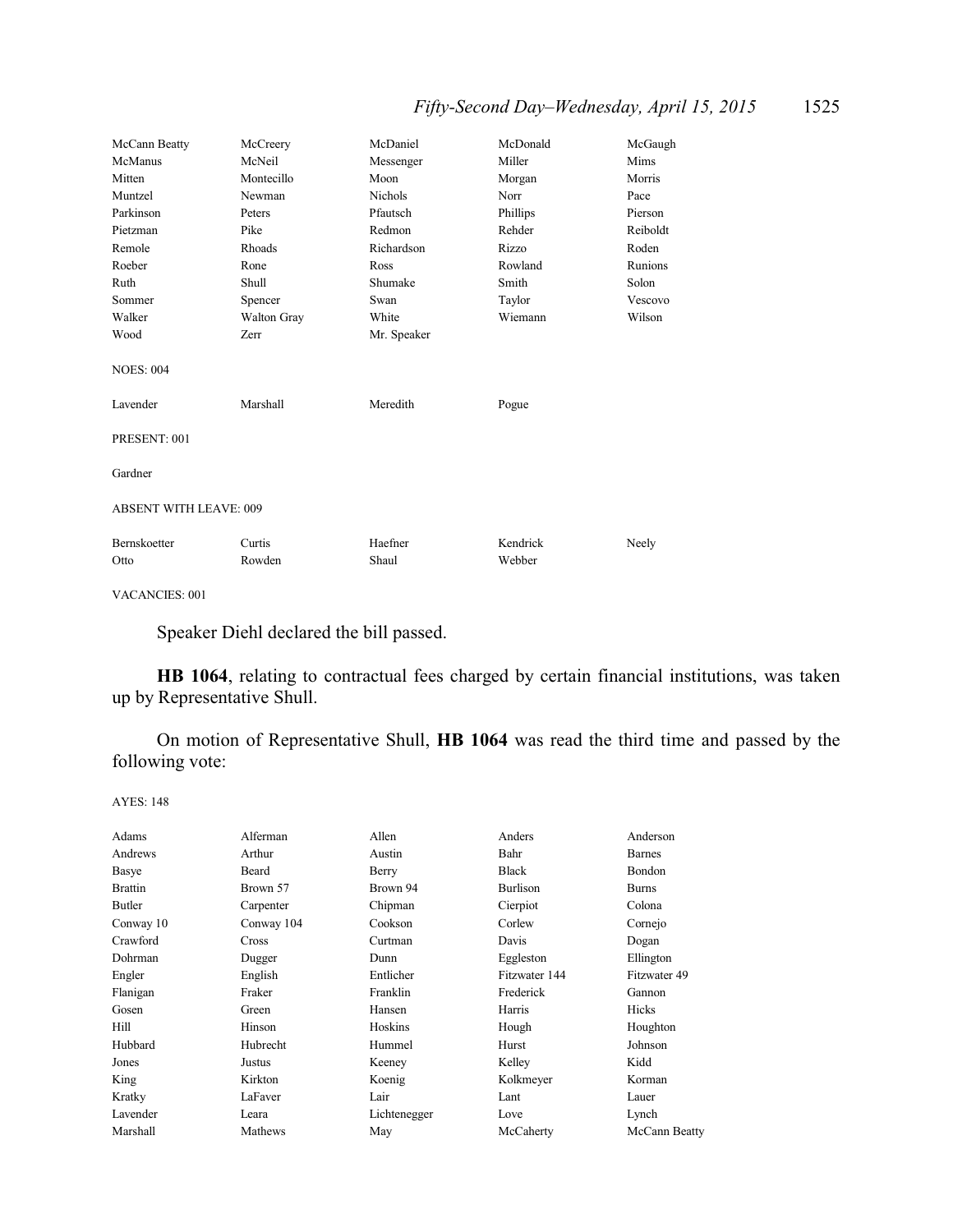| McCann Beatty                 | McCreery           | McDaniel       | McDonald | McGaugh  |
|-------------------------------|--------------------|----------------|----------|----------|
| McManus                       | McNeil             | Messenger      | Miller   | Mims     |
| Mitten                        | Montecillo         | Moon           | Morgan   | Morris   |
| Muntzel                       | Newman             | <b>Nichols</b> | Norr     | Pace     |
| Parkinson                     | Peters             | Pfautsch       | Phillips | Pierson  |
| Pietzman                      | Pike               | Redmon         | Rehder   | Reiboldt |
| Remole                        | Rhoads             | Richardson     | Rizzo    | Roden    |
| Roeber                        | Rone               | Ross           | Rowland  | Runions  |
| Ruth                          | Shull              | Shumake        | Smith    | Solon    |
| Sommer                        | Spencer            | Swan           | Taylor   | Vescovo  |
| Walker                        | <b>Walton Gray</b> | White          | Wiemann  | Wilson   |
| Wood                          | Zerr               | Mr. Speaker    |          |          |
| <b>NOES: 004</b><br>Lavender  | Marshall           | Meredith       | Pogue    |          |
|                               |                    |                |          |          |
| PRESENT: 001                  |                    |                |          |          |
| Gardner                       |                    |                |          |          |
| <b>ABSENT WITH LEAVE: 009</b> |                    |                |          |          |
| <b>Bernskoetter</b>           | Curtis             | Haefner        | Kendrick | Neely    |
| Otto                          | Rowden             | Shaul          | Webber   |          |

VACANCIES: 001

Speaker Diehl declared the bill passed.

**HB 1064**, relating to contractual fees charged by certain financial institutions, was taken up by Representative Shull.

On motion of Representative Shull, **HB 1064** was read the third time and passed by the following vote:

| Adams          | Alferman     | Allen        | Anders        | Anderson      |
|----------------|--------------|--------------|---------------|---------------|
| Andrews        | Arthur       | Austin       | Bahr          | <b>Barnes</b> |
| Basye          | Beard        | Berry        | <b>Black</b>  | Bondon        |
| <b>Brattin</b> | Brown 57     | Brown 94     | Burlison      | <b>Burns</b>  |
| Butler         | Carpenter    | Chipman      | Cierpiot      | Colona        |
| Conway 10      | Conway 104   | Cookson      | Corlew        | Cornejo       |
| Crawford       | <b>Cross</b> | Curtman      | Davis         | Dogan         |
| Dohrman        | Dugger       | Dunn         | Eggleston     | Ellington     |
| Engler         | English      | Entlicher    | Fitzwater 144 | Fitzwater 49  |
| Flanigan       | Fraker       | Franklin     | Frederick     | Gannon        |
| Gosen          | Green        | Hansen       | Harris        | Hicks         |
| Hill           | Hinson       | Hoskins      | Hough         | Houghton      |
| Hubbard        | Hubrecht     | Hummel       | Hurst         | Johnson       |
| Jones          | Justus       | Keeney       | Kelley        | Kidd          |
| King           | Kirkton      | Koenig       | Kolkmeyer     | Korman        |
| Kratky         | LaFaver      | Lair         | Lant          | Lauer         |
| Lavender       | Leara        | Lichtenegger | Love          | Lynch         |
| Marshall       | Mathews      | May          | McCaherty     | McCann Beatty |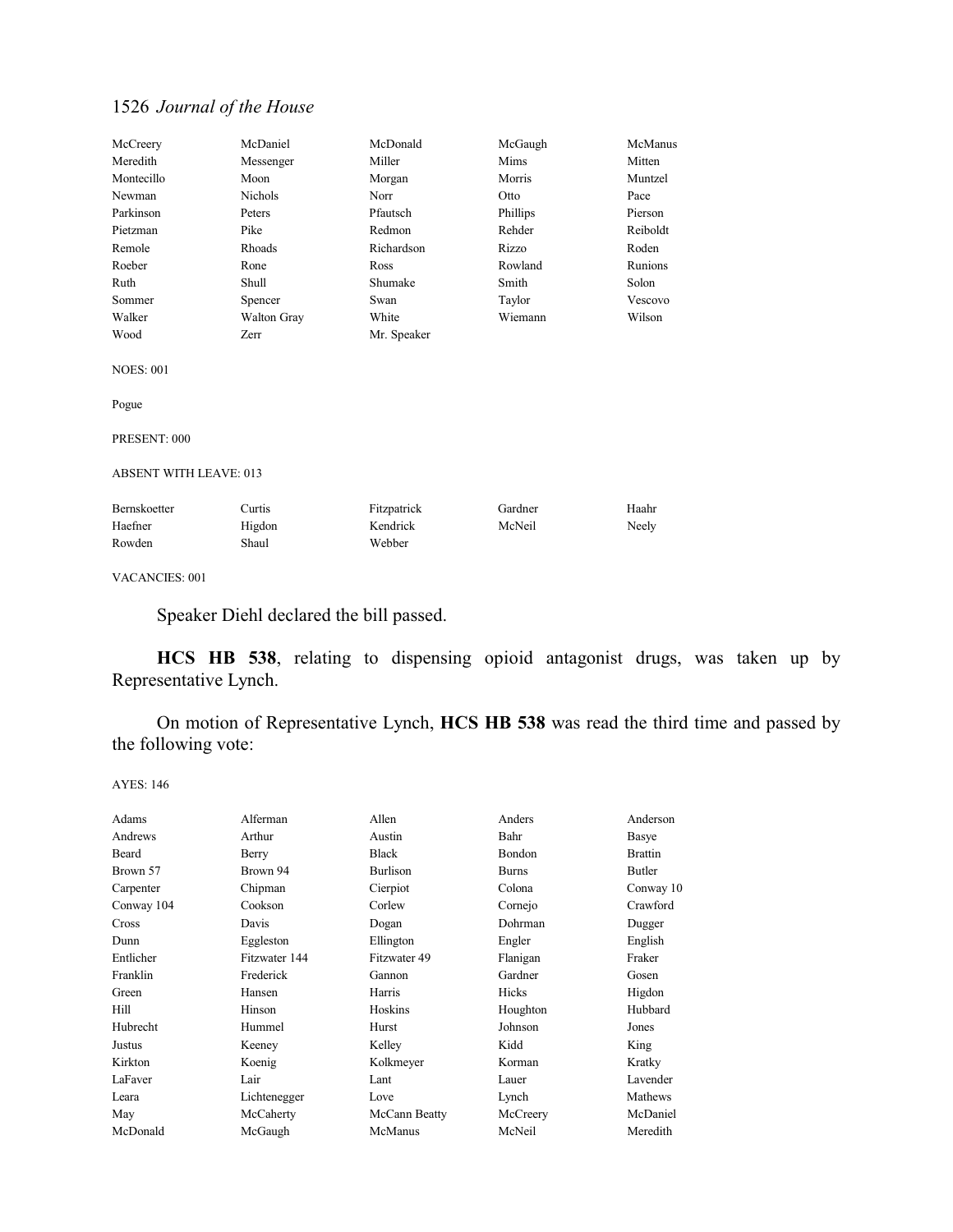| McCreery                      | McDaniel    | McDonald    | McGaugh  | McManus  |
|-------------------------------|-------------|-------------|----------|----------|
| Meredith                      | Messenger   | Miller      | Mims     | Mitten   |
| Montecillo                    | Moon        | Morgan      | Morris   | Muntzel  |
| Newman                        | Nichols     | Norr        | Otto     | Pace     |
| Parkinson                     | Peters      | Pfautsch    | Phillips | Pierson  |
| Pietzman                      | Pike        | Redmon      | Rehder   | Reiboldt |
| Remole                        | Rhoads      | Richardson  | Rizzo    | Roden    |
| Roeber                        | Rone        | Ross        | Rowland  | Runions  |
| Ruth                          | Shull       | Shumake     | Smith    | Solon    |
| Sommer                        | Spencer     | Swan        | Taylor   | Vescovo  |
| Walker                        | Walton Gray | White       | Wiemann  | Wilson   |
| Wood                          | Zerr        | Mr. Speaker |          |          |
| <b>NOES: 001</b>              |             |             |          |          |
| Pogue                         |             |             |          |          |
| PRESENT: 000                  |             |             |          |          |
| <b>ABSENT WITH LEAVE: 013</b> |             |             |          |          |
| <b>Bernskoetter</b>           | Curtis      | Fitzpatrick | Gardner  | Haahr    |
| Haefner                       | Higdon      | Kendrick    | McNeil   | Neely    |
| Rowden                        | Shaul       | Webber      |          |          |
| <b>VACANCIES: 001</b>         |             |             |          |          |

Speaker Diehl declared the bill passed.

**HCS HB 538**, relating to dispensing opioid antagonist drugs, was taken up by Representative Lynch.

On motion of Representative Lynch, **HCS HB 538** was read the third time and passed by the following vote:

| Adams      | Alferman      | Allen         | Anders       | Anderson       |
|------------|---------------|---------------|--------------|----------------|
| Andrews    | Arthur        | Austin        | Bahr         | Basye          |
| Beard      | Berry         | <b>Black</b>  | Bondon       | <b>Brattin</b> |
| Brown 57   | Brown 94      | Burlison      | <b>Burns</b> | Butler         |
| Carpenter  | Chipman       | Cierpiot      | Colona       | Conway 10      |
| Conway 104 | Cookson       | Corlew        | Cornejo      | Crawford       |
| Cross      | Davis         | Dogan         | Dohrman      | Dugger         |
| Dunn       | Eggleston     | Ellington     | Engler       | English        |
| Entlicher  | Fitzwater 144 | Fitzwater 49  | Flanigan     | Fraker         |
| Franklin   | Frederick     | Gannon        | Gardner      | Gosen          |
| Green      | Hansen        | Harris        | <b>Hicks</b> | Higdon         |
| Hill       | Hinson        | Hoskins       | Houghton     | Hubbard        |
| Hubrecht   | Hummel        | Hurst         | Johnson      | Jones          |
| Justus     | Keeney        | Kelley        | Kidd         | King           |
| Kirkton    | Koenig        | Kolkmeyer     | Korman       | Kratky         |
| LaFaver    | Lair          | Lant          | Lauer        | Lavender       |
| Leara      | Lichtenegger  | Love          | Lynch        | Mathews        |
| May        | McCaherty     | McCann Beatty | McCreery     | McDaniel       |
| McDonald   | McGaugh       | McManus       | McNeil       | Meredith       |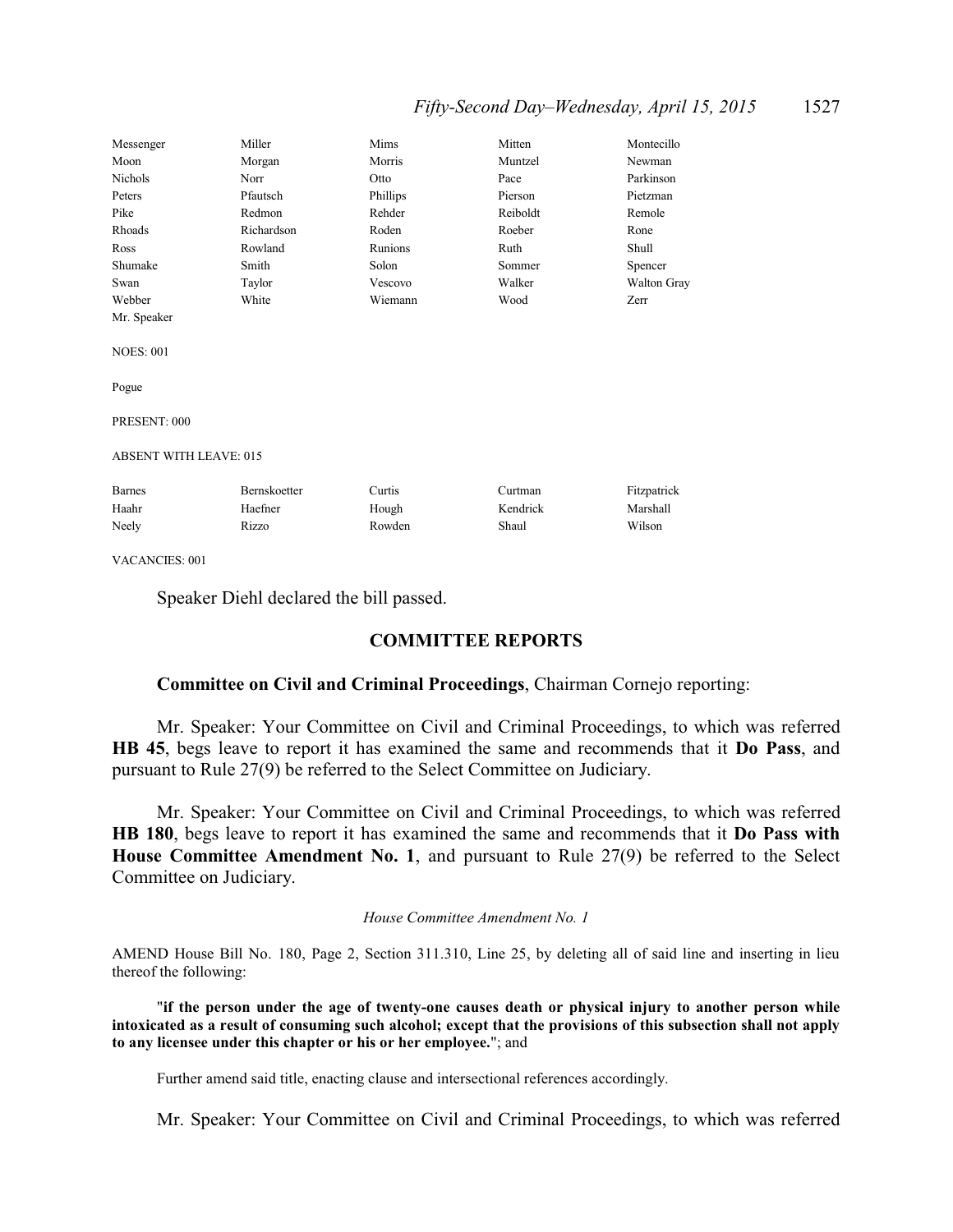# *Fifty-Second Day–Wednesday, April 15, 2015* 1527

| Messenger                     | Miller       | Mims     | Mitten   | Montecillo  |
|-------------------------------|--------------|----------|----------|-------------|
| Moon                          | Morgan       | Morris   | Muntzel  | Newman      |
| Nichols                       | Norr         | Otto     | Pace     | Parkinson   |
| Peters                        | Pfautsch     | Phillips | Pierson  | Pietzman    |
| Pike                          | Redmon       | Rehder   | Reiboldt | Remole      |
| Rhoads                        | Richardson   | Roden    | Roeber   | Rone        |
| Ross                          | Rowland      | Runions  | Ruth     | Shull       |
| Shumake                       | Smith        | Solon    | Sommer   | Spencer     |
| Swan                          | Taylor       | Vescovo  | Walker   | Walton Gray |
| Webber                        | White        | Wiemann  | Wood     | Zerr        |
| Mr. Speaker                   |              |          |          |             |
|                               |              |          |          |             |
| <b>NOES: 001</b>              |              |          |          |             |
|                               |              |          |          |             |
| Pogue                         |              |          |          |             |
|                               |              |          |          |             |
| PRESENT: 000                  |              |          |          |             |
|                               |              |          |          |             |
| <b>ABSENT WITH LEAVE: 015</b> |              |          |          |             |
|                               |              |          |          |             |
| <b>Barnes</b>                 | Bernskoetter | Curtis   | Curtman  | Fitzpatrick |
| Haahr                         | Haefner      | Hough    | Kendrick | Marshall    |
| Neely                         | Rizzo        | Rowden   | Shaul    | Wilson      |
|                               |              |          |          |             |

VACANCIES: 001

Speaker Diehl declared the bill passed.

# **COMMITTEE REPORTS**

### **Committee on Civil and Criminal Proceedings**, Chairman Cornejo reporting:

Mr. Speaker: Your Committee on Civil and Criminal Proceedings, to which was referred **HB 45**, begs leave to report it has examined the same and recommends that it **Do Pass**, and pursuant to Rule 27(9) be referred to the Select Committee on Judiciary.

Mr. Speaker: Your Committee on Civil and Criminal Proceedings, to which was referred **HB 180**, begs leave to report it has examined the same and recommends that it **Do Pass with House Committee Amendment No. 1**, and pursuant to Rule 27(9) be referred to the Select Committee on Judiciary.

#### *House Committee Amendment No. 1*

AMEND House Bill No. 180, Page 2, Section 311.310, Line 25, by deleting all of said line and inserting in lieu thereof the following:

"**if the person under the age of twenty-one causes death or physical injury to another person while intoxicated as a result of consuming such alcohol; except that the provisions of this subsection shall not apply to any licensee under this chapter or his or her employee.**"; and

Further amend said title, enacting clause and intersectional references accordingly.

Mr. Speaker: Your Committee on Civil and Criminal Proceedings, to which was referred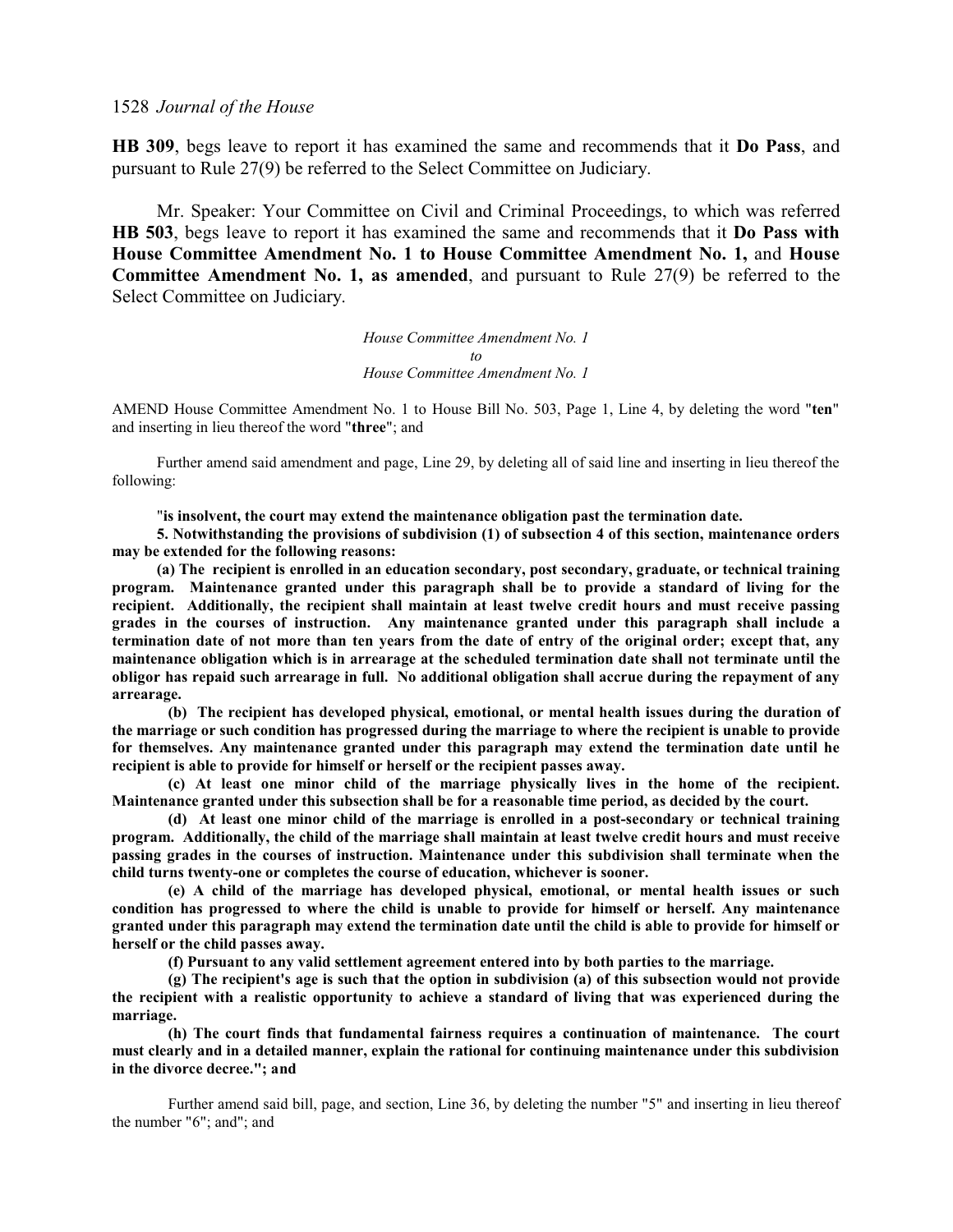**HB 309**, begs leave to report it has examined the same and recommends that it **Do Pass**, and pursuant to Rule 27(9) be referred to the Select Committee on Judiciary.

Mr. Speaker: Your Committee on Civil and Criminal Proceedings, to which was referred **HB 503**, begs leave to report it has examined the same and recommends that it **Do Pass with House Committee Amendment No. 1 to House Committee Amendment No. 1,** and **House Committee Amendment No. 1, as amended**, and pursuant to Rule 27(9) be referred to the Select Committee on Judiciary.

> *House Committee Amendment No. 1 to House Committee Amendment No. 1*

AMEND House Committee Amendment No. 1 to House Bill No. 503, Page 1, Line 4, by deleting the word "**ten**" and inserting in lieu thereof the word "**three**"; and

Further amend said amendment and page, Line 29, by deleting all of said line and inserting in lieu thereof the following:

"**is insolvent, the court may extend the maintenance obligation past the termination date.**

**5. Notwithstanding the provisions of subdivision (1) of subsection 4 of this section, maintenance orders may be extended for the following reasons:** 

**(a) The recipient is enrolled in an education secondary, post secondary, graduate, or technical training program. Maintenance granted under this paragraph shall be to provide a standard of living for the recipient. Additionally, the recipient shall maintain at least twelve credit hours and must receive passing grades in the courses of instruction. Any maintenance granted under this paragraph shall include a termination date of not more than ten years from the date of entry of the original order; except that, any maintenance obligation which is in arrearage at the scheduled termination date shall not terminate until the obligor has repaid such arrearage in full. No additional obligation shall accrue during the repayment of any arrearage.** 

**(b) The recipient has developed physical, emotional, or mental health issues during the duration of the marriage or such condition has progressed during the marriage to where the recipient is unable to provide for themselves. Any maintenance granted under this paragraph may extend the termination date until he recipient is able to provide for himself or herself or the recipient passes away.** 

**(c) At least one minor child of the marriage physically lives in the home of the recipient. Maintenance granted under this subsection shall be for a reasonable time period, as decided by the court.**

**(d) At least one minor child of the marriage is enrolled in a post-secondary or technical training program. Additionally, the child of the marriage shall maintain at least twelve credit hours and must receive passing grades in the courses of instruction. Maintenance under this subdivision shall terminate when the child turns twenty-one or completes the course of education, whichever is sooner.** 

**(e) A child of the marriage has developed physical, emotional, or mental health issues or such condition has progressed to where the child is unable to provide for himself or herself. Any maintenance granted under this paragraph may extend the termination date until the child is able to provide for himself or herself or the child passes away.** 

**(f) Pursuant to any valid settlement agreement entered into by both parties to the marriage.** 

**(g) The recipient's age is such that the option in subdivision (a) of this subsection would not provide the recipient with a realistic opportunity to achieve a standard of living that was experienced during the marriage.**

**(h) The court finds that fundamental fairness requires a continuation of maintenance. The court must clearly and in a detailed manner, explain the rational for continuing maintenance under this subdivision in the divorce decree."; and**

Further amend said bill, page, and section, Line 36, by deleting the number "5" and inserting in lieu thereof the number "6"; and"; and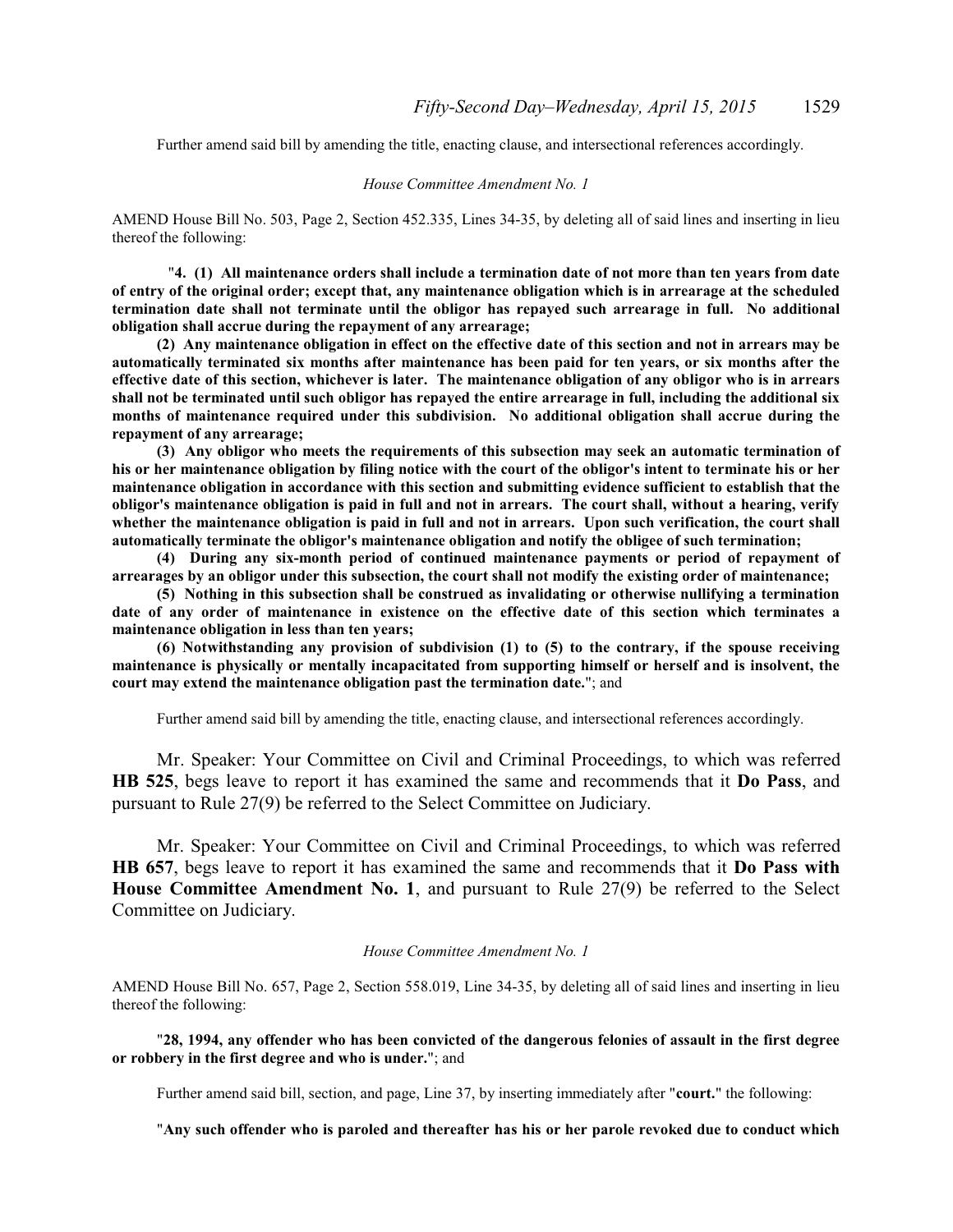Further amend said bill by amending the title, enacting clause, and intersectional references accordingly.

#### *House Committee Amendment No. 1*

AMEND House Bill No. 503, Page 2, Section 452.335, Lines 34-35, by deleting all of said lines and inserting in lieu thereof the following:

"**4. (1) All maintenance orders shall include a termination date of not more than ten years from date of entry of the original order; except that, any maintenance obligation which is in arrearage at the scheduled termination date shall not terminate until the obligor has repayed such arrearage in full. No additional obligation shall accrue during the repayment of any arrearage;**

**(2) Any maintenance obligation in effect on the effective date of this section and not in arrears may be automatically terminated six months after maintenance has been paid for ten years, or six months after the effective date of this section, whichever is later. The maintenance obligation of any obligor who is in arrears shall not be terminated until such obligor has repayed the entire arrearage in full, including the additional six months of maintenance required under this subdivision. No additional obligation shall accrue during the repayment of any arrearage;**

**(3) Any obligor who meets the requirements of this subsection may seek an automatic termination of his or her maintenance obligation by filing notice with the court of the obligor's intent to terminate his or her maintenance obligation in accordance with this section and submitting evidence sufficient to establish that the obligor's maintenance obligation is paid in full and not in arrears. The court shall, without a hearing, verify whether the maintenance obligation is paid in full and not in arrears. Upon such verification, the court shall automatically terminate the obligor's maintenance obligation and notify the obligee of such termination;**

**(4) During any six-month period of continued maintenance payments or period of repayment of arrearages by an obligor under this subsection, the court shall not modify the existing order of maintenance;**

**(5) Nothing in this subsection shall be construed as invalidating or otherwise nullifying a termination date of any order of maintenance in existence on the effective date of this section which terminates a maintenance obligation in less than ten years;**

**(6) Notwithstanding any provision of subdivision (1) to (5) to the contrary, if the spouse receiving maintenance is physically or mentally incapacitated from supporting himself or herself and is insolvent, the court may extend the maintenance obligation past the termination date.**"; and

Further amend said bill by amending the title, enacting clause, and intersectional references accordingly.

Mr. Speaker: Your Committee on Civil and Criminal Proceedings, to which was referred **HB 525**, begs leave to report it has examined the same and recommends that it **Do Pass**, and pursuant to Rule 27(9) be referred to the Select Committee on Judiciary.

Mr. Speaker: Your Committee on Civil and Criminal Proceedings, to which was referred **HB 657**, begs leave to report it has examined the same and recommends that it **Do Pass with House Committee Amendment No. 1**, and pursuant to Rule 27(9) be referred to the Select Committee on Judiciary.

#### *House Committee Amendment No. 1*

AMEND House Bill No. 657, Page 2, Section 558.019, Line 34-35, by deleting all of said lines and inserting in lieu thereof the following:

"**28, 1994, any offender who has been convicted of the dangerous felonies of assault in the first degree or robbery in the first degree and who is under.**"; and

Further amend said bill, section, and page, Line 37, by inserting immediately after "**court.**" the following:

"**Any such offender who is paroled and thereafter has his or her parole revoked due to conduct which**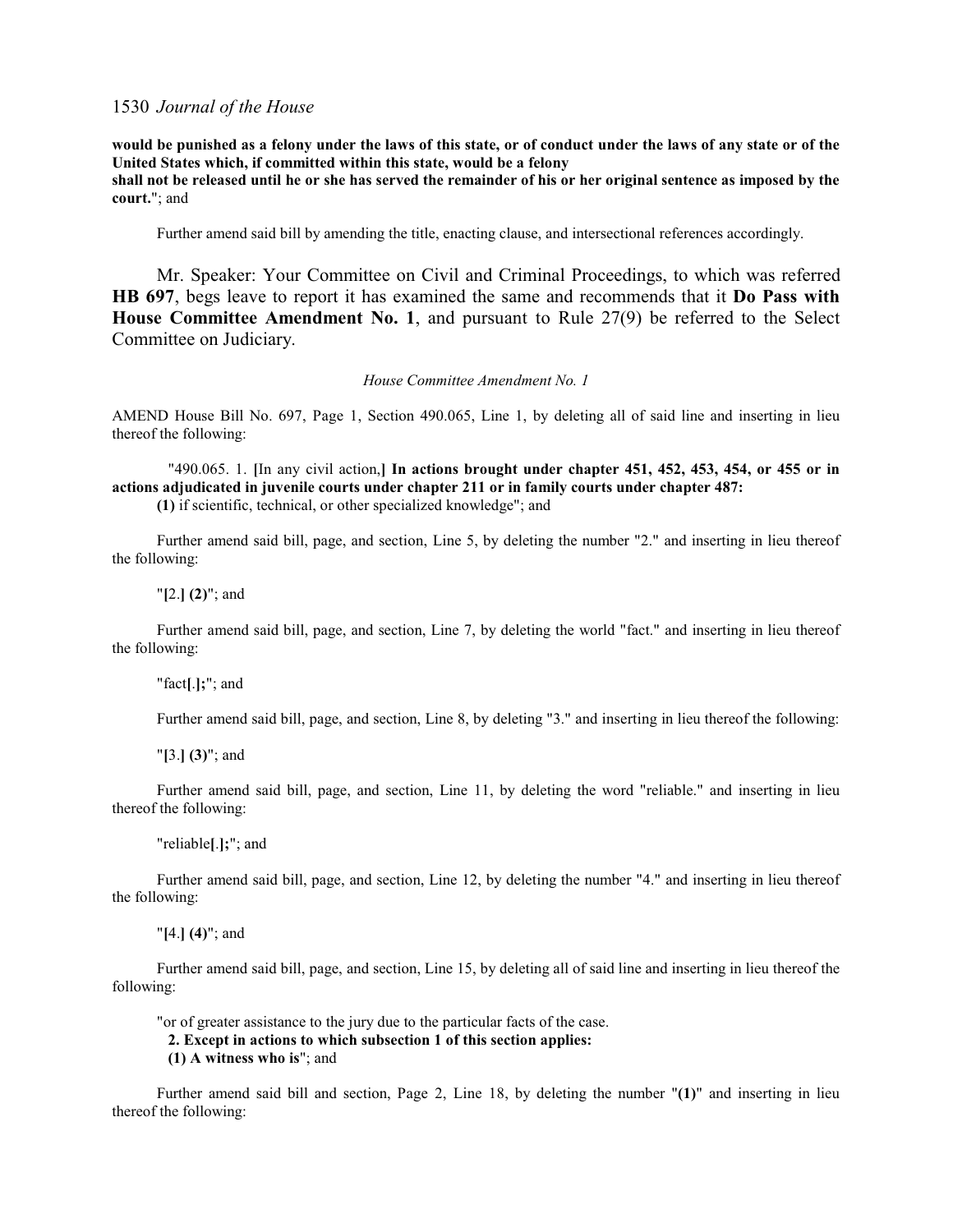**would be punished as a felony under the laws of this state, or of conduct under the laws of any state or of the United States which, if committed within this state, would be a felony**

**shall not be released until he or she has served the remainder of his or her original sentence as imposed by the court.**"; and

Further amend said bill by amending the title, enacting clause, and intersectional references accordingly.

Mr. Speaker: Your Committee on Civil and Criminal Proceedings, to which was referred **HB 697**, begs leave to report it has examined the same and recommends that it **Do Pass with House Committee Amendment No. 1**, and pursuant to Rule 27(9) be referred to the Select Committee on Judiciary.

*House Committee Amendment No. 1*

AMEND House Bill No. 697, Page 1, Section 490.065, Line 1, by deleting all of said line and inserting in lieu thereof the following:

"490.065. 1. **[**In any civil action,**] In actions brought under chapter 451, 452, 453, 454, or 455 or in actions adjudicated in juvenile courts under chapter 211 or in family courts under chapter 487: (1)** if scientific, technical, or other specialized knowledge"; and

Further amend said bill, page, and section, Line 5, by deleting the number "2." and inserting in lieu thereof the following:

"**[**2.**] (2)**"; and

Further amend said bill, page, and section, Line 7, by deleting the world "fact." and inserting in lieu thereof the following:

"fact**[**.**];**"; and

Further amend said bill, page, and section, Line 8, by deleting "3." and inserting in lieu thereof the following:

"**[**3.**] (3)**"; and

Further amend said bill, page, and section, Line 11, by deleting the word "reliable." and inserting in lieu thereof the following:

"reliable**[**.**];**"; and

Further amend said bill, page, and section, Line 12, by deleting the number "4." and inserting in lieu thereof the following:

"**[**4.**] (4)**"; and

Further amend said bill, page, and section, Line 15, by deleting all of said line and inserting in lieu thereof the following:

"or of greater assistance to the jury due to the particular facts of the case.

**2. Except in actions to which subsection 1 of this section applies:**

**(1) A witness who is**"; and

Further amend said bill and section, Page 2, Line 18, by deleting the number "**(1)**" and inserting in lieu thereof the following: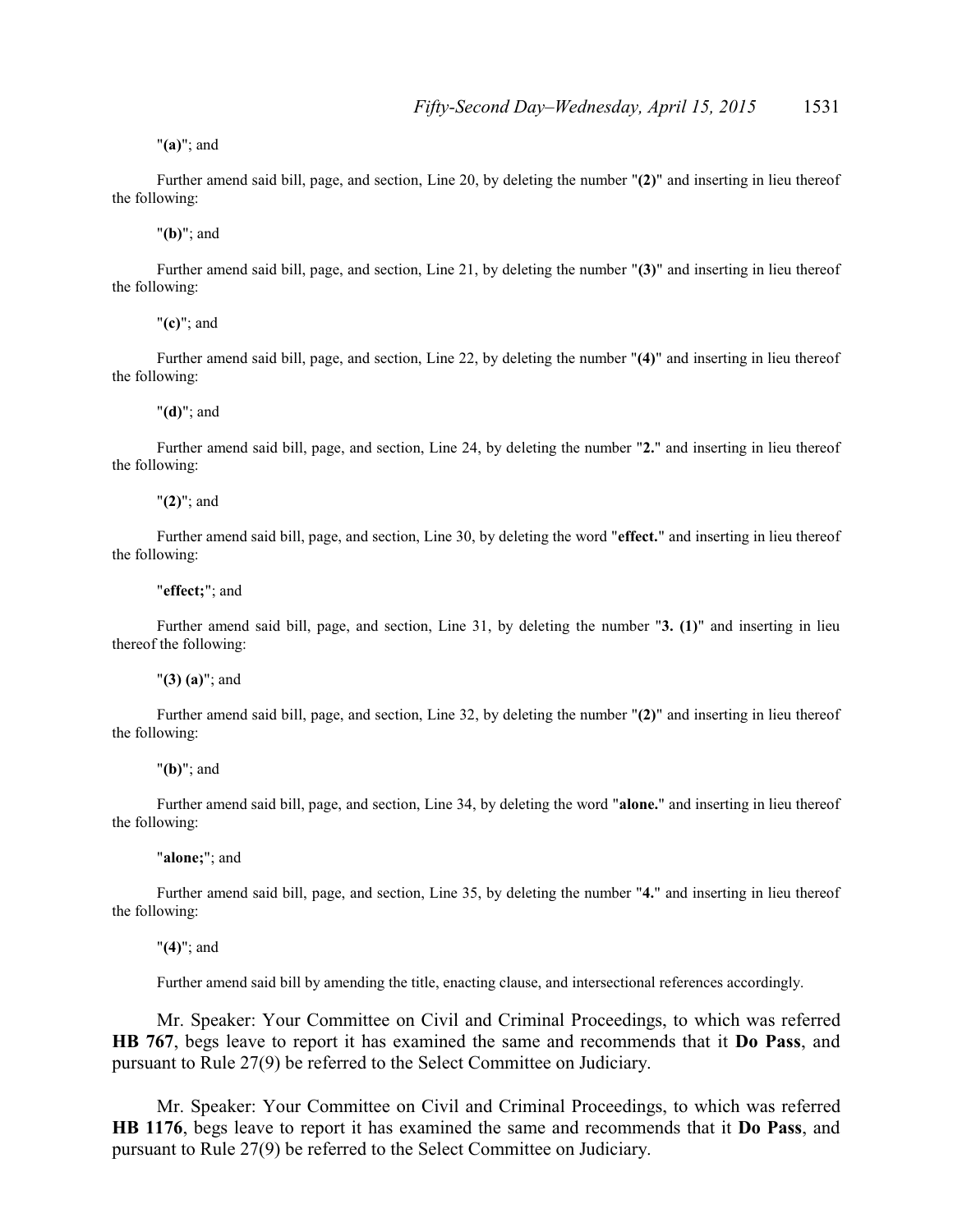"**(a)**"; and

Further amend said bill, page, and section, Line 20, by deleting the number "**(2)**" and inserting in lieu thereof the following:

"**(b)**"; and

Further amend said bill, page, and section, Line 21, by deleting the number "**(3)**" and inserting in lieu thereof the following:

"**(c)**"; and

Further amend said bill, page, and section, Line 22, by deleting the number "**(4)**" and inserting in lieu thereof the following:

"**(d)**"; and

Further amend said bill, page, and section, Line 24, by deleting the number "**2.**" and inserting in lieu thereof the following:

"**(2)**"; and

Further amend said bill, page, and section, Line 30, by deleting the word "**effect.**" and inserting in lieu thereof the following:

"**effect;**"; and

Further amend said bill, page, and section, Line 31, by deleting the number "**3. (1)**" and inserting in lieu thereof the following:

"**(3) (a)**"; and

Further amend said bill, page, and section, Line 32, by deleting the number "**(2)**" and inserting in lieu thereof the following:

"**(b)**"; and

Further amend said bill, page, and section, Line 34, by deleting the word "**alone.**" and inserting in lieu thereof the following:

"**alone;**"; and

Further amend said bill, page, and section, Line 35, by deleting the number "**4.**" and inserting in lieu thereof the following:

"**(4)**"; and

Further amend said bill by amending the title, enacting clause, and intersectional references accordingly.

Mr. Speaker: Your Committee on Civil and Criminal Proceedings, to which was referred **HB 767**, begs leave to report it has examined the same and recommends that it **Do Pass**, and pursuant to Rule 27(9) be referred to the Select Committee on Judiciary.

Mr. Speaker: Your Committee on Civil and Criminal Proceedings, to which was referred **HB 1176**, begs leave to report it has examined the same and recommends that it **Do Pass**, and pursuant to Rule 27(9) be referred to the Select Committee on Judiciary.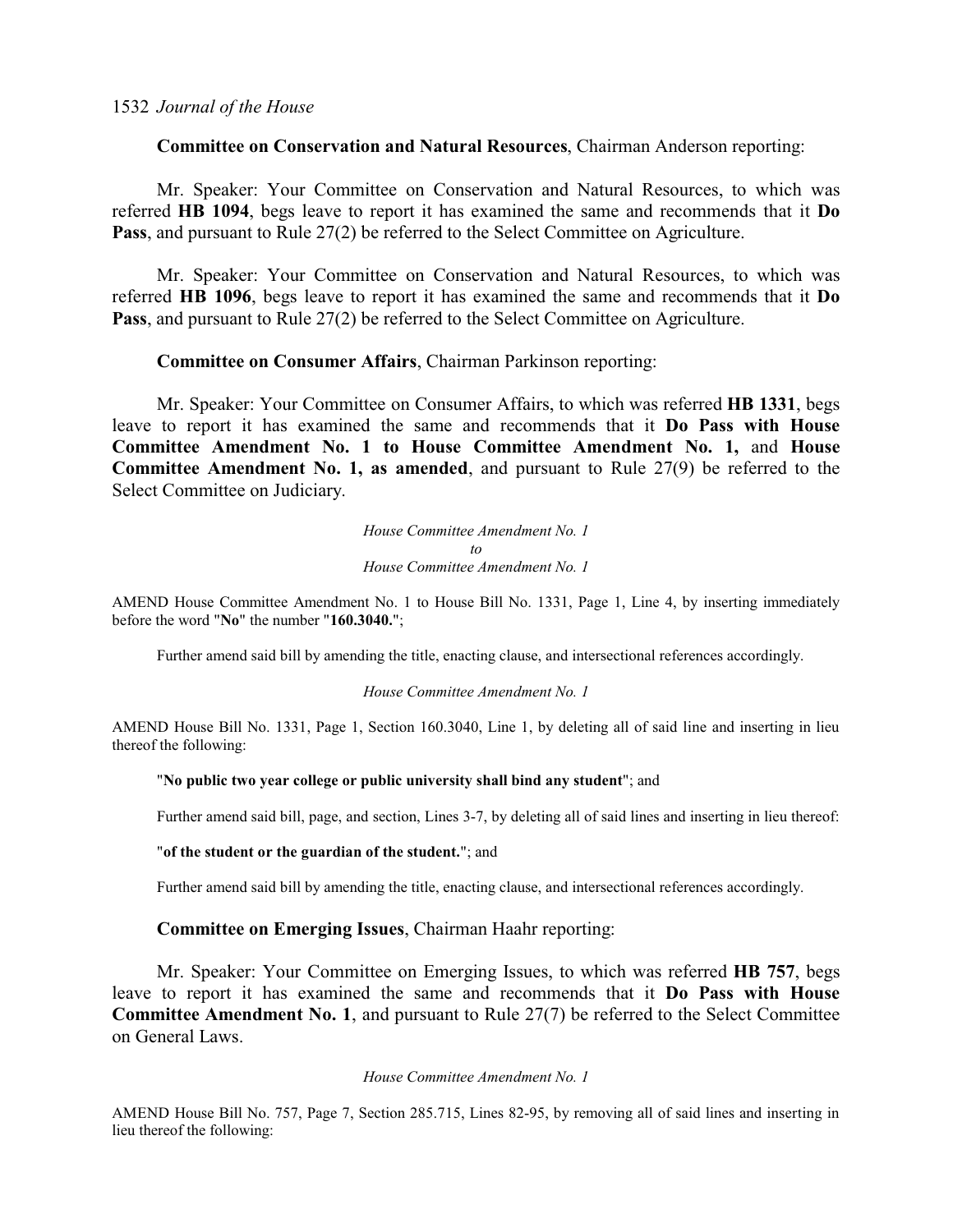# **Committee on Conservation and Natural Resources**, Chairman Anderson reporting:

Mr. Speaker: Your Committee on Conservation and Natural Resources, to which was referred **HB 1094**, begs leave to report it has examined the same and recommends that it **Do Pass**, and pursuant to Rule 27(2) be referred to the Select Committee on Agriculture.

Mr. Speaker: Your Committee on Conservation and Natural Resources, to which was referred **HB 1096**, begs leave to report it has examined the same and recommends that it **Do Pass**, and pursuant to Rule 27(2) be referred to the Select Committee on Agriculture.

# **Committee on Consumer Affairs**, Chairman Parkinson reporting:

Mr. Speaker: Your Committee on Consumer Affairs, to which was referred **HB 1331**, begs leave to report it has examined the same and recommends that it **Do Pass with House Committee Amendment No. 1 to House Committee Amendment No. 1,** and **House Committee Amendment No. 1, as amended**, and pursuant to Rule 27(9) be referred to the Select Committee on Judiciary.

> *House Committee Amendment No. 1 to House Committee Amendment No. 1*

AMEND House Committee Amendment No. 1 to House Bill No. 1331, Page 1, Line 4, by inserting immediately before the word "**No**" the number "**160.3040.**";

Further amend said bill by amending the title, enacting clause, and intersectional references accordingly.

*House Committee Amendment No. 1*

AMEND House Bill No. 1331, Page 1, Section 160.3040, Line 1, by deleting all of said line and inserting in lieu thereof the following:

#### "**No public two year college or public university shall bind any student**"; and

Further amend said bill, page, and section, Lines 3-7, by deleting all of said lines and inserting in lieu thereof:

#### "**of the student or the guardian of the student.**"; and

Further amend said bill by amending the title, enacting clause, and intersectional references accordingly.

# **Committee on Emerging Issues**, Chairman Haahr reporting:

Mr. Speaker: Your Committee on Emerging Issues, to which was referred **HB 757**, begs leave to report it has examined the same and recommends that it **Do Pass with House Committee Amendment No. 1**, and pursuant to Rule 27(7) be referred to the Select Committee on General Laws.

### *House Committee Amendment No. 1*

AMEND House Bill No. 757, Page 7, Section 285.715, Lines 82-95, by removing all of said lines and inserting in lieu thereof the following: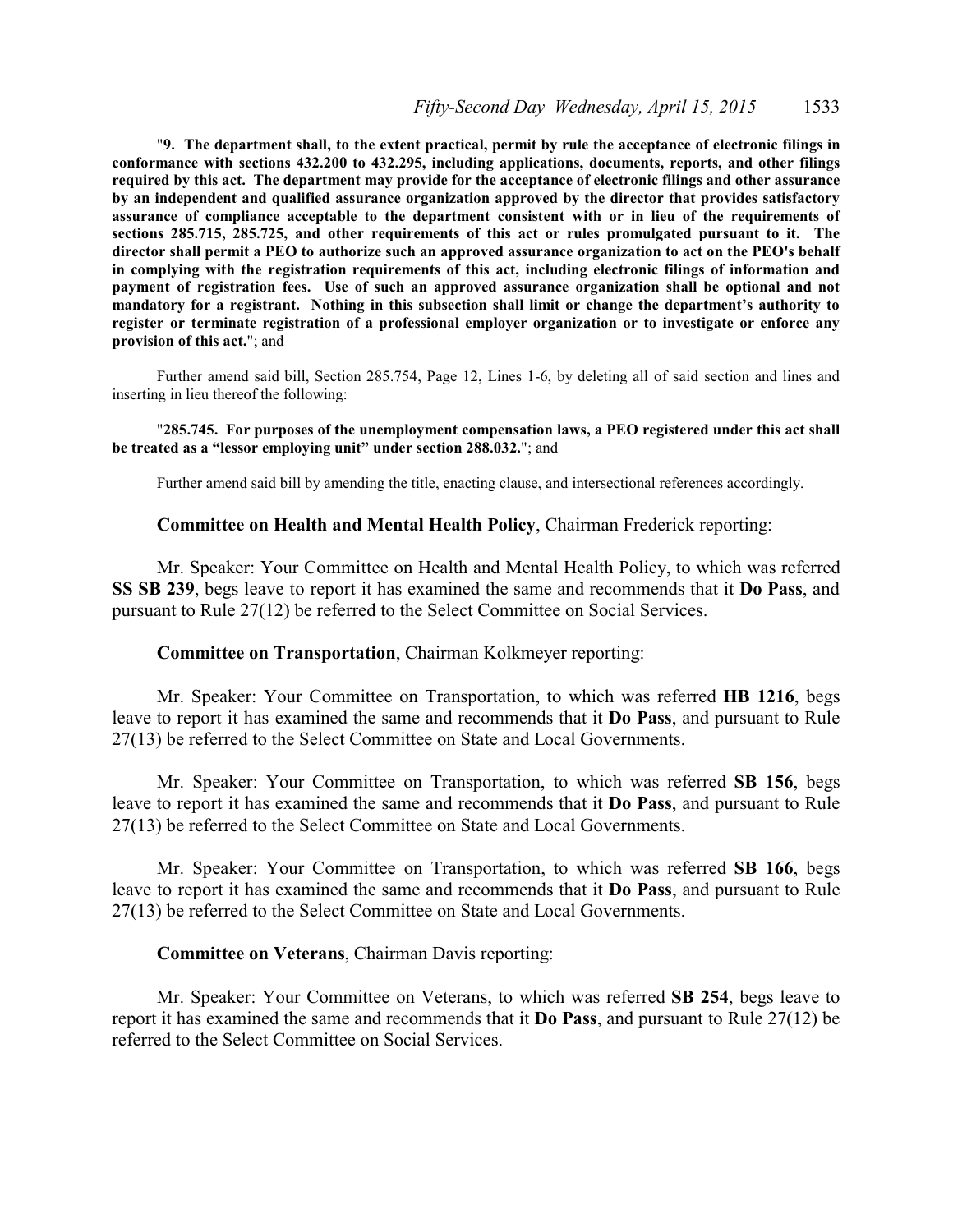"**9. The department shall, to the extent practical, permit by rule the acceptance of electronic filings in conformance with sections 432.200 to 432.295, including applications, documents, reports, and other filings required by this act. The department may provide for the acceptance of electronic filings and other assurance by an independent and qualified assurance organization approved by the director that provides satisfactory assurance of compliance acceptable to the department consistent with or in lieu of the requirements of sections 285.715, 285.725, and other requirements of this act or rules promulgated pursuant to it. The director shall permit a PEO to authorize such an approved assurance organization to act on the PEO's behalf in complying with the registration requirements of this act, including electronic filings of information and payment of registration fees. Use of such an approved assurance organization shall be optional and not mandatory for a registrant. Nothing in this subsection shall limit or change the department's authority to register or terminate registration of a professional employer organization or to investigate or enforce any provision of this act.**"; and

Further amend said bill, Section 285.754, Page 12, Lines 1-6, by deleting all of said section and lines and inserting in lieu thereof the following:

#### "**285.745. For purposes of the unemployment compensation laws, a PEO registered under this act shall be treated as a "lessor employing unit" under section 288.032.**"; and

Further amend said bill by amending the title, enacting clause, and intersectional references accordingly.

### **Committee on Health and Mental Health Policy**, Chairman Frederick reporting:

Mr. Speaker: Your Committee on Health and Mental Health Policy, to which was referred **SS SB 239**, begs leave to report it has examined the same and recommends that it **Do Pass**, and pursuant to Rule 27(12) be referred to the Select Committee on Social Services.

# **Committee on Transportation**, Chairman Kolkmeyer reporting:

Mr. Speaker: Your Committee on Transportation, to which was referred **HB 1216**, begs leave to report it has examined the same and recommends that it **Do Pass**, and pursuant to Rule 27(13) be referred to the Select Committee on State and Local Governments.

Mr. Speaker: Your Committee on Transportation, to which was referred **SB 156**, begs leave to report it has examined the same and recommends that it **Do Pass**, and pursuant to Rule 27(13) be referred to the Select Committee on State and Local Governments.

Mr. Speaker: Your Committee on Transportation, to which was referred **SB 166**, begs leave to report it has examined the same and recommends that it **Do Pass**, and pursuant to Rule 27(13) be referred to the Select Committee on State and Local Governments.

### **Committee on Veterans**, Chairman Davis reporting:

Mr. Speaker: Your Committee on Veterans, to which was referred **SB 254**, begs leave to report it has examined the same and recommends that it **Do Pass**, and pursuant to Rule 27(12) be referred to the Select Committee on Social Services.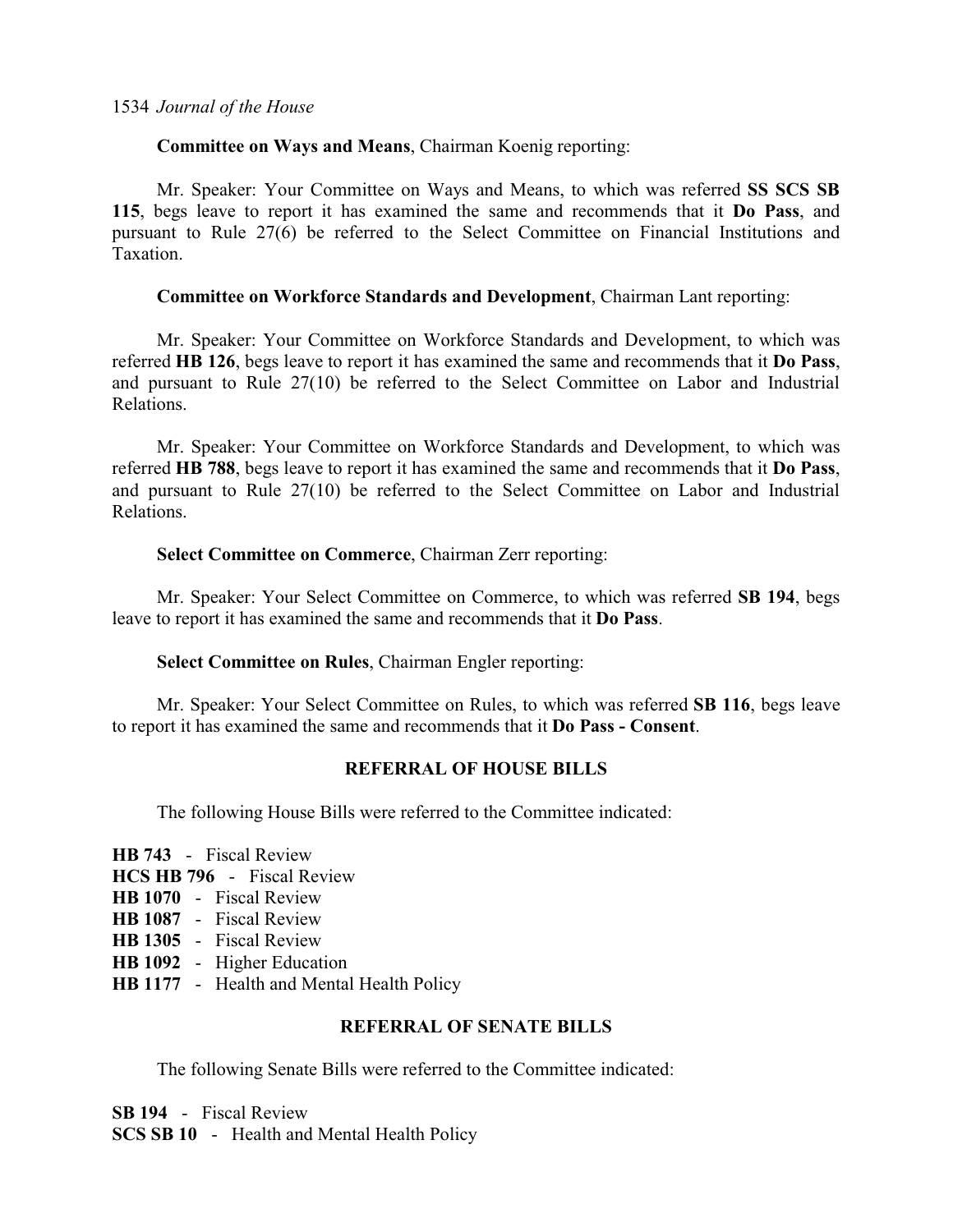# **Committee on Ways and Means**, Chairman Koenig reporting:

Mr. Speaker: Your Committee on Ways and Means, to which was referred **SS SCS SB 115**, begs leave to report it has examined the same and recommends that it **Do Pass**, and pursuant to Rule 27(6) be referred to the Select Committee on Financial Institutions and Taxation.

# **Committee on Workforce Standards and Development**, Chairman Lant reporting:

Mr. Speaker: Your Committee on Workforce Standards and Development, to which was referred **HB 126**, begs leave to report it has examined the same and recommends that it **Do Pass**, and pursuant to Rule 27(10) be referred to the Select Committee on Labor and Industrial Relations.

Mr. Speaker: Your Committee on Workforce Standards and Development, to which was referred **HB 788**, begs leave to report it has examined the same and recommends that it **Do Pass**, and pursuant to Rule 27(10) be referred to the Select Committee on Labor and Industrial Relations.

# **Select Committee on Commerce**, Chairman Zerr reporting:

Mr. Speaker: Your Select Committee on Commerce, to which was referred **SB 194**, begs leave to report it has examined the same and recommends that it **Do Pass**.

# **Select Committee on Rules**, Chairman Engler reporting:

Mr. Speaker: Your Select Committee on Rules, to which was referred **SB 116**, begs leave to report it has examined the same and recommends that it **Do Pass - Consent**.

# **REFERRAL OF HOUSE BILLS**

The following House Bills were referred to the Committee indicated:

- **HB 743**  Fiscal Review **HCS HB 796** - Fiscal Review **HB 1070** - Fiscal Review **HB 1087** - Fiscal Review **HB 1305** - Fiscal Review **HB 1092** - Higher Education
- **HB 1177** Health and Mental Health Policy

# **REFERRAL OF SENATE BILLS**

The following Senate Bills were referred to the Committee indicated:

**SB 194** - Fiscal Review **SCS SB 10** - Health and Mental Health Policy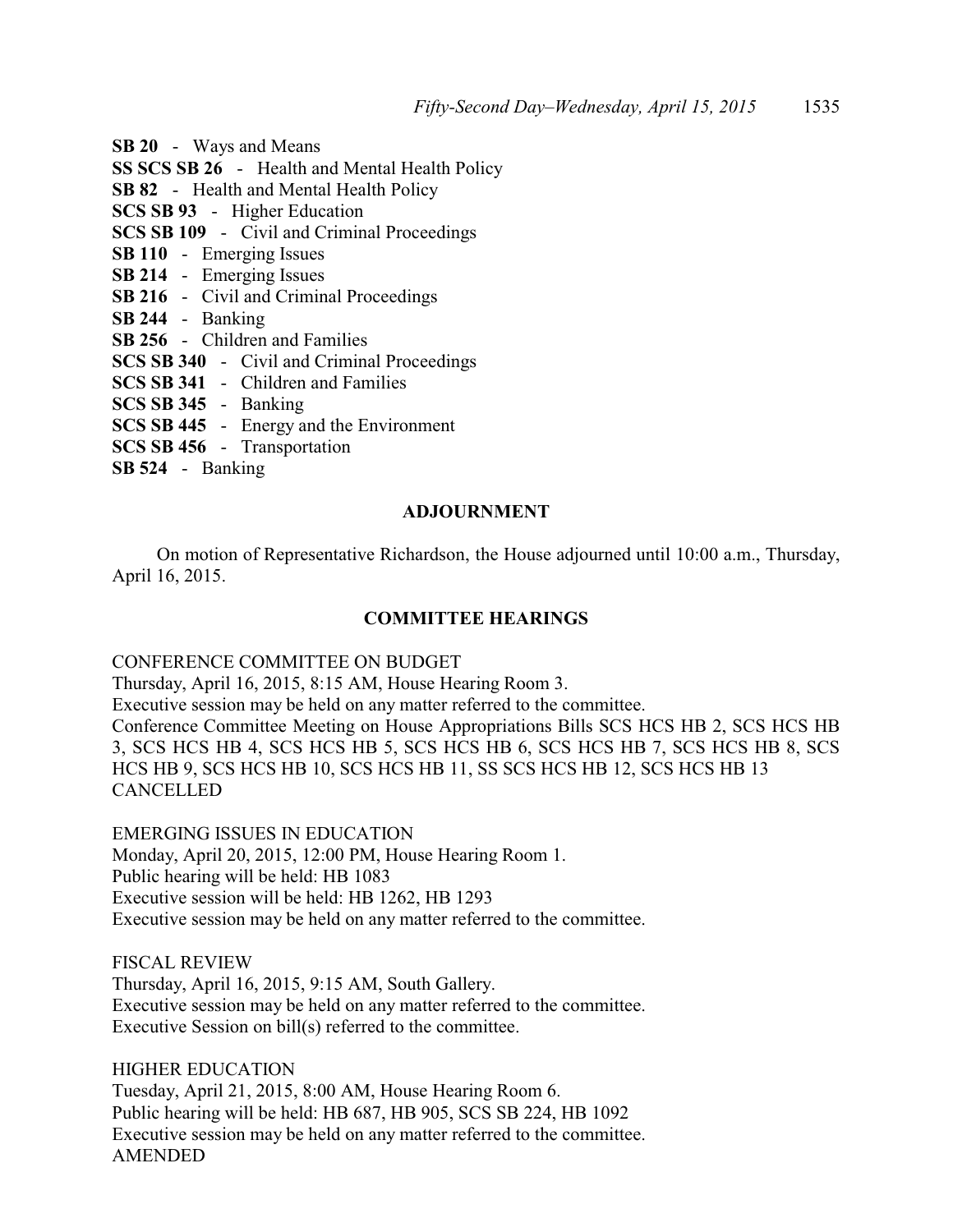- **SB 20** Ways and Means **SS SCS SB 26** - Health and Mental Health Policy **SB 82** - Health and Mental Health Policy **SCS SB 93** - Higher Education **SCS SB 109** - Civil and Criminal Proceedings **SB 110** - Emerging Issues **SB 214** - Emerging Issues **SB 216** - Civil and Criminal Proceedings **SB 244** - Banking **SB 256** - Children and Families **SCS SB 340** - Civil and Criminal Proceedings **SCS SB 341** - Children and Families **SCS SB 345** - Banking **SCS SB 445** - Energy and the Environment **SCS SB 456** - Transportation
- **SB 524** Banking

# **ADJOURNMENT**

On motion of Representative Richardson, the House adjourned until 10:00 a.m., Thursday, April 16, 2015.

# **COMMITTEE HEARINGS**

# CONFERENCE COMMITTEE ON BUDGET

Thursday, April 16, 2015, 8:15 AM, House Hearing Room 3. Executive session may be held on any matter referred to the committee. Conference Committee Meeting on House Appropriations Bills SCS HCS HB 2, SCS HCS HB 3, SCS HCS HB 4, SCS HCS HB 5, SCS HCS HB 6, SCS HCS HB 7, SCS HCS HB 8, SCS HCS HB 9, SCS HCS HB 10, SCS HCS HB 11, SS SCS HCS HB 12, SCS HCS HB 13

CANCELLED

EMERGING ISSUES IN EDUCATION Monday, April 20, 2015, 12:00 PM, House Hearing Room 1. Public hearing will be held: HB 1083 Executive session will be held: HB 1262, HB 1293 Executive session may be held on any matter referred to the committee.

FISCAL REVIEW Thursday, April 16, 2015, 9:15 AM, South Gallery. Executive session may be held on any matter referred to the committee. Executive Session on bill(s) referred to the committee.

HIGHER EDUCATION Tuesday, April 21, 2015, 8:00 AM, House Hearing Room 6. Public hearing will be held: HB 687, HB 905, SCS SB 224, HB 1092 Executive session may be held on any matter referred to the committee. AMENDED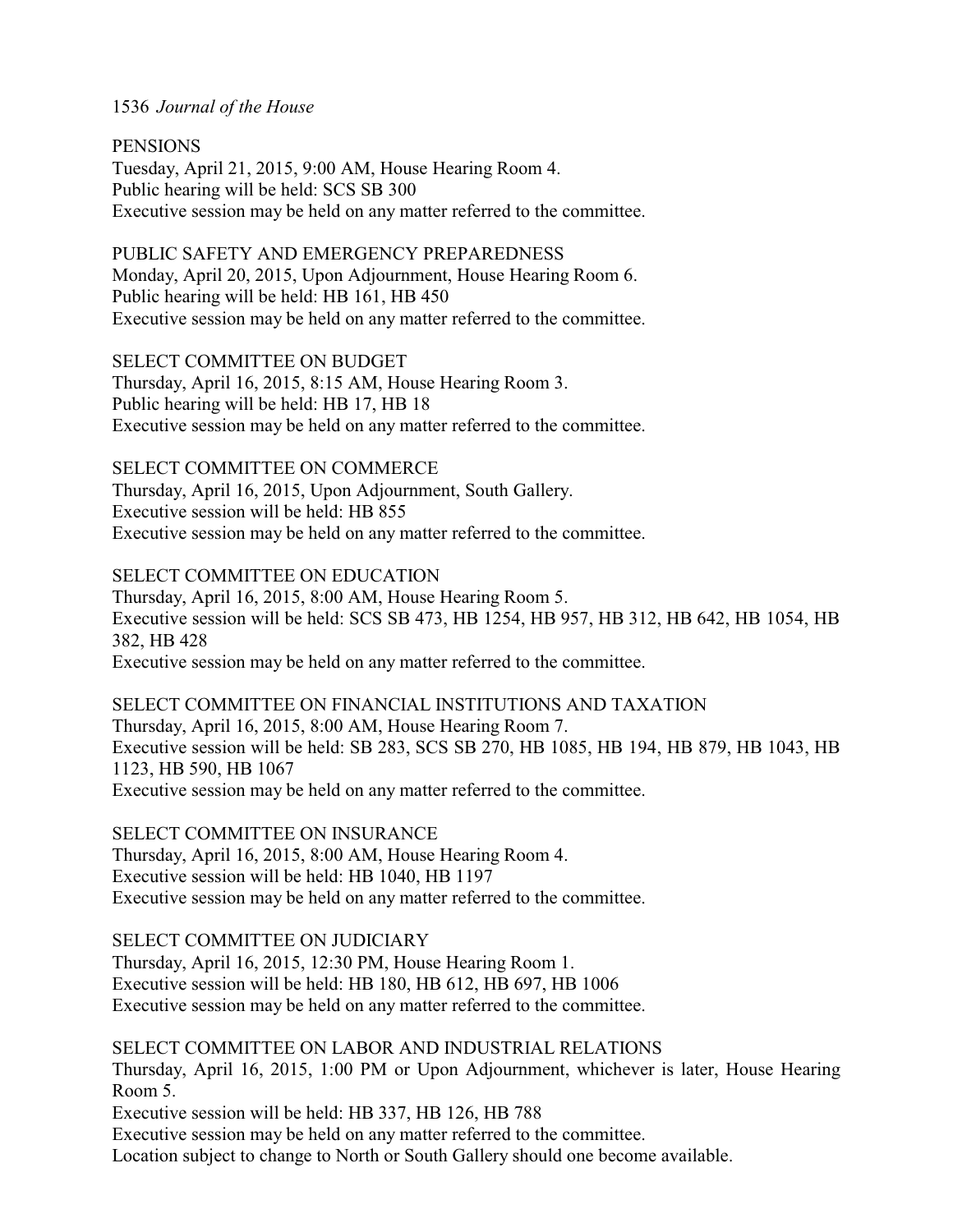**PENSIONS** 

Tuesday, April 21, 2015, 9:00 AM, House Hearing Room 4. Public hearing will be held: SCS SB 300 Executive session may be held on any matter referred to the committee.

PUBLIC SAFETY AND EMERGENCY PREPAREDNESS Monday, April 20, 2015, Upon Adjournment, House Hearing Room 6. Public hearing will be held: HB 161, HB 450 Executive session may be held on any matter referred to the committee.

SELECT COMMITTEE ON BUDGET Thursday, April 16, 2015, 8:15 AM, House Hearing Room 3. Public hearing will be held: HB 17, HB 18 Executive session may be held on any matter referred to the committee.

SELECT COMMITTEE ON COMMERCE

Thursday, April 16, 2015, Upon Adjournment, South Gallery. Executive session will be held: HB 855 Executive session may be held on any matter referred to the committee.

SELECT COMMITTEE ON EDUCATION

Thursday, April 16, 2015, 8:00 AM, House Hearing Room 5. Executive session will be held: SCS SB 473, HB 1254, HB 957, HB 312, HB 642, HB 1054, HB 382, HB 428 Executive session may be held on any matter referred to the committee.

SELECT COMMITTEE ON FINANCIAL INSTITUTIONS AND TAXATION Thursday, April 16, 2015, 8:00 AM, House Hearing Room 7. Executive session will be held: SB 283, SCS SB 270, HB 1085, HB 194, HB 879, HB 1043, HB 1123, HB 590, HB 1067 Executive session may be held on any matter referred to the committee.

SELECT COMMITTEE ON INSURANCE Thursday, April 16, 2015, 8:00 AM, House Hearing Room 4. Executive session will be held: HB 1040, HB 1197 Executive session may be held on any matter referred to the committee.

SELECT COMMITTEE ON JUDICIARY Thursday, April 16, 2015, 12:30 PM, House Hearing Room 1. Executive session will be held: HB 180, HB 612, HB 697, HB 1006 Executive session may be held on any matter referred to the committee.

SELECT COMMITTEE ON LABOR AND INDUSTRIAL RELATIONS Thursday, April 16, 2015, 1:00 PM or Upon Adjournment, whichever is later, House Hearing Room 5. Executive session will be held: HB 337, HB 126, HB 788 Executive session may be held on any matter referred to the committee. Location subject to change to North or South Gallery should one become available.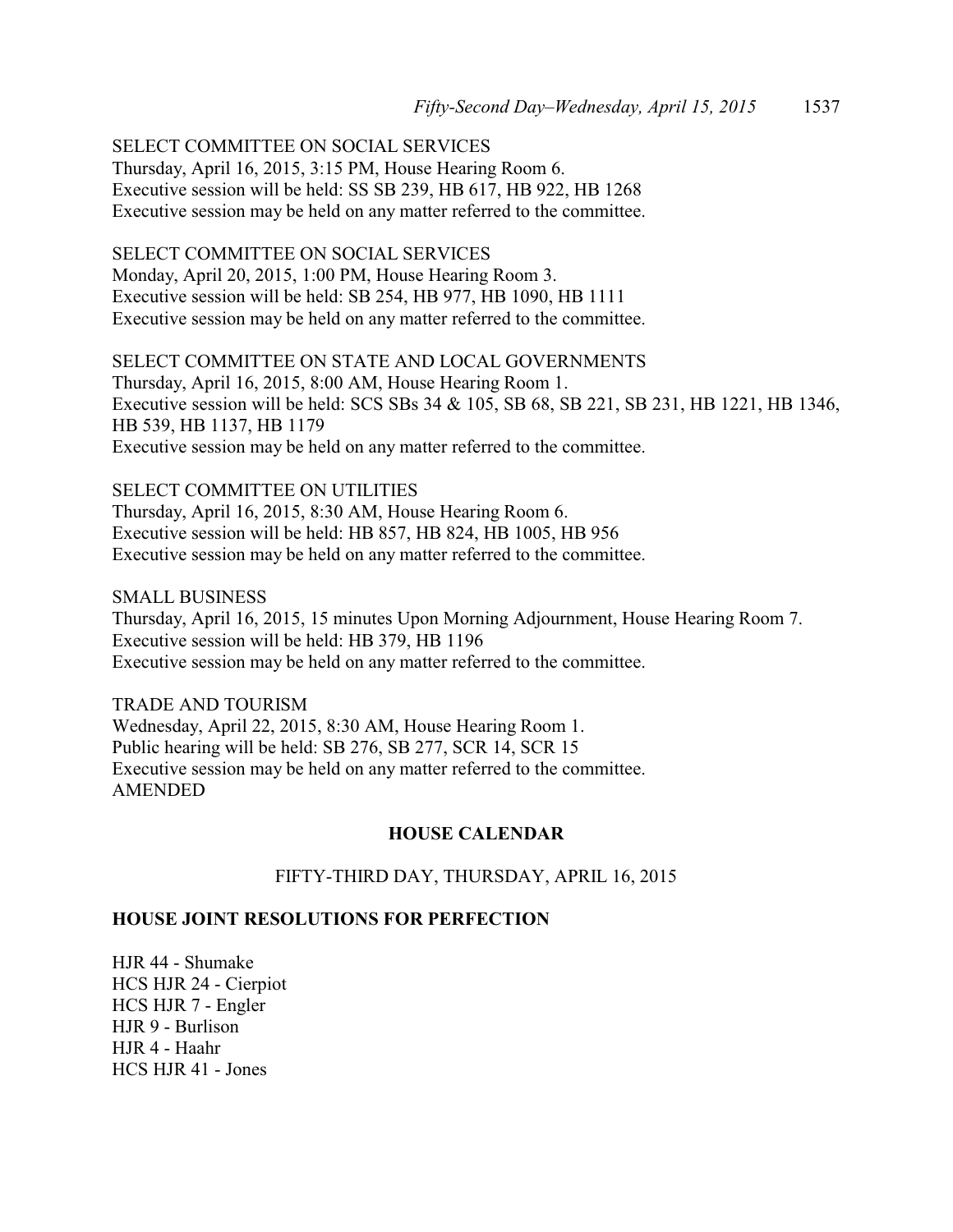SELECT COMMITTEE ON SOCIAL SERVICES

Thursday, April 16, 2015, 3:15 PM, House Hearing Room 6. Executive session will be held: SS SB 239, HB 617, HB 922, HB 1268 Executive session may be held on any matter referred to the committee.

SELECT COMMITTEE ON SOCIAL SERVICES Monday, April 20, 2015, 1:00 PM, House Hearing Room 3. Executive session will be held: SB 254, HB 977, HB 1090, HB 1111 Executive session may be held on any matter referred to the committee.

SELECT COMMITTEE ON STATE AND LOCAL GOVERNMENTS Thursday, April 16, 2015, 8:00 AM, House Hearing Room 1. Executive session will be held: SCS SBs 34 & 105, SB 68, SB 221, SB 231, HB 1221, HB 1346, HB 539, HB 1137, HB 1179 Executive session may be held on any matter referred to the committee.

SELECT COMMITTEE ON UTILITIES Thursday, April 16, 2015, 8:30 AM, House Hearing Room 6. Executive session will be held: HB 857, HB 824, HB 1005, HB 956 Executive session may be held on any matter referred to the committee.

SMALL BUSINESS Thursday, April 16, 2015, 15 minutes Upon Morning Adjournment, House Hearing Room 7. Executive session will be held: HB 379, HB 1196 Executive session may be held on any matter referred to the committee.

TRADE AND TOURISM Wednesday, April 22, 2015, 8:30 AM, House Hearing Room 1. Public hearing will be held: SB 276, SB 277, SCR 14, SCR 15 Executive session may be held on any matter referred to the committee. AMENDED

# **HOUSE CALENDAR**

# FIFTY-THIRD DAY, THURSDAY, APRIL 16, 2015

# **HOUSE JOINT RESOLUTIONS FOR PERFECTION**

HJR 44 - Shumake HCS HJR 24 - Cierpiot HCS HJR 7 - Engler HJR 9 - Burlison HJR 4 - Haahr HCS HJR 41 - Jones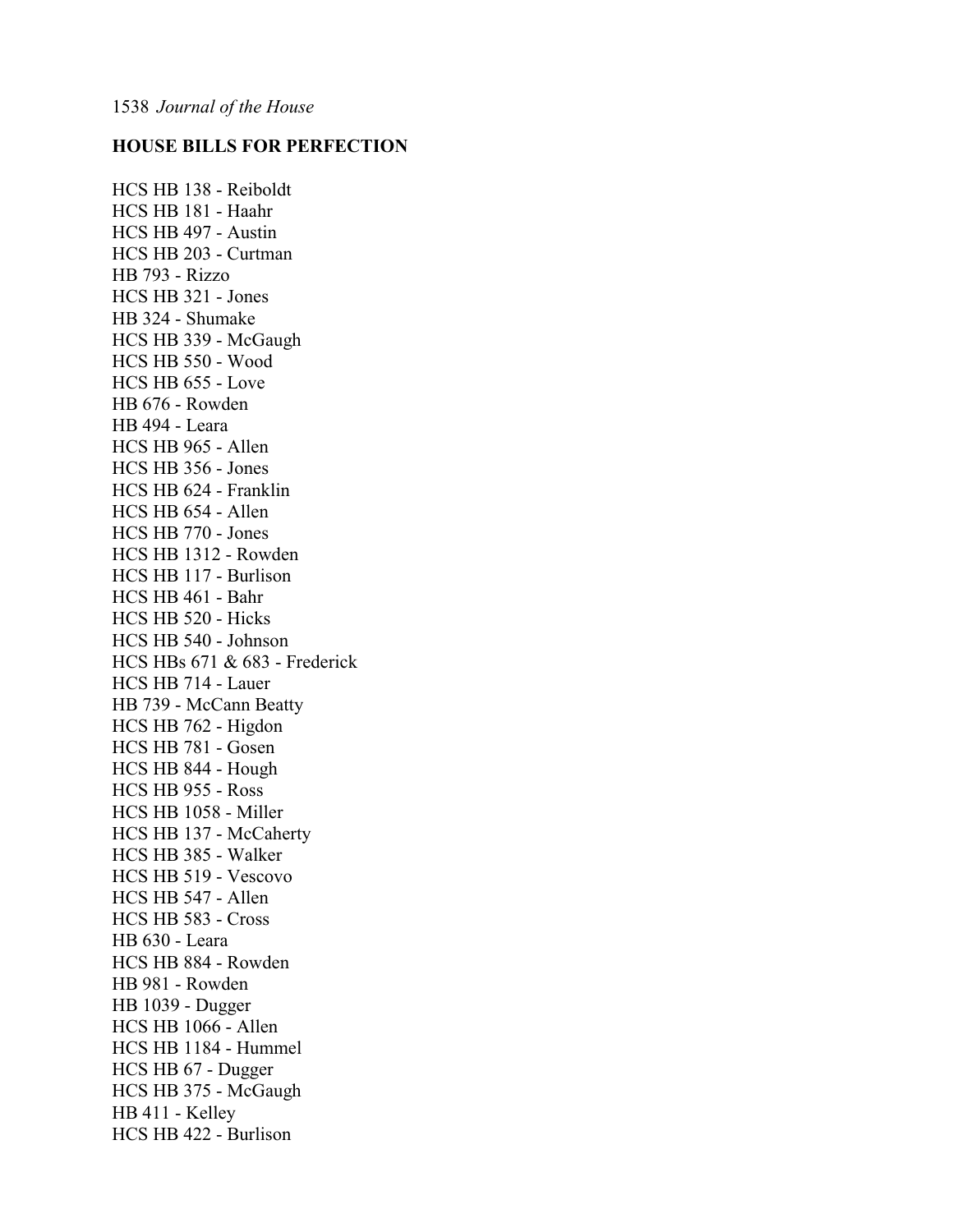# **HOUSE BILLS FOR PERFECTION**

HCS HB 138 - Reiboldt HCS HB 181 - Haahr HCS HB 497 - Austin HCS HB 203 - Curtman HB 793 - Rizzo HCS HB 321 - Jones HB 324 - Shumake HCS HB 339 - McGaugh HCS HB 550 - Wood HCS HB 655 - Love HB 676 - Rowden HB 494 - Leara HCS HB 965 - Allen HCS HB 356 - Jones HCS HB 624 - Franklin HCS HB 654 - Allen HCS HB 770 - Jones HCS HB 1312 - Rowden HCS HB 117 - Burlison HCS HB 461 - Bahr HCS HB 520 - Hicks HCS HB 540 - Johnson HCS HBs 671 & 683 - Frederick HCS HB 714 - Lauer HB 739 - McCann Beatty HCS HB 762 - Higdon HCS HB 781 - Gosen HCS HB 844 - Hough HCS HB 955 - Ross HCS HB 1058 - Miller HCS HB 137 - McCaherty HCS HB 385 - Walker HCS HB 519 - Vescovo HCS HB 547 - Allen HCS HB 583 - Cross HB 630 - Leara HCS HB 884 - Rowden HB 981 - Rowden HB 1039 - Dugger HCS HB 1066 - Allen HCS HB 1184 - Hummel HCS HB 67 - Dugger HCS HB 375 - McGaugh HB 411 - Kelley HCS HB 422 - Burlison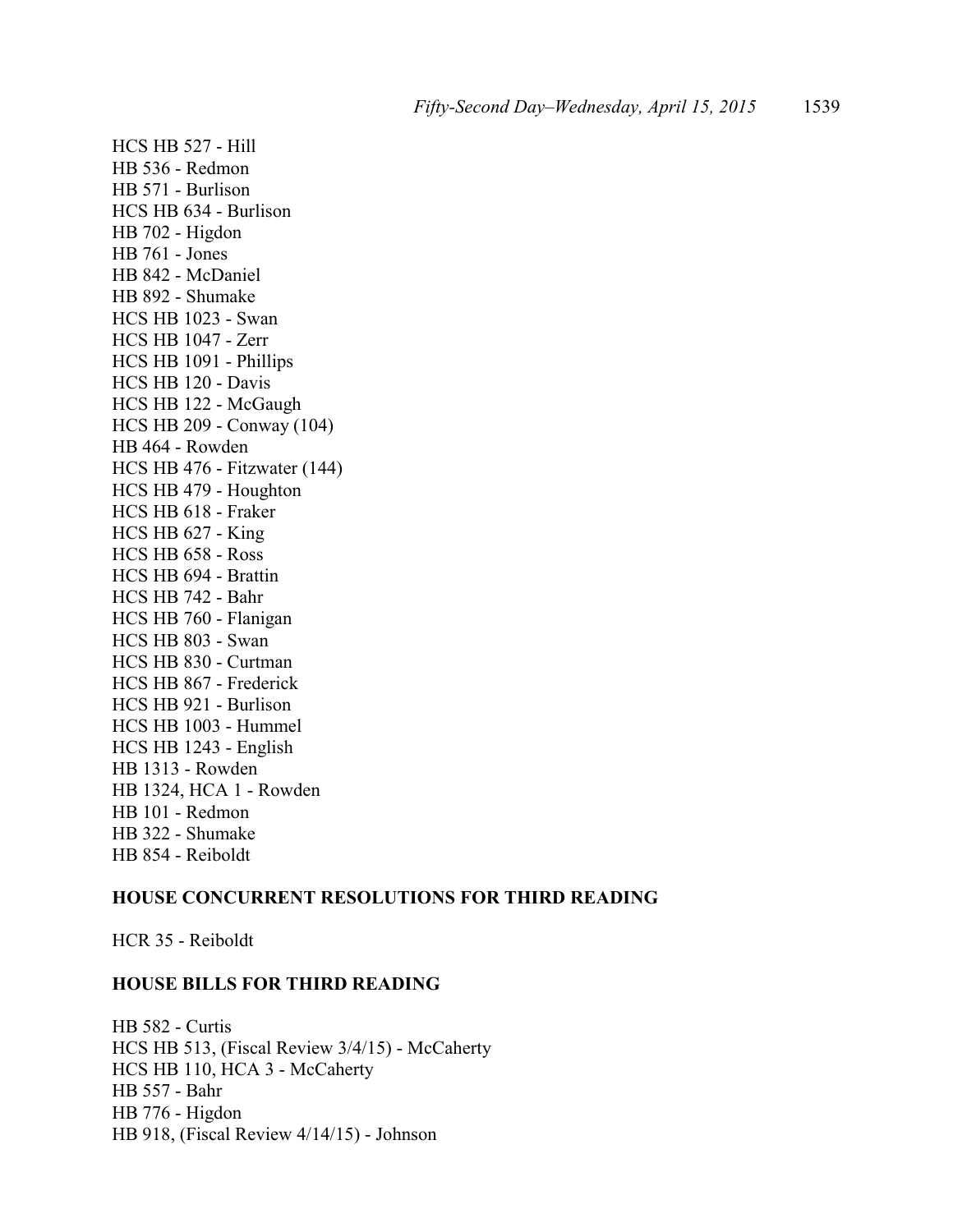HCS HB 527 - Hill HB 536 - Redmon HB 571 - Burlison HCS HB 634 - Burlison HB 702 - Higdon HB 761 - Jones HB 842 - McDaniel HB 892 - Shumake HCS HB 1023 - Swan HCS HB 1047 - Zerr HCS HB 1091 - Phillips HCS HB 120 - Davis HCS HB 122 - McGaugh HCS HB 209 - Conway (104) HB 464 - Rowden HCS HB 476 - Fitzwater (144) HCS HB 479 - Houghton HCS HB 618 - Fraker HCS HB 627 - King HCS HB 658 - Ross HCS HB 694 - Brattin HCS HB 742 - Bahr HCS HB 760 - Flanigan HCS HB 803 - Swan HCS HB 830 - Curtman HCS HB 867 - Frederick HCS HB 921 - Burlison HCS HB 1003 - Hummel HCS HB 1243 - English HB 1313 - Rowden HB 1324, HCA 1 - Rowden HB 101 - Redmon HB 322 - Shumake HB 854 - Reiboldt

# **HOUSE CONCURRENT RESOLUTIONS FOR THIRD READING**

HCR 35 - Reiboldt

## **HOUSE BILLS FOR THIRD READING**

HB 582 - Curtis HCS HB 513, (Fiscal Review 3/4/15) - McCaherty HCS HB 110, HCA 3 - McCaherty HB 557 - Bahr HB 776 - Higdon HB 918, (Fiscal Review 4/14/15) - Johnson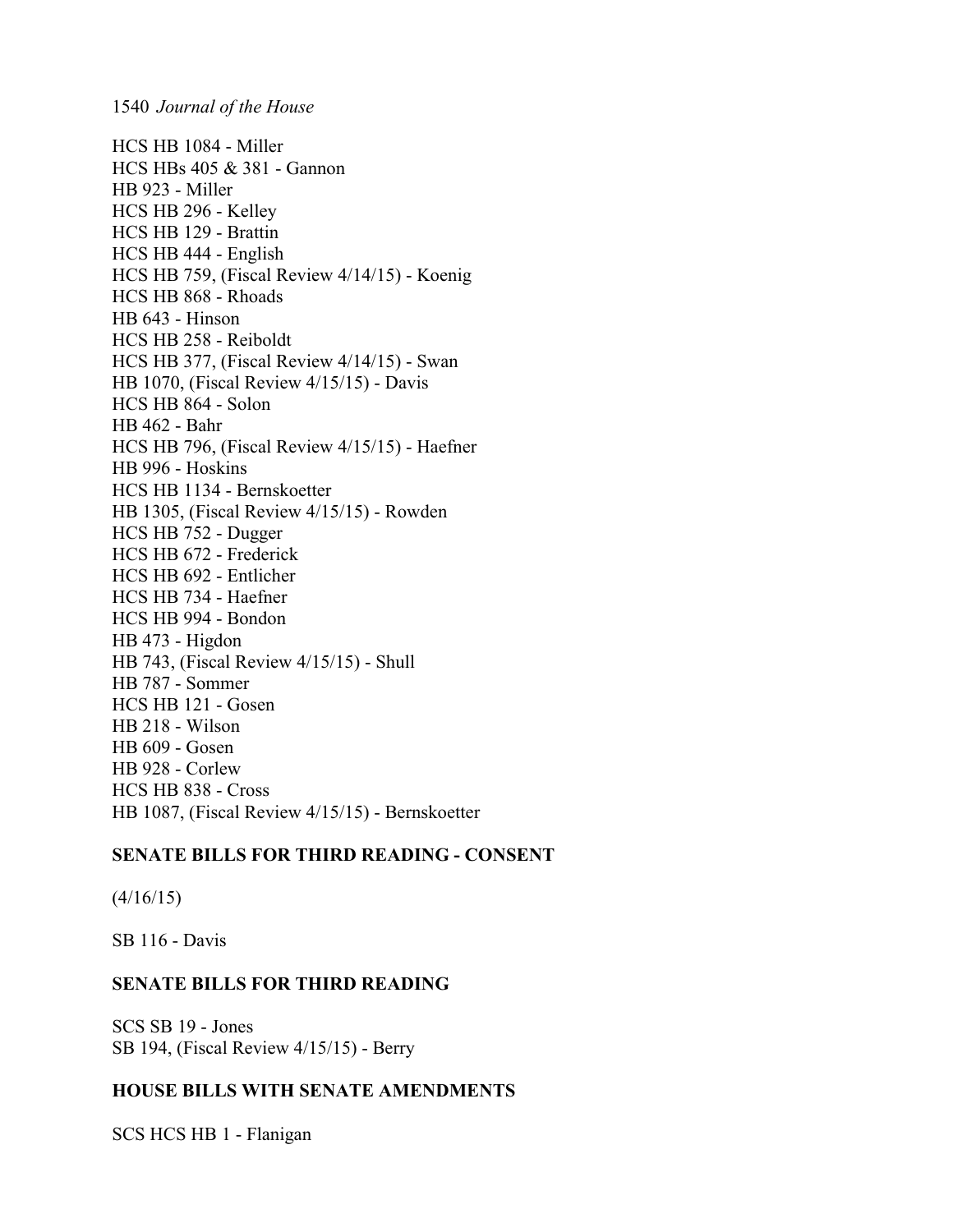HCS HB 1084 - Miller HCS HBs 405 & 381 - Gannon HB 923 - Miller HCS HB 296 - Kelley HCS HB 129 - Brattin HCS HB 444 - English HCS HB 759, (Fiscal Review 4/14/15) - Koenig HCS HB 868 - Rhoads HB 643 - Hinson HCS HB 258 - Reiboldt HCS HB 377, (Fiscal Review 4/14/15) - Swan HB 1070, (Fiscal Review 4/15/15) - Davis HCS HB 864 - Solon HB 462 - Bahr HCS HB 796, (Fiscal Review 4/15/15) - Haefner HB 996 - Hoskins HCS HB 1134 - Bernskoetter HB 1305, (Fiscal Review 4/15/15) - Rowden HCS HB 752 - Dugger HCS HB 672 - Frederick HCS HB 692 - Entlicher HCS HB 734 - Haefner HCS HB 994 - Bondon HB 473 - Higdon HB 743, (Fiscal Review 4/15/15) - Shull HB 787 - Sommer HCS HB 121 - Gosen HB 218 - Wilson HB 609 - Gosen HB 928 - Corlew HCS HB 838 - Cross HB 1087, (Fiscal Review 4/15/15) - Bernskoetter

# **SENATE BILLS FOR THIRD READING - CONSENT**

 $(4/16/15)$ 

SB 116 - Davis

# **SENATE BILLS FOR THIRD READING**

SCS SB 19 - Jones SB 194, (Fiscal Review 4/15/15) - Berry

# **HOUSE BILLS WITH SENATE AMENDMENTS**

SCS HCS HB 1 - Flanigan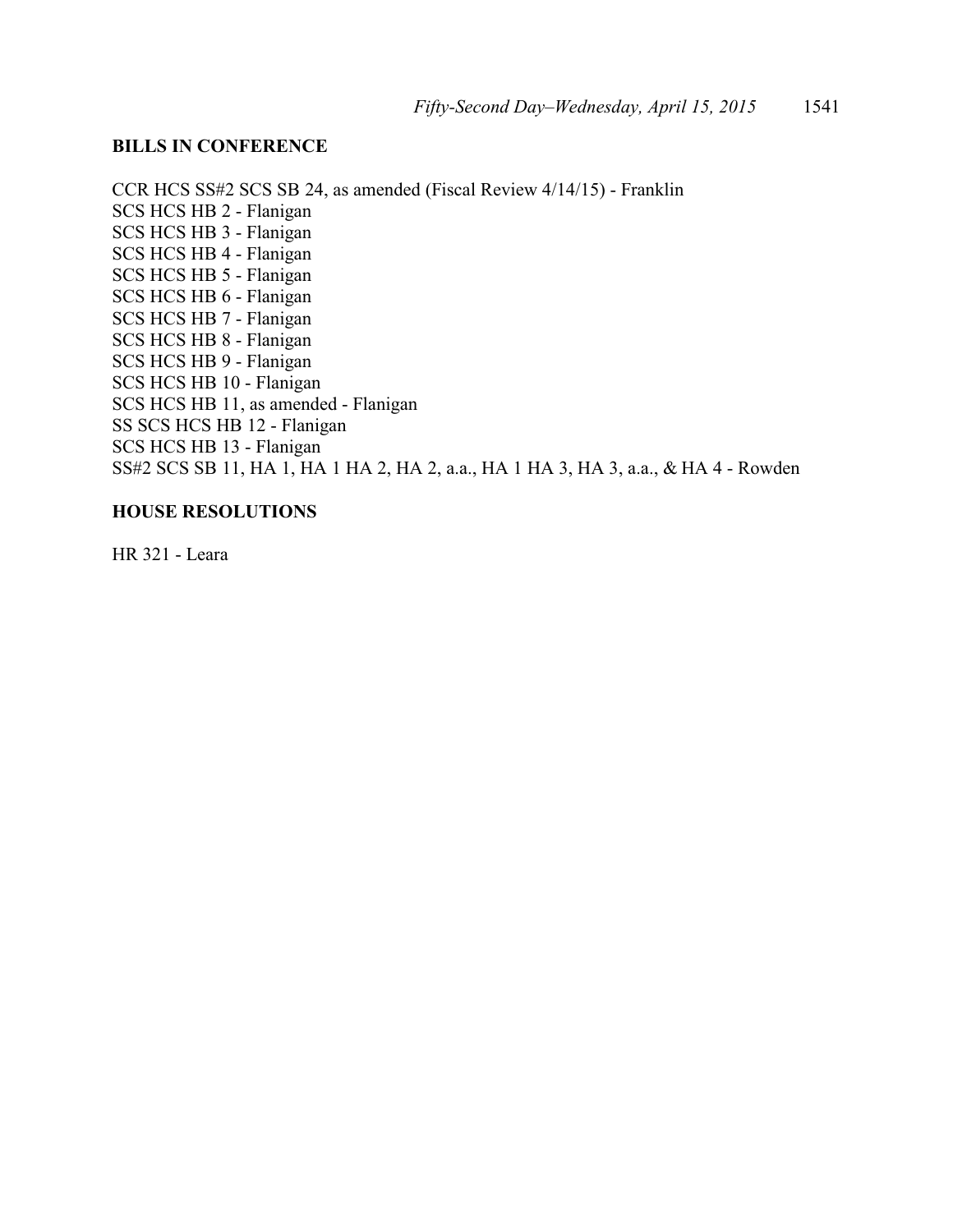# **BILLS IN CONFERENCE**

CCR HCS SS#2 SCS SB 24, as amended (Fiscal Review 4/14/15) - Franklin SCS HCS HB 2 - Flanigan SCS HCS HB 3 - Flanigan SCS HCS HB 4 - Flanigan SCS HCS HB 5 - Flanigan SCS HCS HB 6 - Flanigan SCS HCS HB 7 - Flanigan SCS HCS HB 8 - Flanigan SCS HCS HB 9 - Flanigan SCS HCS HB 10 - Flanigan SCS HCS HB 11, as amended - Flanigan SS SCS HCS HB 12 - Flanigan SCS HCS HB 13 - Flanigan SS#2 SCS SB 11, HA 1, HA 1 HA 2, HA 2, a.a., HA 1 HA 3, HA 3, a.a., & HA 4 - Rowden

# **HOUSE RESOLUTIONS**

HR 321 - Leara